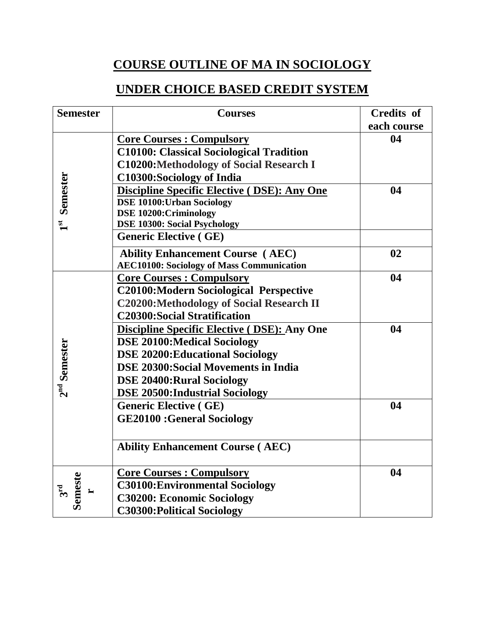# **COURSE OUTLINE OF MA IN SOCIOLOGY**

# **UNDER CHOICE BASED CREDIT SYSTEM**

| <b>Semester</b>            | <b>Courses</b>                                      | <b>Credits of</b> |
|----------------------------|-----------------------------------------------------|-------------------|
|                            |                                                     | each course       |
|                            | <b>Core Courses: Compulsory</b>                     | 04                |
|                            | <b>C10100: Classical Sociological Tradition</b>     |                   |
|                            | <b>C10200:Methodology of Social Research I</b>      |                   |
| Semester                   | C10300:Sociology of India                           |                   |
|                            | <b>Discipline Specific Elective (DSE): Any One</b>  | 04                |
|                            | <b>DSE 10100: Urban Sociology</b>                   |                   |
|                            | <b>DSE 10200:Criminology</b>                        |                   |
| $\mathbf{1}^{\mathbf{st}}$ | <b>DSE 10300: Social Psychology</b>                 |                   |
|                            | <b>Generic Elective (GE)</b>                        |                   |
|                            | <b>Ability Enhancement Course (AEC)</b>             | 02                |
|                            | <b>AEC10100: Sociology of Mass Communication</b>    |                   |
|                            | <b>Core Courses: Compulsory</b>                     | 04                |
|                            | <b>C20100:Modern Sociological Perspective</b>       |                   |
|                            | <b>C20200:Methodology of Social Research II</b>     |                   |
|                            | <b>C20300:Social Stratification</b>                 |                   |
|                            | <b>Discipline Specific Elective ( DSE): Any One</b> | 04                |
|                            | <b>DSE 20100:Medical Sociology</b>                  |                   |
|                            | <b>DSE 20200: Educational Sociology</b>             |                   |
|                            | <b>DSE 20300: Social Movements in India</b>         |                   |
|                            | <b>DSE 20400:Rural Sociology</b>                    |                   |
| $2nd$ Semester             | <b>DSE 20500:Industrial Sociology</b>               |                   |
|                            | <b>Generic Elective (GE)</b>                        | 04                |
|                            | <b>GE20100 :General Sociology</b>                   |                   |
|                            |                                                     |                   |
|                            | <b>Ability Enhancement Course (AEC)</b>             |                   |
|                            |                                                     |                   |
|                            | <b>Core Courses : Compulsory</b>                    | 04                |
| $3rd$<br>Semeste           | <b>C30100: Environmental Sociology</b>              |                   |
|                            | <b>C30200: Economic Sociology</b>                   |                   |
|                            | <b>C30300: Political Sociology</b>                  |                   |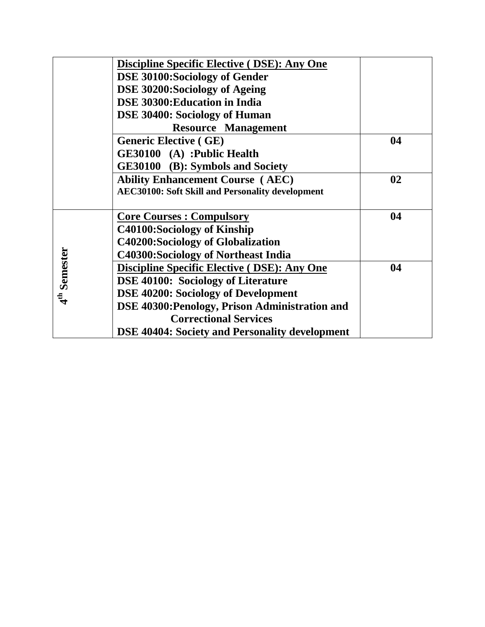|                       | <b>Discipline Specific Elective ( DSE): Any One</b>     |    |
|-----------------------|---------------------------------------------------------|----|
|                       | <b>DSE 30100: Sociology of Gender</b>                   |    |
|                       | DSE 30200: Sociology of Ageing                          |    |
|                       | DSE 30300: Education in India                           |    |
|                       | <b>DSE 30400: Sociology of Human</b>                    |    |
|                       | <b>Resource Management</b>                              |    |
|                       | <b>Generic Elective (GE)</b>                            | 04 |
|                       | GE30100 (A) :Public Health                              |    |
|                       | GE30100 (B): Symbols and Society                        |    |
|                       | <b>Ability Enhancement Course (AEC)</b>                 | 02 |
|                       | <b>AEC30100: Soft Skill and Personality development</b> |    |
|                       |                                                         |    |
|                       | <b>Core Courses: Compulsory</b>                         | 04 |
|                       | C40100:Sociology of Kinship                             |    |
|                       | <b>C40200:Sociology of Globalization</b>                |    |
|                       | <b>C40300:Sociology of Northeast India</b>              |    |
| $4^{\rm th}$ Semester | <b>Discipline Specific Elective ( DSE): Any One</b>     | 04 |
|                       | <b>DSE 40100: Sociology of Literature</b>               |    |
|                       | <b>DSE 40200: Sociology of Development</b>              |    |
|                       | DSE 40300: Penology, Prison Administration and          |    |
|                       | <b>Correctional Services</b>                            |    |
|                       | <b>DSE 40404: Society and Personality development</b>   |    |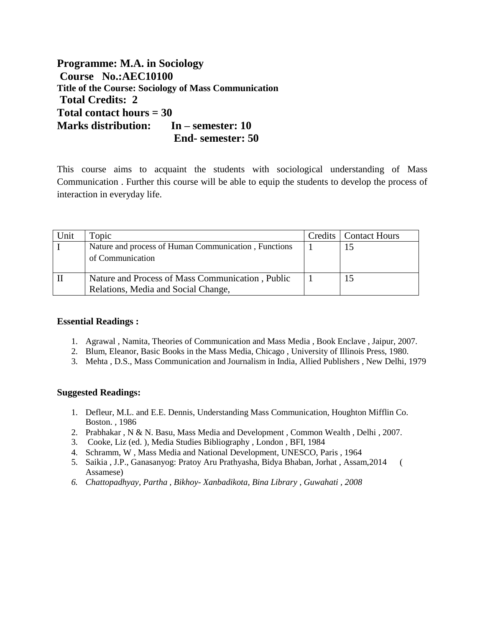**Programme: M.A. in Sociology Course No.:AEC10100 Title of the Course: Sociology of Mass Communication Total Credits: 2 Total contact hours = 30 Marks distribution: In – semester: 10 End- semester: 50**

This course aims to acquaint the students with sociological understanding of Mass Communication . Further this course will be able to equip the students to develop the process of interaction in everyday life.

| Unit | Topic                                                | Credits   Contact Hours |
|------|------------------------------------------------------|-------------------------|
|      | Nature and process of Human Communication, Functions |                         |
|      | of Communication                                     |                         |
|      |                                                      |                         |
|      | Nature and Process of Mass Communication, Public     |                         |
|      | Relations, Media and Social Change,                  |                         |

#### **Essential Readings :**

- 1. Agrawal , Namita, Theories of Communication and Mass Media , Book Enclave , Jaipur, 2007.
- 2. Blum, Eleanor, Basic Books in the Mass Media, Chicago , University of Illinois Press, 1980.
- 3. Mehta , D.S., Mass Communication and Journalism in India, Allied Publishers , New Delhi, 1979

#### **Suggested Readings:**

- 1. Defleur, M.L. and E.E. Dennis, Understanding Mass Communication, Houghton Mifflin Co. Boston. , 1986
- 2. Prabhakar , N & N. Basu, Mass Media and Development , Common Wealth , Delhi , 2007.
- 3. Cooke, Liz (ed. ), Media Studies Bibliography , London , BFI, 1984
- 4. Schramm, W , Mass Media and National Development, UNESCO, Paris , 1964
- 5. Saikia , J.P., Ganasanyog: Pratoy Aru Prathyasha, Bidya Bhaban, Jorhat , Assam,2014 ( Assamese)
- *6. Chattopadhyay, Partha , Bikhoy- Xanbadikota, Bina Library , Guwahati , 2008*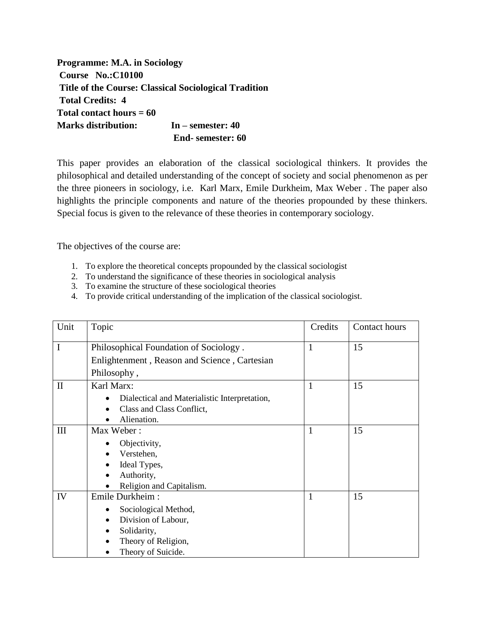**Programme: M.A. in Sociology Course No.:C10100 Title of the Course: Classical Sociological Tradition Total Credits: 4 Total contact hours = 60 Marks distribution: In – semester: 40 End- semester: 60**

This paper provides an elaboration of the classical sociological thinkers. It provides the philosophical and detailed understanding of the concept of society and social phenomenon as per the three pioneers in sociology, i.e. Karl Marx, Emile Durkheim, Max Weber . The paper also highlights the principle components and nature of the theories propounded by these thinkers. Special focus is given to the relevance of these theories in contemporary sociology.

The objectives of the course are:

- 1. To explore the theoretical concepts propounded by the classical sociologist
- 2. To understand the significance of these theories in sociological analysis
- 3. To examine the structure of these sociological theories
- 4. To provide critical understanding of the implication of the classical sociologist.

| Unit         | Topic                                         | Credits      | Contact hours |
|--------------|-----------------------------------------------|--------------|---------------|
| $\mathbf I$  | Philosophical Foundation of Sociology.        | $\mathbf{1}$ | 15            |
|              | Enlightenment, Reason and Science, Cartesian  |              |               |
|              | Philosophy,                                   |              |               |
| $\mathbf{I}$ | Karl Marx:                                    | $\mathbf{1}$ | 15            |
|              | Dialectical and Materialistic Interpretation, |              |               |
|              | Class and Class Conflict,                     |              |               |
|              | Alienation.                                   |              |               |
| III          | Max Weber:                                    | $\mathbf{1}$ | 15            |
|              | Objectivity,                                  |              |               |
|              | Verstehen,                                    |              |               |
|              | Ideal Types,                                  |              |               |
|              | Authority,                                    |              |               |
|              | Religion and Capitalism.                      |              |               |
| IV           | Emile Durkheim:                               | $\mathbf{1}$ | 15            |
|              | Sociological Method,<br>٠                     |              |               |
|              | Division of Labour,<br>$\bullet$              |              |               |
|              | Solidarity,                                   |              |               |
|              | Theory of Religion,                           |              |               |
|              | Theory of Suicide.                            |              |               |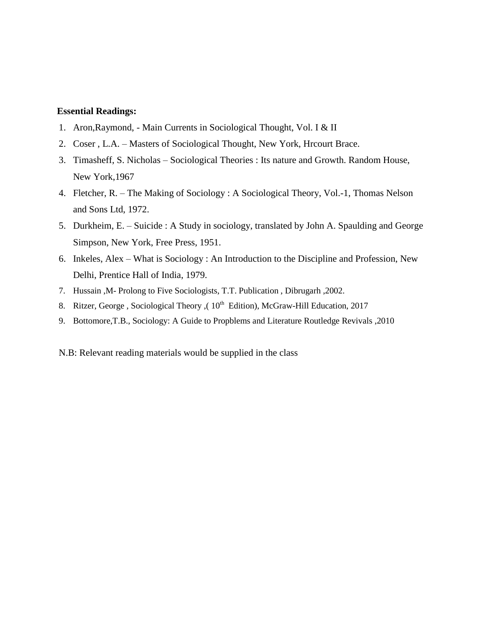#### **Essential Readings:**

- 1. Aron,Raymond, Main Currents in Sociological Thought, Vol. I & II
- 2. Coser , L.A. Masters of Sociological Thought, New York, Hrcourt Brace.
- 3. Timasheff, S. Nicholas Sociological Theories : Its nature and Growth. Random House, New York,1967
- 4. Fletcher, R. The Making of Sociology : A Sociological Theory, Vol.-1, Thomas Nelson and Sons Ltd, 1972.
- 5. Durkheim, E. Suicide : A Study in sociology, translated by John A. Spaulding and George Simpson, New York, Free Press, 1951.
- 6. Inkeles, Alex What is Sociology : An Introduction to the Discipline and Profession, New Delhi, Prentice Hall of India, 1979.
- 7. Hussain ,M- Prolong to Five Sociologists, T.T. Publication , Dibrugarh ,2002.
- 8. Ritzer, George, Sociological Theory, ( $10<sup>th</sup>$  Edition), McGraw-Hill Education, 2017
- 9. Bottomore,T.B., Sociology: A Guide to Propblems and Literature Routledge Revivals ,2010
- N.B: Relevant reading materials would be supplied in the class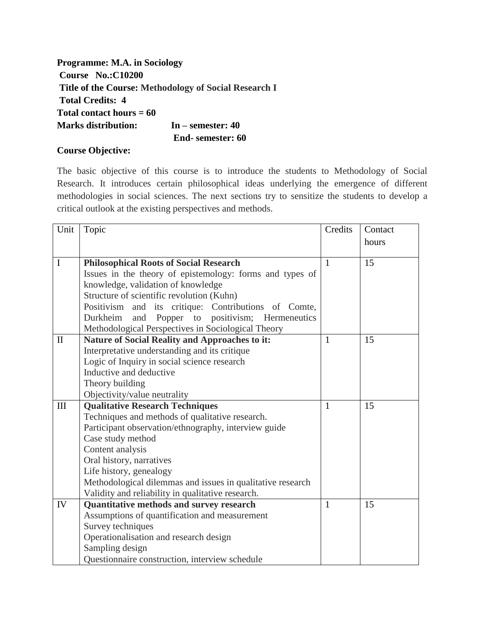**Programme: M.A. in Sociology Course No.:C10200 Title of the Course: Methodology of Social Research I Total Credits: 4 Total contact hours = 60 Marks distribution: In – semester: 40 End- semester: 60**

## **Course Objective:**

The basic objective of this course is to introduce the students to Methodology of Social Research. It introduces certain philosophical ideas underlying the emergence of different methodologies in social sciences. The next sections try to sensitize the students to develop a critical outlook at the existing perspectives and methods.

| Unit         | Topic                                                      | Credits      | Contact |
|--------------|------------------------------------------------------------|--------------|---------|
|              |                                                            |              | hours   |
|              |                                                            |              |         |
| $\mathbf I$  | <b>Philosophical Roots of Social Research</b>              | $\mathbf{1}$ | 15      |
|              | Issues in the theory of epistemology: forms and types of   |              |         |
|              | knowledge, validation of knowledge                         |              |         |
|              | Structure of scientific revolution (Kuhn)                  |              |         |
|              | and its critique: Contributions of Comte,<br>Positivism    |              |         |
|              | Popper to positivism; Hermeneutics<br>Durkheim<br>and      |              |         |
|              | Methodological Perspectives in Sociological Theory         |              |         |
| $\mathbf{I}$ | <b>Nature of Social Reality and Approaches to it:</b>      | 1            | 15      |
|              | Interpretative understanding and its critique              |              |         |
|              | Logic of Inquiry in social science research                |              |         |
|              | Inductive and deductive                                    |              |         |
|              | Theory building                                            |              |         |
|              | Objectivity/value neutrality                               |              |         |
| III          | <b>Qualitative Research Techniques</b>                     | $\mathbf{1}$ | 15      |
|              | Techniques and methods of qualitative research.            |              |         |
|              | Participant observation/ethnography, interview guide       |              |         |
|              | Case study method                                          |              |         |
|              | Content analysis                                           |              |         |
|              | Oral history, narratives                                   |              |         |
|              | Life history, genealogy                                    |              |         |
|              | Methodological dilemmas and issues in qualitative research |              |         |
|              | Validity and reliability in qualitative research.          |              |         |
| IV           | Quantitative methods and survey research                   | 1            | 15      |
|              | Assumptions of quantification and measurement              |              |         |
|              | Survey techniques                                          |              |         |
|              | Operationalisation and research design                     |              |         |
|              | Sampling design                                            |              |         |
|              | Questionnaire construction, interview schedule             |              |         |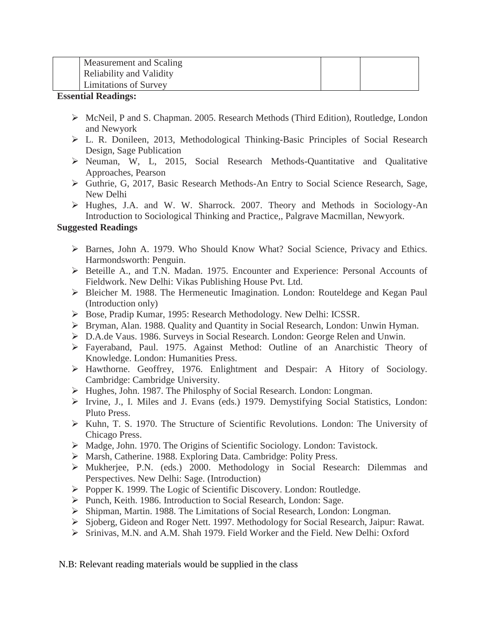| Measurement and Scaling         |  |
|---------------------------------|--|
| <b>Reliability and Validity</b> |  |
| <b>Limitations of Survey</b>    |  |

#### **Essential Readings:**

- McNeil, P and S. Chapman. 2005. Research Methods (Third Edition), Routledge, London and Newyork
- L. R. Donileen, 2013, Methodological Thinking-Basic Principles of Social Research Design, Sage Publication
- Neuman, W, L, 2015, Social Research Methods-Quantitative and Qualitative Approaches, Pearson
- Guthrie, G, 2017, Basic Research Methods-An Entry to Social Science Research, Sage, New Delhi
- Hughes, J.A. and W. W. Sharrock. 2007. Theory and Methods in Sociology-An Introduction to Sociological Thinking and Practice,, Palgrave Macmillan, Newyork.

# **Suggested Readings**

- $\triangleright$  Barnes, John A. 1979. Who Should Know What? Social Science, Privacy and Ethics. Harmondsworth: Penguin.
- Beteille A., and T.N. Madan. 1975. Encounter and Experience: Personal Accounts of Fieldwork. New Delhi: Vikas Publishing House Pvt. Ltd.
- Bleicher M. 1988. The Hermeneutic Imagination. London: Routeldege and Kegan Paul (Introduction only)
- Bose, Pradip Kumar, 1995: Research Methodology. New Delhi: ICSSR.
- Bryman, Alan. 1988. Quality and Quantity in Social Research, London: Unwin Hyman.
- D.A.de Vaus. 1986. Surveys in Social Research. London: George Relen and Unwin.
- Fayeraband, Paul. 1975. Against Method: Outline of an Anarchistic Theory of Knowledge. London: Humanities Press.
- Hawthorne. Geoffrey, 1976. Enlightment and Despair: A Hitory of Sociology. Cambridge: Cambridge University.
- Hughes, John. 1987. The Philosphy of Social Research. London: Longman.
- Irvine, J., I. Miles and J. Evans (eds.) 1979. Demystifying Social Statistics, London: Pluto Press.
- Kuhn, T. S. 1970. The Structure of Scientific Revolutions. London: The University of Chicago Press.
- $\triangleright$  Madge, John. 1970. The Origins of Scientific Sociology. London: Tavistock.
- Marsh, Catherine. 1988. Exploring Data. Cambridge: Polity Press.
- Mukherjee, P.N. (eds.) 2000. Methodology in Social Research: Dilemmas and Perspectives. New Delhi: Sage. (Introduction)
- Popper K. 1999. The Logic of Scientific Discovery. London: Routledge.
- ▶ Punch, Keith. 1986. Introduction to Social Research, London: Sage.
- Shipman, Martin. 1988. The Limitations of Social Research, London: Longman.
- Sjoberg, Gideon and Roger Nett. 1997. Methodology for Social Research, Jaipur: Rawat.
- Srinivas, M.N. and A.M. Shah 1979. Field Worker and the Field. New Delhi: Oxford

N.B: Relevant reading materials would be supplied in the class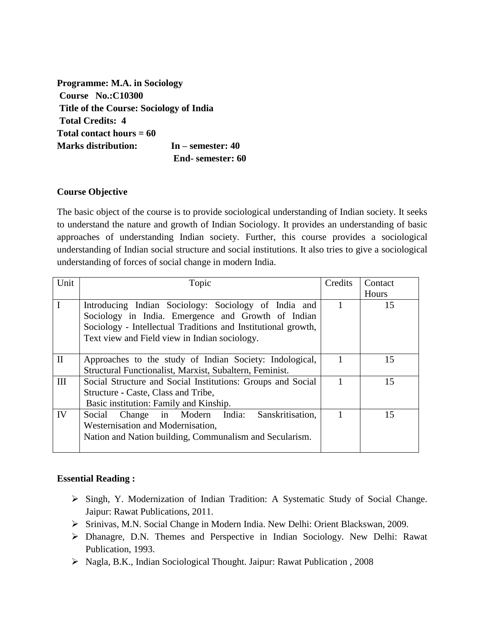**Programme: M.A. in Sociology Course No.:C10300 Title of the Course: Sociology of India Total Credits: 4 Total contact hours = 60 Marks distribution: In – semester: 40 End- semester: 60**

## **Course Objective**

The basic object of the course is to provide sociological understanding of Indian society. It seeks to understand the nature and growth of Indian Sociology. It provides an understanding of basic approaches of understanding Indian society. Further, this course provides a sociological understanding of Indian social structure and social institutions. It also tries to give a sociological understanding of forces of social change in modern India.

| Unit         | Topic                                                                                                                                                                                                                        | Credits | Contact |
|--------------|------------------------------------------------------------------------------------------------------------------------------------------------------------------------------------------------------------------------------|---------|---------|
|              |                                                                                                                                                                                                                              |         | Hours   |
| $\mathbf I$  | Introducing Indian Sociology: Sociology of India and<br>Sociology in India. Emergence and Growth of Indian<br>Sociology - Intellectual Traditions and Institutional growth,<br>Text view and Field view in Indian sociology. |         | 15      |
| $\mathbf{I}$ | Approaches to the study of Indian Society: Indological,<br>Structural Functionalist, Marxist, Subaltern, Feminist.                                                                                                           |         | 15      |
| Ш            | Social Structure and Social Institutions: Groups and Social<br>Structure - Caste, Class and Tribe,<br>Basic institution: Family and Kinship.                                                                                 |         | 15      |
| IV           | Social Change in Modern India:<br>Sanskritisation,<br>Westernisation and Modernisation,<br>Nation and Nation building, Communalism and Secularism.                                                                           |         | 15      |

## **Essential Reading :**

- Singh, Y. Modernization of Indian Tradition: A Systematic Study of Social Change. Jaipur: Rawat Publications, 2011.
- Srinivas, M.N. Social Change in Modern India. New Delhi: Orient Blackswan, 2009.
- Dhanagre, D.N. Themes and Perspective in Indian Sociology. New Delhi: Rawat Publication, 1993.
- Nagla, B.K., Indian Sociological Thought. Jaipur: Rawat Publication , 2008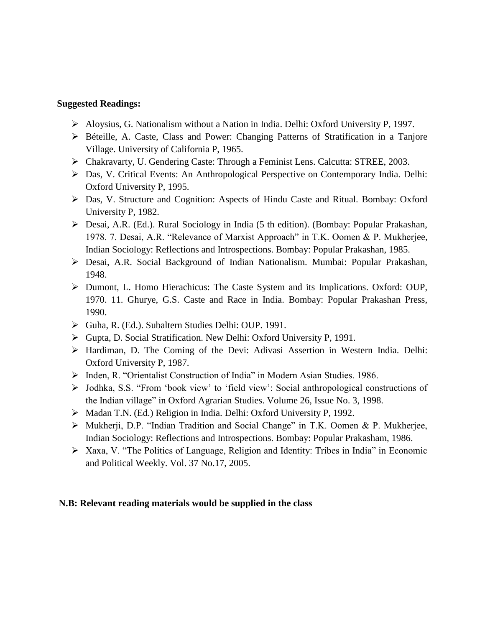#### **Suggested Readings:**

- $\triangleright$  Aloysius, G. Nationalism without a Nation in India. Delhi: Oxford University P, 1997.
- Béteille, A. Caste, Class and Power: Changing Patterns of Stratification in a Tanjore Village. University of California P, 1965.
- Chakravarty, U. Gendering Caste: Through a Feminist Lens. Calcutta: STREE, 2003.
- Das, V. Critical Events: An Anthropological Perspective on Contemporary India. Delhi: Oxford University P, 1995.
- Das, V. Structure and Cognition: Aspects of Hindu Caste and Ritual. Bombay: Oxford University P, 1982.
- Desai, A.R. (Ed.). Rural Sociology in India (5 th edition). (Bombay: Popular Prakashan, 1978. 7. Desai, A.R. "Relevance of Marxist Approach" in T.K. Oomen & P. Mukherjee, Indian Sociology: Reflections and Introspections. Bombay: Popular Prakashan, 1985.
- Desai, A.R. Social Background of Indian Nationalism. Mumbai: Popular Prakashan, 1948.
- Dumont, L. Homo Hierachicus: The Caste System and its Implications. Oxford: OUP, 1970. 11. Ghurye, G.S. Caste and Race in India. Bombay: Popular Prakashan Press, 1990.
- Guha, R. (Ed.). Subaltern Studies Delhi: OUP. 1991.
- Gupta, D. Social Stratification. New Delhi: Oxford University P, 1991.
- Hardiman, D. The Coming of the Devi: Adivasi Assertion in Western India. Delhi: Oxford University P, 1987.
- Inden, R. "Orientalist Construction of India" in Modern Asian Studies. 1986.
- Jodhka, S.S. "From 'book view' to 'field view': Social anthropological constructions of the Indian village" in Oxford Agrarian Studies. Volume 26, Issue No. 3, 1998.
- Madan T.N. (Ed.) Religion in India. Delhi: Oxford University P, 1992.
- Mukherji, D.P. "Indian Tradition and Social Change" in T.K. Oomen & P. Mukherjee, Indian Sociology: Reflections and Introspections. Bombay: Popular Prakasham, 1986.
- $\triangleright$  Xaxa, V. "The Politics of Language, Religion and Identity: Tribes in India" in Economic and Political Weekly. Vol. 37 No.17, 2005.

#### **N.B: Relevant reading materials would be supplied in the class**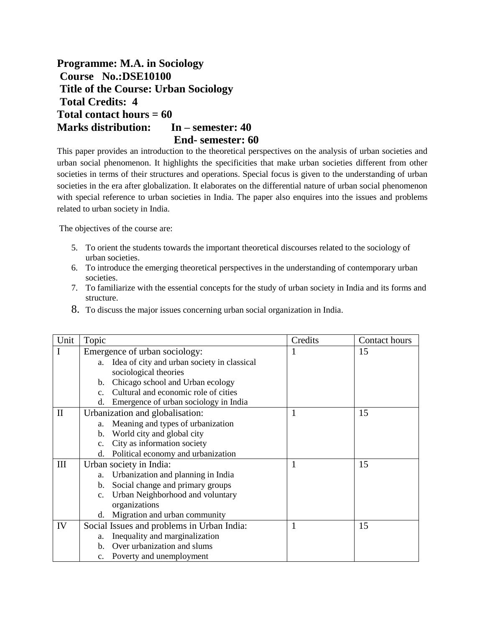**Programme: M.A. in Sociology Course No.:DSE10100 Title of the Course: Urban Sociology Total Credits: 4 Total contact hours = 60 Marks distribution: In – semester: 40 End- semester: 60**

This paper provides an introduction to the theoretical perspectives on the analysis of urban societies and urban social phenomenon. It highlights the specificities that make urban societies different from other societies in terms of their structures and operations. Special focus is given to the understanding of urban societies in the era after globalization. It elaborates on the differential nature of urban social phenomenon with special reference to urban societies in India. The paper also enquires into the issues and problems related to urban society in India.

The objectives of the course are:

- 5. To orient the students towards the important theoretical discourses related to the sociology of urban societies.
- 6. To introduce the emerging theoretical perspectives in the understanding of contemporary urban societies.
- 7. To familiarize with the essential concepts for the study of urban society in India and its forms and structure.
- 8. To discuss the major issues concerning urban social organization in India.

| Unit         | Topic                                                  | Credits | Contact hours |
|--------------|--------------------------------------------------------|---------|---------------|
| I            | Emergence of urban sociology:                          | 1       | 15            |
|              | a. Idea of city and urban society in classical         |         |               |
|              | sociological theories                                  |         |               |
|              | Chicago school and Urban ecology<br>$\mathbf{b}$ .     |         |               |
|              | Cultural and economic role of cities<br>$\mathbf{c}$ . |         |               |
|              | Emergence of urban sociology in India<br>d.            |         |               |
| $\mathbf{I}$ | Urbanization and globalisation:                        | 1       | 15            |
|              | a. Meaning and types of urbanization                   |         |               |
|              | World city and global city<br>$\mathbf{b}$ .           |         |               |
|              | City as information society<br>c.                      |         |               |
|              | Political economy and urbanization<br>d.               |         |               |
| III          | Urban society in India:                                |         | 15            |
|              | Urbanization and planning in India<br>a.               |         |               |
|              | Social change and primary groups<br>b.                 |         |               |
|              | Urban Neighborhood and voluntary<br>$\mathbf{c}$ .     |         |               |
|              | organizations                                          |         |               |
|              | Migration and urban community<br>d.                    |         |               |
| IV           | Social Issues and problems in Urban India:             | 1       | 15            |
|              | Inequality and marginalization<br>a.                   |         |               |
|              | Over urbanization and slums<br>b.                      |         |               |
|              | Poverty and unemployment<br>$\mathbf{c}$ .             |         |               |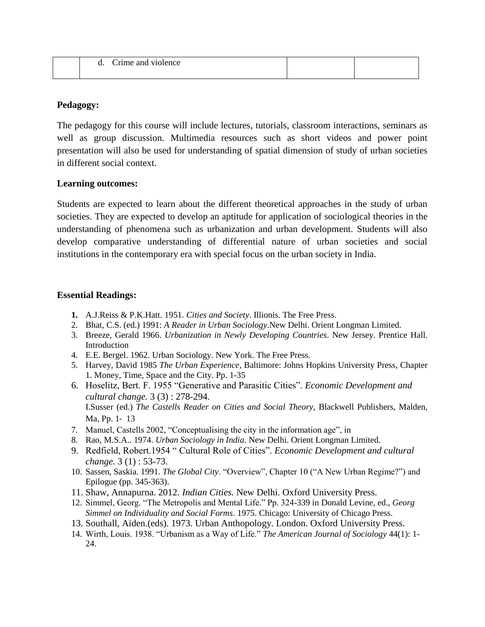| u. | Crime and violence |  |
|----|--------------------|--|
|    |                    |  |

## **Pedagogy:**

The pedagogy for this course will include lectures, tutorials, classroom interactions, seminars as well as group discussion. Multimedia resources such as short videos and power point presentation will also be used for understanding of spatial dimension of study of urban societies in different social context.

## **Learning outcomes:**

Students are expected to learn about the different theoretical approaches in the study of urban societies. They are expected to develop an aptitude for application of sociological theories in the understanding of phenomena such as urbanization and urban development. Students will also develop comparative understanding of differential nature of urban societies and social institutions in the contemporary era with special focus on the urban society in India.

## **Essential Readings:**

- **1.** A.J.Reiss & P.K.Hatt. 1951. *Cities and Society*. Illionis. The Free Press.
- 2. Bhat, C.S. (ed.) 1991: *A Reader in Urban Sociology*.New Delhi. Orient Longman Limited.
- 3. Breeze, Gerald 1966. *Urbanization in Newly Developing Countries*. New Jersey. Prentice Hall. Introduction
- 4. E.E. Bergel. 1962. Urban Sociology. New York. The Free Press.
- 5. Harvey, David 1985 *The Urban Experience*, Baltimore: Johns Hopkins University Press, Chapter 1. Money, Time, Space and the City. Pp. 1-35
- 6. Hoselitz, Bert. F. 1955 "Generative and Parasitic Cities". *Economic Development and cultural change.* 3 (3) : 278-294. I.Susser (ed.) *The Castells Reader on Cities and Social Theory,* Blackwell Publishers, Malden, Ma, Pp. 1‐ 13
- 7. Manuel, Castells 2002, "Conceptualising the city in the information age", in
- 8. Rao, M.S.A.. 1974. *Urban Sociology in India*. New Delhi. Orient Longman Limited.
- 9. Redfield, Robert.1954 " Cultural Role of Cities". *Economic Development and cultural change.* 3 (1) : 53-73.
- 10. Sassen, Saskia. 1991. *The Global City*. "Overview", Chapter 10 ("A New Urban Regime?") and Epilogue (pp. 345-363).
- 11. Shaw, Annapurna. 2012. *Indian Cities.* New Delhi. Oxford University Press.
- 12. Simmel, Georg. "The Metropolis and Mental Life." Pp. 324-339 in Donald Levine, ed., *Georg Simmel on Individuality and Social Forms*. 1975. Chicago: University of Chicago Press.
- 13. Southall, Aiden.(eds). 1973. Urban Anthopology. London. Oxford University Press.
- 14. Wirth, Louis. 1938. "Urbanism as a Way of Life." *The American Journal of Sociology* 44(1): 1- 24.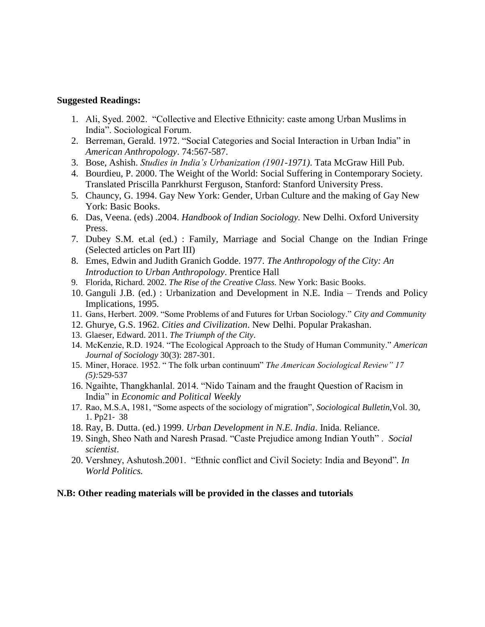#### **Suggested Readings:**

- 1. Ali, Syed. 2002. "Collective and Elective Ethnicity: caste among Urban Muslims in India". Sociological Forum.
- 2. Berreman, Gerald. 1972. "Social Categories and Social Interaction in Urban India" in *American Anthropology*. 74:567-587.
- 3. Bose, Ashish. *Studies in India's Urbanization (1901-1971)*. Tata McGraw Hill Pub.
- 4. Bourdieu, P. 2000. The Weight of the World: Social Suffering in Contemporary Society. Translated Priscilla Panrkhurst Ferguson, Stanford: Stanford University Press.
- 5. Chauncy, G. 1994. Gay New York: Gender, Urban Culture and the making of Gay New York: Basic Books.
- 6. Das, Veena. (eds) .2004. *Handbook of Indian Sociology.* New Delhi. Oxford University Press.
- 7. Dubey S.M. et.al (ed.) : Family, Marriage and Social Change on the Indian Fringe (Selected articles on Part III)
- 8. Emes, Edwin and Judith Granich Godde. 1977. *The Anthropology of the City: An Introduction to Urban Anthropology*. Prentice Hall
- 9. Florida, Richard. 2002. *The Rise of the Creative Class.* New York: Basic Books.
- 10. Ganguli J.B. (ed.) : Urbanization and Development in N.E. India Trends and Policy Implications, 1995.
- 11. Gans, Herbert. 2009. "Some Problems of and Futures for Urban Sociology." *City and Community*
- 12. Ghurye, G.S. 1962. *Cities and Civilization*. New Delhi. Popular Prakashan.
- 13. Glaeser, Edward. 2011. *The Triumph of the City*.
- 14. McKenzie, R.D. 1924. "The Ecological Approach to the Study of Human Community." *American Journal of Sociology* 30(3): 287-301.
- 15. Miner, Horace. 1952. " The folk urban continuum" *The American Sociological Review" 17 (5):*529-537
- 16. Ngaihte, Thangkhanlal. 2014. "Nido Tainam and the fraught Question of Racism in India" in *Economic and Political Weekly*
- 17. Rao, M.S.A, 1981, "Some aspects of the sociology of migration", *Sociological Bulletin*,Vol. 30, 1. Pp21‐ 38
- 18. Ray, B. Dutta. (ed.) 1999. *Urban Development in N.E. India*. Inida. Reliance.
- 19. Singh, Sheo Nath and Naresh Prasad. "Caste Prejudice among Indian Youth" . *Social scientist*.
- 20. Vershney, Ashutosh.2001. "Ethnic conflict and Civil Society: India and Beyond"*. In World Politics.*

#### **N.B: Other reading materials will be provided in the classes and tutorials**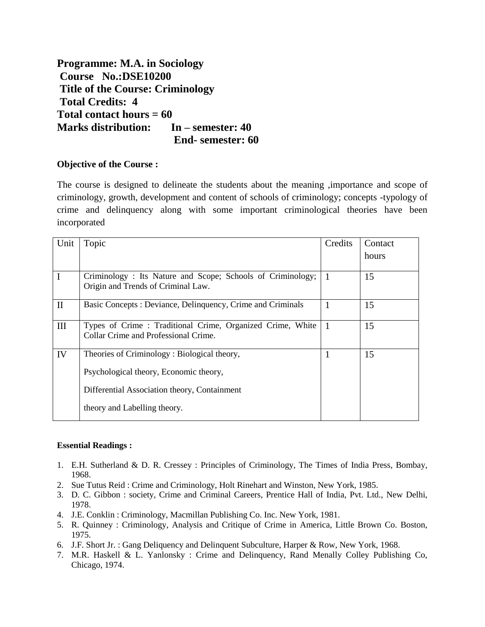**Programme: M.A. in Sociology Course No.:DSE10200 Title of the Course: Criminology Total Credits: 4 Total contact hours = 60 Marks distribution: In – semester: 40 End- semester: 60**

## **Objective of the Course :**

The course is designed to delineate the students about the meaning ,importance and scope of criminology, growth, development and content of schools of criminology; concepts -typology of crime and delinquency along with some important criminological theories have been incorporated

| Unit         | Topic                                                       | Credits      | Contact |
|--------------|-------------------------------------------------------------|--------------|---------|
|              |                                                             |              | hours   |
| I            | Criminology: Its Nature and Scope; Schools of Criminology;  | $\mathbf{1}$ | 15      |
|              | Origin and Trends of Criminal Law.                          |              |         |
| $\mathbf{I}$ | Basic Concepts : Deviance, Delinquency, Crime and Criminals | 1            | 15      |
| III          | Types of Crime: Traditional Crime, Organized Crime, White   | $\mathbf{1}$ | 15      |
|              | Collar Crime and Professional Crime.                        |              |         |
| IV           | Theories of Criminology: Biological theory,                 | 1            | 15      |
|              | Psychological theory, Economic theory,                      |              |         |
|              | Differential Association theory, Containment                |              |         |
|              | theory and Labelling theory.                                |              |         |

#### **Essential Readings :**

- 1. E.H. Sutherland & D. R. Cressey : Principles of Criminology, The Times of India Press, Bombay, 1968.
- 2. Sue Tutus Reid : Crime and Criminology, Holt Rinehart and Winston, New York, 1985.
- 3. D. C. Gibbon : society, Crime and Criminal Careers, Prentice Hall of India, Pvt. Ltd., New Delhi, 1978.
- 4. J.E. Conklin : Criminology, Macmillan Publishing Co. Inc. New York, 1981.
- 5. R. Quinney : Criminology, Analysis and Critique of Crime in America, Little Brown Co. Boston, 1975.
- 6. J.F. Short Jr. : Gang Deliquency and Delinquent Subculture, Harper & Row, New York, 1968.
- 7. M.R. Haskell & L. Yanlonsky : Crime and Delinquency, Rand Menally Colley Publishing Co, Chicago, 1974.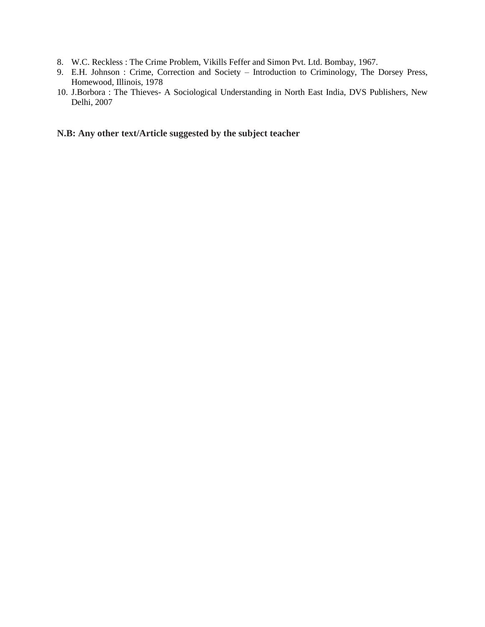- 8. W.C. Reckless : The Crime Problem, Vikills Feffer and Simon Pvt. Ltd. Bombay, 1967.
- 9. E.H. Johnson : Crime, Correction and Society Introduction to Criminology, The Dorsey Press, Homewood, Illinois, 1978
- 10. J.Borbora : The Thieves- A Sociological Understanding in North East India, DVS Publishers, New Delhi, 2007

# **N.B: Any other text/Article suggested by the subject teacher**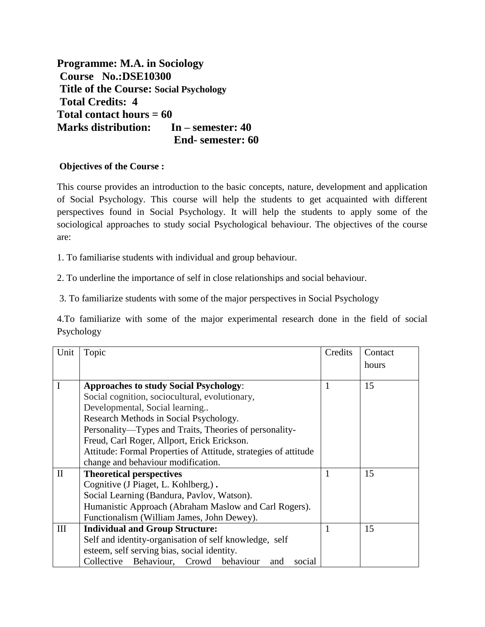**Programme: M.A. in Sociology Course No.:DSE10300 Title of the Course: Social Psychology Total Credits: 4 Total contact hours = 60 Marks distribution: In – semester: 40 End- semester: 60**

# **Objectives of the Course :**

This course provides an introduction to the basic concepts, nature, development and application of Social Psychology. This course will help the students to get acquainted with different perspectives found in Social Psychology. It will help the students to apply some of the sociological approaches to study social Psychological behaviour. The objectives of the course are:

1. To familiarise students with individual and group behaviour.

2. To underline the importance of self in close relationships and social behaviour.

3. To familiarize students with some of the major perspectives in Social Psychology

4.To familiarize with some of the major experimental research done in the field of social Psychology

| Unit               | Topic                                                           | Credits | Contact |
|--------------------|-----------------------------------------------------------------|---------|---------|
|                    |                                                                 |         | hours   |
|                    |                                                                 |         |         |
| I                  | <b>Approaches to study Social Psychology:</b>                   | 1       | 15      |
|                    | Social cognition, sociocultural, evolutionary,                  |         |         |
|                    | Developmental, Social learning                                  |         |         |
|                    | Research Methods in Social Psychology.                          |         |         |
|                    | Personality—Types and Traits, Theories of personality-          |         |         |
|                    | Freud, Carl Roger, Allport, Erick Erickson.                     |         |         |
|                    | Attitude: Formal Properties of Attitude, strategies of attitude |         |         |
|                    | change and behaviour modification.                              |         |         |
| $\mathbf{I}$       | <b>Theoretical perspectives</b>                                 |         | 15      |
|                    | Cognitive (J Piaget, L. Kohlberg,).                             |         |         |
|                    | Social Learning (Bandura, Pavlov, Watson).                      |         |         |
|                    | Humanistic Approach (Abraham Maslow and Carl Rogers).           |         |         |
|                    | Functionalism (William James, John Dewey).                      |         |         |
| $\mathop{\rm III}$ | <b>Individual and Group Structure:</b>                          |         | 15      |
|                    | Self and identity-organisation of self knowledge, self          |         |         |
|                    | esteem, self serving bias, social identity.                     |         |         |
|                    | Collective Behaviour, Crowd behaviour<br>social<br>and          |         |         |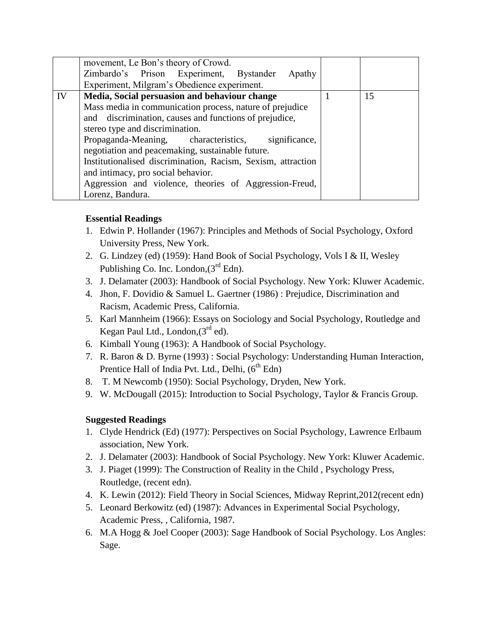|    | movement, Le Bon's theory of Crowd.                          |    |
|----|--------------------------------------------------------------|----|
|    | Zimbardo's Prison Experiment, Bystander<br>Apathy            |    |
|    | Experiment, Milgram's Obedience experiment.                  |    |
| IV | Media, Social persuasion and behaviour change                | 15 |
|    | Mass media in communication process, nature of prejudice     |    |
|    | and discrimination, causes and functions of prejudice,       |    |
|    | stereo type and discrimination.                              |    |
|    | Propaganda-Meaning, characteristics,<br>significance,        |    |
|    | negotiation and peacemaking, sustainable future.             |    |
|    | Institutionalised discrimination, Racism, Sexism, attraction |    |
|    | and intimacy, pro social behavior.                           |    |
|    | Aggression and violence, theories of Aggression-Freud,       |    |
|    | Lorenz, Bandura.                                             |    |

# **Essential Readings**

- 1. Edwin P. Hollander (1967): Principles and Methods of Social Psychology, Oxford University Press, New York.
- 2. G. Lindzey (ed) (1959): Hand Book of Social Psychology, Vols I & II, Wesley Publishing Co. Inc. London,  $3<sup>rd</sup>$  Edn).
- 3. J. Delamater (2003): Handbook of Social Psychology. New York: Kluwer Academic.
- 4. Jhon, F. Dovidio & Samuel L. Gaertner (1986) : Prejudice, Discrimination and Racism, Academic Press, California.
- 5. Karl Mannheim (1966): Essays on Sociology and Social Psychology, Routledge and Kegan Paul Ltd., London, (3<sup>rd</sup> ed).
- 6. Kimball Young (1963): A Handbook of Social Psychology.
- 7. R. Baron & D. Byrne (1993) : Social Psychology: Understanding Human Interaction, Prentice Hall of India Pvt. Ltd., Delhi,  $(6^{th}$  Edn)
- 8. T. M Newcomb (1950): Social Psychology, Dryden, New York.
- 9. W. McDougall (2015): Introduction to Social Psychology, Taylor & Francis Group.

## **Suggested Readings**

- 1. Clyde Hendrick (Ed) (1977): Perspectives on Social Psychology, Lawrence Erlbaum association, New York.
- 2. J. Delamater (2003): Handbook of Social Psychology. New York: Kluwer Academic.
- 3. J. Piaget (1999): The Construction of Reality in the Child , Psychology Press, Routledge, (recent edn).
- 4. K. Lewin (2012): Field Theory in Social Sciences, Midway Reprint,2012(recent edn)
- 5. Leonard Berkowitz (ed) (1987): Advances in Experimental Social Psychology, Academic Press, , California, 1987.
- 6. M.A Hogg & Joel Cooper (2003): Sage Handbook of Social Psychology. Los Angles: Sage.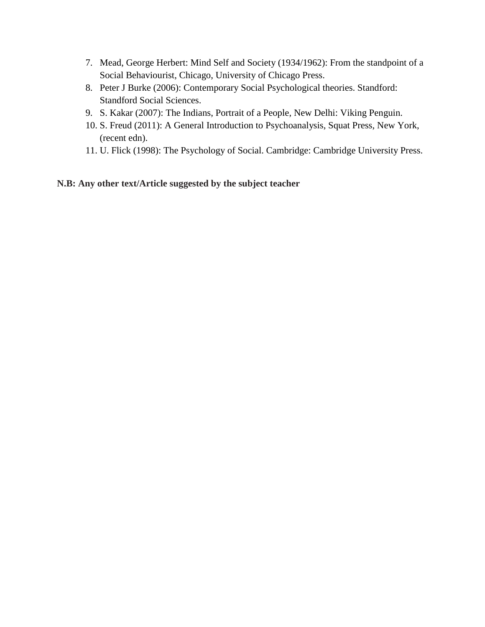- 7. Mead, George Herbert: Mind Self and Society (1934/1962): From the standpoint of a Social Behaviourist, Chicago, University of Chicago Press.
- 8. Peter J Burke (2006): Contemporary Social Psychological theories. Standford: Standford Social Sciences.
- 9. S. Kakar (2007): The Indians, Portrait of a People, New Delhi: Viking Penguin.
- 10. S. Freud (2011): A General Introduction to Psychoanalysis, Squat Press, New York, (recent edn).
- 11. U. Flick (1998): The Psychology of Social. Cambridge: Cambridge University Press.

**N.B: Any other text/Article suggested by the subject teacher**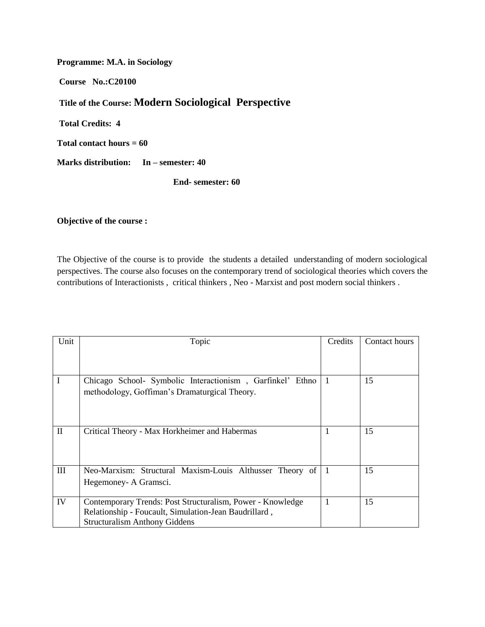**Programme: M.A. in Sociology** 

**Course No.:C20100** 

# **Title of the Course: Modern Sociological Perspective**

**Total Credits: 4** 

**Total contact hours = 60** 

**Marks distribution: In – semester: 40** 

**End- semester: 60**

#### **Objective of the course :**

The Objective of the course is to provide the students a detailed understanding of modern sociological perspectives. The course also focuses on the contemporary trend of sociological theories which covers the contributions of Interactionists , critical thinkers , Neo - Marxist and post modern social thinkers .

| Unit         | Topic                                                      | Credits   | Contact hours |
|--------------|------------------------------------------------------------|-----------|---------------|
|              |                                                            |           |               |
|              |                                                            |           |               |
|              | Chicago School- Symbolic Interactionism, Garfinkel' Ethno  |           | 15            |
|              | methodology, Goffiman's Dramaturgical Theory.              |           |               |
|              |                                                            |           |               |
|              |                                                            |           |               |
|              |                                                            |           |               |
| $\mathbf{I}$ | Critical Theory - Max Horkheimer and Habermas              |           | 15            |
|              |                                                            |           |               |
|              |                                                            |           |               |
| Ш            | Neo-Marxism: Structural Maxism-Louis Althusser Theory of   | $\vert$ 1 | 15            |
|              | Hegemoney - A Gramsci.                                     |           |               |
|              |                                                            |           |               |
| IV           | Contemporary Trends: Post Structuralism, Power - Knowledge |           | 15            |
|              | Relationship - Foucault, Simulation-Jean Baudrillard,      |           |               |
|              | <b>Structuralism Anthony Giddens</b>                       |           |               |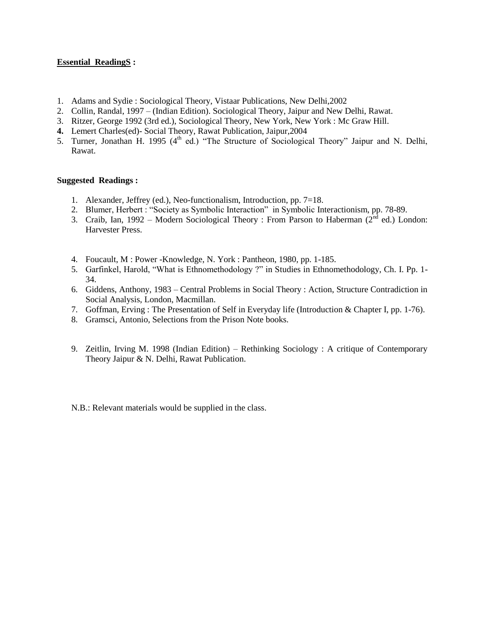#### **Essential ReadingS :**

- 1. Adams and Sydie : Sociological Theory, Vistaar Publications, New Delhi,2002
- 2. Collin, Randal, 1997 (Indian Edition). Sociological Theory, Jaipur and New Delhi, Rawat.
- 3. Ritzer, George 1992 (3rd ed.), Sociological Theory, New York, New York : Mc Graw Hill.
- **4.** Lemert Charles(ed)- Social Theory, Rawat Publication, Jaipur,2004
- 5. Turner, Jonathan H. 1995 (4<sup>th</sup> ed.) "The Structure of Sociological Theory" Jaipur and N. Delhi, Rawat.

#### **Suggested Readings :**

- 1. Alexander, Jeffrey (ed.), Neo-functionalism, Introduction, pp. 7=18.
- 2. Blumer, Herbert : "Society as Symbolic Interaction" in Symbolic Interactionism, pp. 78-89.
- 3. Craib, Ian, 1992 Modern Sociological Theory : From Parson to Haberman ( $2<sup>nd</sup>$  ed.) London: Harvester Press.
- 4. Foucault, M : Power -Knowledge, N. York : Pantheon, 1980, pp. 1-185.
- 5. Garfinkel, Harold, "What is Ethnomethodology ?" in Studies in Ethnomethodology, Ch. I. Pp. 1- 34.
- 6. Giddens, Anthony, 1983 Central Problems in Social Theory : Action, Structure Contradiction in Social Analysis, London, Macmillan.
- 7. Goffman, Erving : The Presentation of Self in Everyday life (Introduction & Chapter I, pp. 1-76).
- 8. Gramsci, Antonio, Selections from the Prison Note books.
- 9. Zeitlin, Irving M. 1998 (Indian Edition) Rethinking Sociology : A critique of Contemporary Theory Jaipur & N. Delhi, Rawat Publication.

N.B.: Relevant materials would be supplied in the class.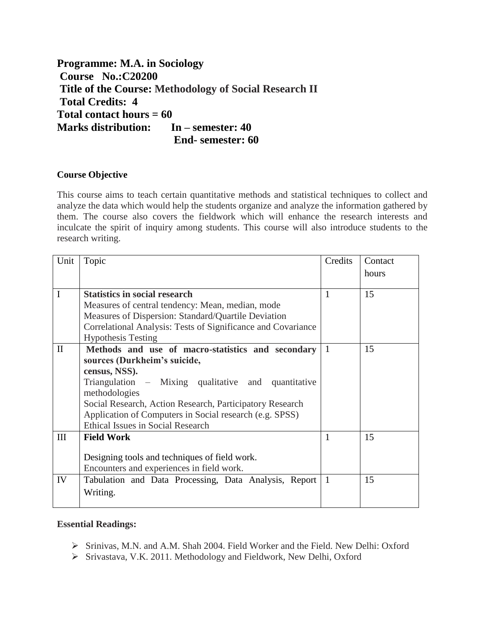**Programme: M.A. in Sociology Course No.:C20200 Title of the Course: Methodology of Social Research II Total Credits: 4 Total contact hours = 60 Marks distribution: In – semester: 40 End- semester: 60**

## **Course Objective**

This course aims to teach certain quantitative methods and statistical techniques to collect and analyze the data which would help the students organize and analyze the information gathered by them. The course also covers the fieldwork which will enhance the research interests and inculcate the spirit of inquiry among students. This course will also introduce students to the research writing.

| Unit         | Topic                                                        | Credits        | Contact |
|--------------|--------------------------------------------------------------|----------------|---------|
|              |                                                              |                | hours   |
|              |                                                              |                |         |
| I            | <b>Statistics in social research</b>                         | 1              | 15      |
|              | Measures of central tendency: Mean, median, mode             |                |         |
|              | Measures of Dispersion: Standard/Quartile Deviation          |                |         |
|              | Correlational Analysis: Tests of Significance and Covariance |                |         |
|              | <b>Hypothesis Testing</b>                                    |                |         |
| $\mathbf{I}$ | Methods and use of macro-statistics and secondary            | $\vert$ 1      | 15      |
|              | sources (Durkheim's suicide,                                 |                |         |
|              | census, NSS).                                                |                |         |
|              | Triangulation – Mixing qualitative and quantitative          |                |         |
|              | methodologies                                                |                |         |
|              | Social Research, Action Research, Participatory Research     |                |         |
|              | Application of Computers in Social research (e.g. SPSS)      |                |         |
|              | <b>Ethical Issues in Social Research</b>                     |                |         |
| III          | <b>Field Work</b>                                            | $\mathbf{1}$   | 15      |
|              |                                                              |                |         |
|              | Designing tools and techniques of field work.                |                |         |
|              | Encounters and experiences in field work.                    |                |         |
| IV           | Tabulation and Data Processing, Data Analysis, Report        | $\overline{1}$ | 15      |
|              | Writing.                                                     |                |         |
|              |                                                              |                |         |

#### **Essential Readings:**

- Srinivas, M.N. and A.M. Shah 2004. Field Worker and the Field. New Delhi: Oxford
- Srivastava, V.K. 2011. Methodology and Fieldwork, New Delhi, Oxford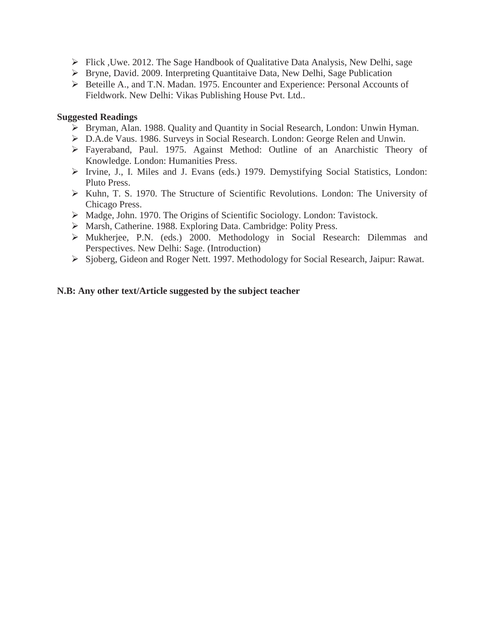- Flick ,Uwe. 2012. The Sage Handbook of Qualitative Data Analysis, New Delhi, sage
- Bryne, David. 2009. Interpreting Quantitaive Data, New Delhi, Sage Publication
- Beteille A., and T.N. Madan. 1975. Encounter and Experience: Personal Accounts of Fieldwork. New Delhi: Vikas Publishing House Pvt. Ltd..

#### **Suggested Readings**

- Bryman, Alan. 1988. Quality and Quantity in Social Research, London: Unwin Hyman.
- D.A.de Vaus. 1986. Surveys in Social Research. London: George Relen and Unwin.
- Fayeraband, Paul. 1975. Against Method: Outline of an Anarchistic Theory of Knowledge. London: Humanities Press.
- $\triangleright$  Irvine, J., I. Miles and J. Evans (eds.) 1979. Demystifying Social Statistics, London: Pluto Press.
- Kuhn, T. S. 1970. The Structure of Scientific Revolutions. London: The University of Chicago Press.
- Madge, John. 1970. The Origins of Scientific Sociology. London: Tavistock.
- Marsh, Catherine. 1988. Exploring Data. Cambridge: Polity Press.
- Mukherjee, P.N. (eds.) 2000. Methodology in Social Research: Dilemmas and Perspectives. New Delhi: Sage. (Introduction)
- Sjoberg, Gideon and Roger Nett. 1997. Methodology for Social Research, Jaipur: Rawat.

## **N.B: Any other text/Article suggested by the subject teacher**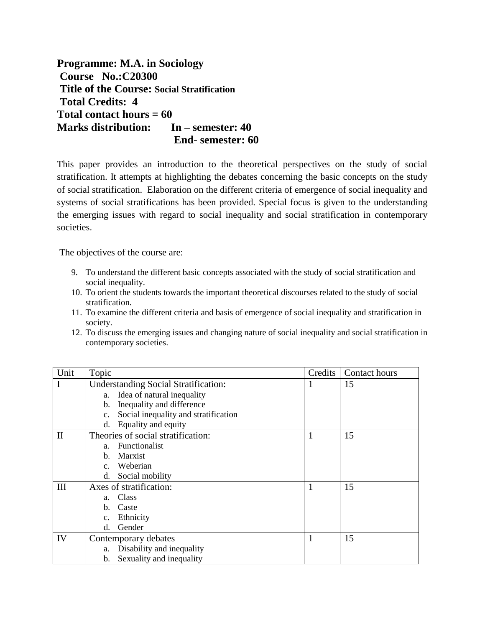**Programme: M.A. in Sociology Course No.:C20300 Title of the Course: Social Stratification Total Credits: 4 Total contact hours = 60 Marks distribution: In – semester: 40 End- semester: 60**

This paper provides an introduction to the theoretical perspectives on the study of social stratification. It attempts at highlighting the debates concerning the basic concepts on the study of social stratification. Elaboration on the different criteria of emergence of social inequality and systems of social stratifications has been provided. Special focus is given to the understanding the emerging issues with regard to social inequality and social stratification in contemporary societies.

The objectives of the course are:

- 9. To understand the different basic concepts associated with the study of social stratification and social inequality.
- 10. To orient the students towards the important theoretical discourses related to the study of social stratification.
- 11. To examine the different criteria and basis of emergence of social inequality and stratification in society.
- 12. To discuss the emerging issues and changing nature of social inequality and social stratification in contemporary societies.

| Unit         | Topic                                                  | Credits | Contact hours |
|--------------|--------------------------------------------------------|---------|---------------|
| I            | <b>Understanding Social Stratification:</b>            | 1       | 15            |
|              | Idea of natural inequality<br>a.                       |         |               |
|              | Inequality and difference<br>$\mathbf b$ .             |         |               |
|              | Social inequality and stratification<br>$\mathbf{c}$ . |         |               |
|              | Equality and equity<br>d.                              |         |               |
| $\mathbf{I}$ | Theories of social stratification:                     | 1       | 15            |
|              | <b>Functionalist</b><br>$a_{-}$                        |         |               |
|              | Marxist<br>$\mathbf{b}$ .                              |         |               |
|              | Weberian<br>$c_{-}$                                    |         |               |
|              | Social mobility<br>d.                                  |         |               |
| Ш            | Axes of stratification:                                | 1       | 15            |
|              | Class<br>a.                                            |         |               |
|              | Caste<br>h.                                            |         |               |
|              | Ethnicity<br>$C_{\bullet}$                             |         |               |
|              | Gender<br>d.                                           |         |               |
| IV           | Contemporary debates                                   | 1       | 15            |
|              | Disability and inequality<br>a.                        |         |               |
|              | Sexuality and inequality<br>b.                         |         |               |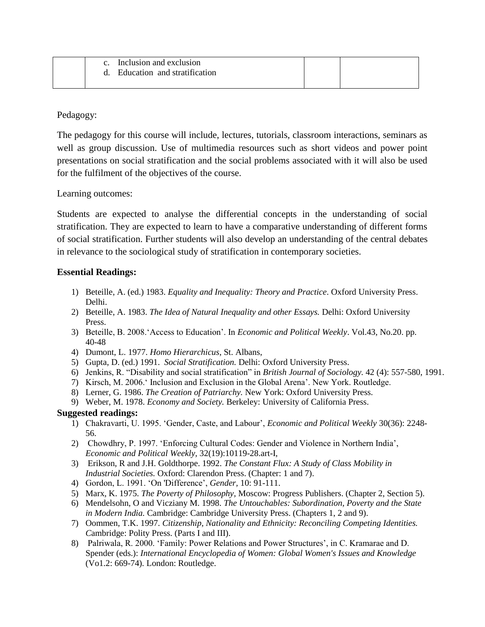| $c_{\cdot}$ | Inclusion and exclusion      |  |
|-------------|------------------------------|--|
|             | Education and stratification |  |
|             |                              |  |

Pedagogy:

The pedagogy for this course will include, lectures, tutorials, classroom interactions, seminars as well as group discussion. Use of multimedia resources such as short videos and power point presentations on social stratification and the social problems associated with it will also be used for the fulfilment of the objectives of the course.

Learning outcomes:

Students are expected to analyse the differential concepts in the understanding of social stratification. They are expected to learn to have a comparative understanding of different forms of social stratification. Further students will also develop an understanding of the central debates in relevance to the sociological study of stratification in contemporary societies.

## **Essential Readings:**

- 1) Beteille, A. (ed.) 1983. *Equality and Inequality: Theory and Practice*. Oxford University Press. Delhi.
- 2) Beteille, A. 1983. *The Idea of Natural Inequality and other Essays.* Delhi: Oxford University Press.
- 3) Beteille, B. 2008.'Access to Education'. In *Economic and Political Weekly*. Vol.43, No.20. pp. 40-48
- 4) Dumont, L. 1977. *Homo Hierarchicus*, St. Albans,
- 5) Gupta, D. (ed.) 1991. *Social Stratification.* Delhi: Oxford University Press.
- 6) Jenkins, R. "Disability and social stratification" in *British Journal of Sociology.* 42 (4): 557-580, 1991.
- 7) Kirsch, M. 2006.' Inclusion and Exclusion in the Global Arena'. New York. Routledge.
- 8) Lerner, G. 1986. *The Creation of Patriarchy.* New York: Oxford University Press.
- 9) Weber, M. 1978. *Economy and Society.* Berkeley: University of California Press.

#### **Suggested readings:**

- 1) Chakravarti, U. 1995. 'Gender, Caste, and Labour', *Economic and Political Weekly* 30(36): 2248- 56.
- 2) Chowdhry, P. 1997. 'Enforcing Cultural Codes: Gender and Violence in Northern India', *Economic and Political Weekly,* 32(19):10119-28.art-I,
- 3) Erikson, R and J.H. Goldthorpe. 1992. *The Constant Flux: A Study of Class Mobility in Industrial Societies.* Oxford: Clarendon Press. (Chapter: 1 and 7).
- 4) Gordon, L. 1991. 'On 'Difference', *Gender,* 10: 91-111.
- 5) Marx, K. 1975. *The Poverty of Philosophy,* Moscow: Progress Publishers. (Chapter 2, Section 5).
- 6) Mendelsohn, O and Vicziany M. 1998. *The Untouchables: Subordination, Poverty and the State in Modern India.* Cambridge: Cambridge University Press. (Chapters 1, 2 and 9).
- 7) Oommen, T.K. 1997. *Citizenship, Nationality and Ethnicity: Reconciling Competing Identities. C*ambridge: Polity Press. (Parts I and III).
- 8) Palriwala, R. 2000. 'Family: Power Relations and Power Structures', in C. Kramarae and D. Spender (eds.): *International Encyclopedia of Women: Global Women's Issues and Knowledge*  (Vo1.2: 669-74)*.* London: Routledge.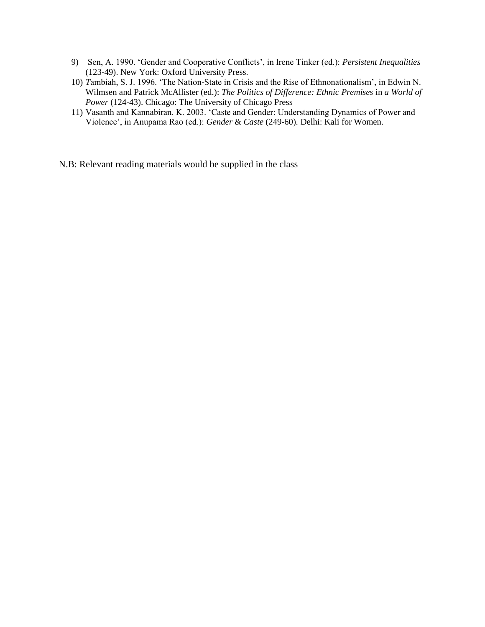- 9) Sen, A. 1990. 'Gender and Cooperative Conflicts', in Irene Tinker (ed.): *Persistent Inequalities*  (123-49). New York: Oxford University Press.
- 10) *T*ambiah, S. J. 1996. 'The Nation-State in Crisis and the Rise of Ethnonationalism', in Edwin N. Wilmsen and Patrick McAllister (ed.): *The Politics of Difference: Ethnic Premises* in *a World of Power* (124-43). Chicago: The University of Chicago Press
- 11) Vasanth and Kannabiran. K. 2003. 'Caste and Gender: Understanding Dynamics of Power and Violence', in Anupama Rao (ed.): *Gender* & *Caste* (249-60)*.* Delhi: Kali for Women.

N.B: Relevant reading materials would be supplied in the class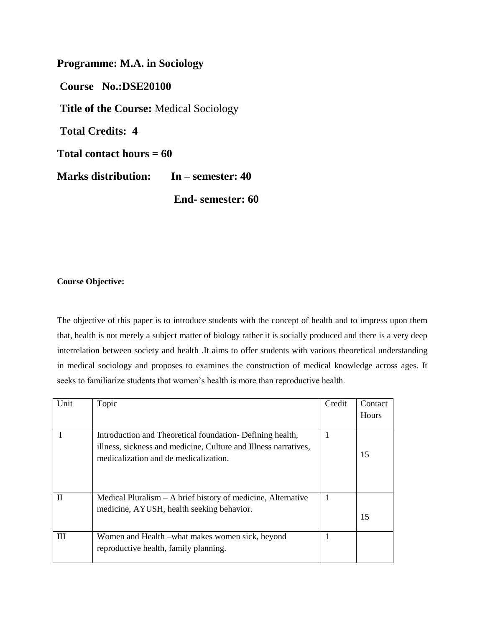**Programme: M.A. in Sociology Course No.:DSE20100 Title of the Course:** Medical Sociology **Total Credits: 4 Total contact hours = 60 Marks distribution: In – semester: 40** 

**End- semester: 60**

#### **Course Objective:**

The objective of this paper is to introduce students with the concept of health and to impress upon them that, health is not merely a subject matter of biology rather it is socially produced and there is a very deep interrelation between society and health .It aims to offer students with various theoretical understanding in medical sociology and proposes to examines the construction of medical knowledge across ages. It seeks to familiarize students that women's health is more than reproductive health.

| Unit         | Topic                                                           | Credit | Contact |
|--------------|-----------------------------------------------------------------|--------|---------|
|              |                                                                 |        | Hours   |
|              |                                                                 |        |         |
|              | Introduction and Theoretical foundation- Defining health,       | 1      |         |
|              | illness, sickness and medicine, Culture and Illness narratives, |        |         |
|              | medicalization and de medicalization.                           |        | 15      |
|              |                                                                 |        |         |
|              |                                                                 |        |         |
|              |                                                                 |        |         |
| $\mathbf{I}$ | Medical Pluralism $- A$ brief history of medicine, Alternative  | 1      |         |
|              | medicine, AYUSH, health seeking behavior.                       |        |         |
|              |                                                                 |        | 15      |
|              |                                                                 |        |         |
| Ш            | Women and Health – what makes women sick, beyond                | 1      |         |
|              | reproductive health, family planning.                           |        |         |
|              |                                                                 |        |         |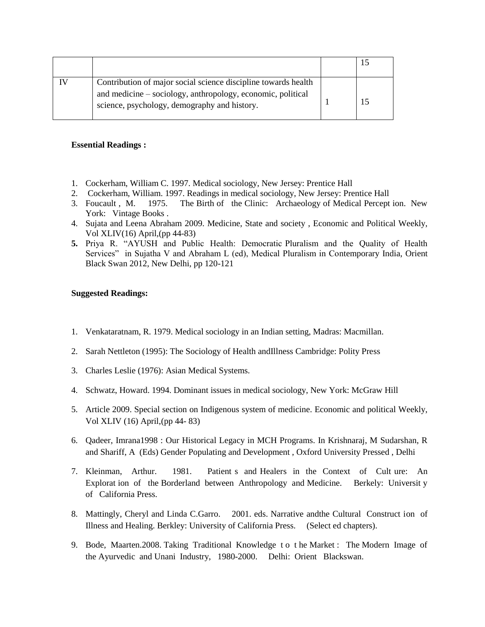| Contribution of major social science discipline towards health<br>and medicine – sociology, anthropology, economic, political<br>science, psychology, demography and history. |  |
|-------------------------------------------------------------------------------------------------------------------------------------------------------------------------------|--|

#### **Essential Readings :**

- 1. Cockerham, William C. 1997. Medical sociology, New Jersey: Prentice Hall
- 2. Cockerham, William. 1997. Readings in medical sociology, New Jersey: Prentice Hall
- 3. Foucault , M. 1975. The Birth of the Clinic: Archaeology of Medical Percept ion. New York: Vintage Books .
- 4. Sujata and Leena Abraham 2009. Medicine, State and society , Economic and Political Weekly, Vol XLIV(16) April,(pp 44-83)
- **5.** Priya R. "AYUSH and Public Health: Democratic Pluralism and the Quality of Health Services" in Sujatha V and Abraham L (ed), Medical Pluralism in Contemporary India, Orient Black Swan 2012, New Delhi, pp 120-121

#### **Suggested Readings:**

- 1. Venkataratnam, R. 1979. Medical sociology in an Indian setting, Madras: Macmillan.
- 2. Sarah Nettleton (1995): The Sociology of Health andIllness Cambridge: Polity Press
- 3. Charles Leslie (1976): Asian Medical Systems.
- 4. Schwatz, Howard. 1994. Dominant issues in medical sociology, New York: McGraw Hill
- 5. Article 2009. Special section on Indigenous system of medicine. Economic and political Weekly, Vol XLIV (16) April,(pp 44- 83)
- 6. Qadeer, Imrana1998 : Our Historical Legacy in MCH Programs. In Krishnaraj, M Sudarshan, R and Shariff, A (Eds) Gender Populating and Development , Oxford University Pressed , Delhi
- 7. Kleinman, Arthur. 1981. Patient s and Healers in the Context of Cult ure: An Explorat ion of the Borderland between Anthropology and Medicine. Berkely: Universit y of California Press.
- 8. Mattingly, Cheryl and Linda C.Garro. 2001. eds. Narrative andthe Cultural Construct ion of Illness and Healing. Berkley: University of California Press. (Select ed chapters).
- 9. Bode, Maarten.2008. Taking Traditional Knowledge t o t he Market : The Modern Image of the Ayurvedic and Unani Industry, 1980-2000. Delhi: Orient Blackswan.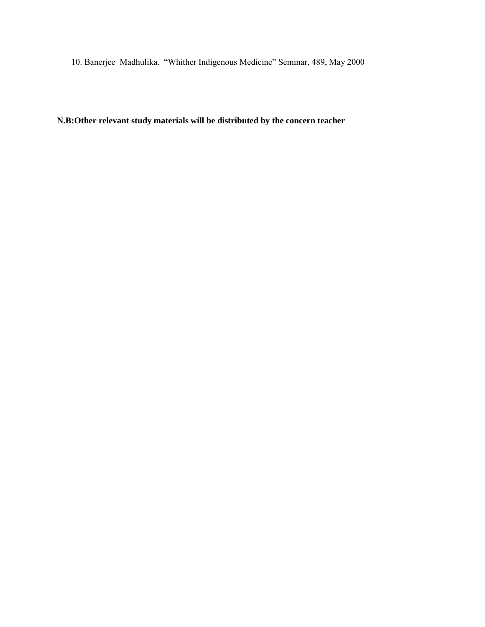10. Banerjee Madhulika. "Whither Indigenous Medicine" Seminar, 489, May 2000

**N.B:Other relevant study materials will be distributed by the concern teacher**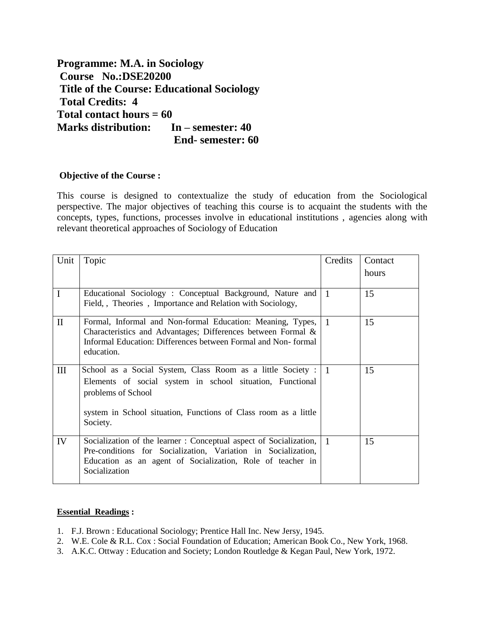**Programme: M.A. in Sociology Course No.:DSE20200 Title of the Course: Educational Sociology Total Credits: 4 Total contact hours = 60 Marks distribution: In – semester: 40 End- semester: 60**

#### **Objective of the Course :**

This course is designed to contextualize the study of education from the Sociological perspective. The major objectives of teaching this course is to acquaint the students with the concepts, types, functions, processes involve in educational institutions , agencies along with relevant theoretical approaches of Sociology of Education

| Unit         | Topic                                                                                                                                                                                                                           | Credits   | Contact<br>hours |
|--------------|---------------------------------------------------------------------------------------------------------------------------------------------------------------------------------------------------------------------------------|-----------|------------------|
| $\mathbf{I}$ | Educational Sociology : Conceptual Background, Nature and<br>Field,, Theories, Importance and Relation with Sociology,                                                                                                          | $\vert$ 1 | 15               |
| $\mathbf{I}$ | Formal, Informal and Non-formal Education: Meaning, Types, 1<br>Characteristics and Advantages; Differences between Formal &<br>Informal Education: Differences between Formal and Non-formal<br>education.                     |           | 15               |
| III          | School as a Social System, Class Room as a little Society : 1<br>Elements of social system in school situation, Functional<br>problems of School<br>system in School situation, Functions of Class room as a little<br>Society. |           | 15               |
| IV           | Socialization of the learner: Conceptual aspect of Socialization,<br>Pre-conditions for Socialization, Variation in Socialization,<br>Education as an agent of Socialization, Role of teacher in<br>Socialization               | $\vert$ 1 | 15               |

#### **Essential Readings :**

- 1. F.J. Brown : Educational Sociology; Prentice Hall Inc. New Jersy, 1945.
- 2. W.E. Cole & R.L. Cox : Social Foundation of Education; American Book Co., New York, 1968.
- 3. A.K.C. Ottway : Education and Society; London Routledge & Kegan Paul, New York, 1972.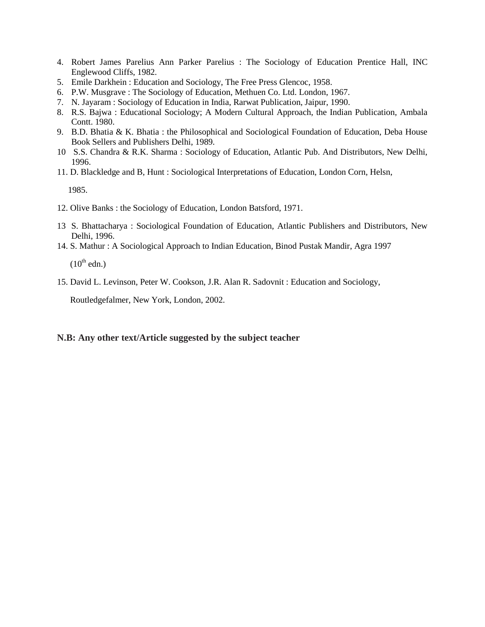- 4. Robert James Parelius Ann Parker Parelius : The Sociology of Education Prentice Hall, INC Englewood Cliffs, 1982.
- 5. Emile Darkhein : Education and Sociology, The Free Press Glencoc, 1958.
- 6. P.W. Musgrave : The Sociology of Education, Methuen Co. Ltd. London, 1967.
- 7. N. Jayaram : Sociology of Education in India, Rarwat Publication, Jaipur, 1990.
- 8. R.S. Bajwa : Educational Sociology; A Modern Cultural Approach, the Indian Publication, Ambala Contt. 1980.
- 9. B.D. Bhatia & K. Bhatia : the Philosophical and Sociological Foundation of Education, Deba House Book Sellers and Publishers Delhi, 1989.
- 10 S.S. Chandra & R.K. Sharma : Sociology of Education, Atlantic Pub. And Distributors, New Delhi, 1996.
- 11. D. Blackledge and B, Hunt : Sociological Interpretations of Education, London Corn, Helsn,

1985.

- 12. Olive Banks : the Sociology of Education, London Batsford, 1971.
- 13 S. Bhattacharya : Sociological Foundation of Education, Atlantic Publishers and Distributors, New Delhi, 1996.
- 14. S. Mathur : A Sociological Approach to Indian Education, Binod Pustak Mandir, Agra 1997

 $(10^{th}$  edn.)

15. David L. Levinson, Peter W. Cookson, J.R. Alan R. Sadovnit : Education and Sociology,

Routledgefalmer, New York, London, 2002.

#### **N.B: Any other text/Article suggested by the subject teacher**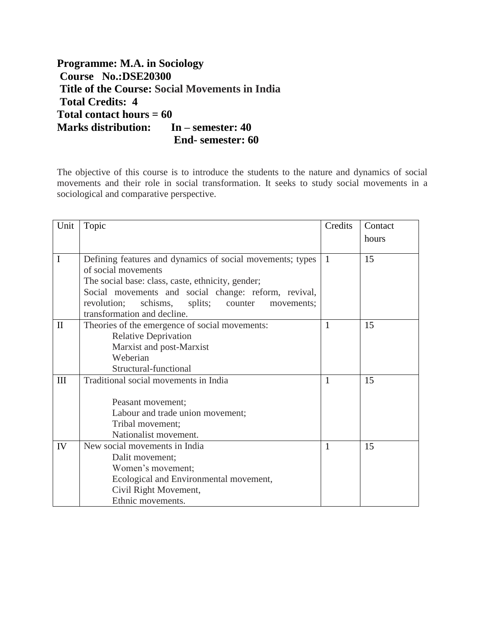**Programme: M.A. in Sociology Course No.:DSE20300 Title of the Course: Social Movements in India Total Credits: 4 Total contact hours = 60 Marks distribution: In – semester: 40 End- semester: 60**

The objective of this course is to introduce the students to the nature and dynamics of social movements and their role in social transformation. It seeks to study social movements in a sociological and comparative perspective.

| Unit         | Topic                                                       | Credits      | Contact |
|--------------|-------------------------------------------------------------|--------------|---------|
|              |                                                             |              | hours   |
|              |                                                             |              |         |
| $\mathbf I$  | Defining features and dynamics of social movements; types   | -1           | 15      |
|              | of social movements                                         |              |         |
|              | The social base: class, caste, ethnicity, gender;           |              |         |
|              | Social movements and social change: reform, revival,        |              |         |
|              | revolution;<br>schisms,<br>splits;<br>counter<br>movements; |              |         |
|              | transformation and decline.                                 |              |         |
| $\mathbf{I}$ | Theories of the emergence of social movements:              | $\mathbf{1}$ | 15      |
|              | <b>Relative Deprivation</b>                                 |              |         |
|              | Marxist and post-Marxist                                    |              |         |
|              | Weberian                                                    |              |         |
|              | Structural-functional                                       |              |         |
| III          | Traditional social movements in India                       | $\mathbf{1}$ | 15      |
|              |                                                             |              |         |
|              | Peasant movement;                                           |              |         |
|              | Labour and trade union movement;                            |              |         |
|              | Tribal movement;                                            |              |         |
|              | Nationalist movement.                                       |              |         |
| IV           | New social movements in India                               | $\mathbf{1}$ | 15      |
|              | Dalit movement;                                             |              |         |
|              | Women's movement;                                           |              |         |
|              | Ecological and Environmental movement,                      |              |         |
|              | Civil Right Movement,                                       |              |         |
|              | Ethnic movements.                                           |              |         |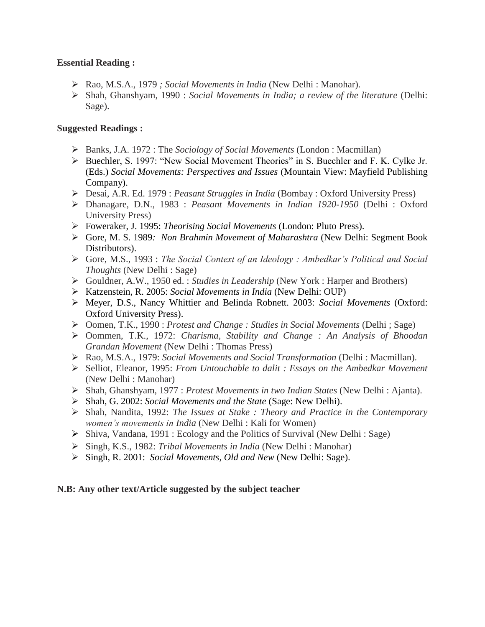## **Essential Reading :**

- Rao, M.S.A., 1979 *; Social Movements in India* (New Delhi : Manohar).
- Shah, Ghanshyam, 1990 : *Social Movements in India; a review of the literature* (Delhi: Sage).

## **Suggested Readings :**

- Banks, J.A. 1972 : The *Sociology of Social Movements* (London : Macmillan)
- Buechler, S. 1997: "New Social Movement Theories" in S. Buechler and F. K. Cylke Jr. (Eds.) *Social Movements: Perspectives and Issues* (Mountain View: Mayfield Publishing Company).
- Desai, A.R. Ed. 1979 : *Peasant Struggles in India* (Bombay : Oxford University Press)
- Dhanagare, D.N., 1983 : *Peasant Movements in Indian 1920-1950* (Delhi : Oxford University Press)
- Foweraker, J. 1995: *Theorising Social Movements* (London: Pluto Press).
- Gore, M. S. 1989*: Non Brahmin Movement of Maharashtra* (New Delhi: Segment Book Distributors).
- Gore, M.S., 1993 : *The Social Context of an Ideology : Ambedkar's Political and Social Thoughts* (New Delhi : Sage)
- Gouldner, A.W., 1950 ed. : *Studies in Leadership* (New York : Harper and Brothers)
- Katzenstein, R. 2005: *Social Movements in India* (New Delhi: OUP)
- Meyer, D.S., Nancy Whittier and Belinda Robnett. 2003: *Social Movements* (Oxford: Oxford University Press).
- Oomen, T.K., 1990 : *Protest and Change : Studies in Social Movements* (Delhi ; Sage)
- Oommen, T.K., 1972: *Charisma, Stability and Change : An Analysis of Bhoodan Grandan Movement* (New Delhi : Thomas Press)
- Rao, M.S.A., 1979: *Social Movements and Social Transformation* (Delhi : Macmillan).
- Selliot, Eleanor, 1995: *From Untouchable to dalit : Essays on the Ambedkar Movement*  (New Delhi : Manohar)
- Shah, Ghanshyam, 1977 : *Protest Movements in two Indian States* (New Delhi : Ajanta).
- Shah, G. 2002: *Social Movements and the State* (Sage: New Delhi).
- Shah, Nandita, 1992: *The Issues at Stake : Theory and Practice in the Contemporary women's movements in India* (New Delhi : Kali for Women)
- $\triangleright$  Shiva, Vandana, 1991 : Ecology and the Politics of Survival (New Delhi : Sage)
- Singh, K.S., 1982: *Tribal Movements in India* (New Delhi : Manohar)
- Singh, R. 2001: *Social Movements, Old and New* (New Delhi: Sage).

#### **N.B: Any other text/Article suggested by the subject teacher**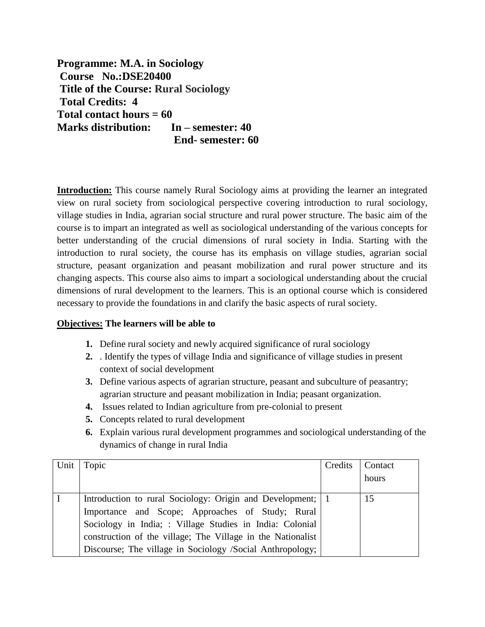**Programme: M.A. in Sociology Course No.:DSE20400 Title of the Course: Rural Sociology Total Credits: 4 Total contact hours = 60 Marks distribution: In – semester: 40 End- semester: 60**

**Introduction:** This course namely Rural Sociology aims at providing the learner an integrated view on rural society from sociological perspective covering introduction to rural sociology, village studies in India, agrarian social structure and rural power structure. The basic aim of the course is to impart an integrated as well as sociological understanding of the various concepts for better understanding of the crucial dimensions of rural society in India. Starting with the introduction to rural society, the course has its emphasis on village studies, agrarian social structure, peasant organization and peasant mobilization and rural power structure and its changing aspects. This course also aims to impart a sociological understanding about the crucial dimensions of rural development to the learners. This is an optional course which is considered necessary to provide the foundations in and clarify the basic aspects of rural society.

## **Objectives: The learners will be able to**

- **1.** Define rural society and newly acquired significance of rural sociology
- **2.** . Identify the types of village India and significance of village studies in present context of social development
- **3.** Define various aspects of agrarian structure, peasant and subculture of peasantry; agrarian structure and peasant mobilization in India; peasant organization.
- **4.** Issues related to Indian agriculture from pre-colonial to present
- **5.** Concepts related to rural development
- **6.** Explain various rural development programmes and sociological understanding of the dynamics of change in rural India

| Unit | Topic                                                       | Credits | Contact |
|------|-------------------------------------------------------------|---------|---------|
|      |                                                             |         | hours   |
|      | Introduction to rural Sociology: Origin and Development; 1  |         | 15      |
|      | Importance and Scope; Approaches of Study; Rural            |         |         |
|      | Sociology in India; : Village Studies in India: Colonial    |         |         |
|      | construction of the village; The Village in the Nationalist |         |         |
|      | Discourse; The village in Sociology /Social Anthropology;   |         |         |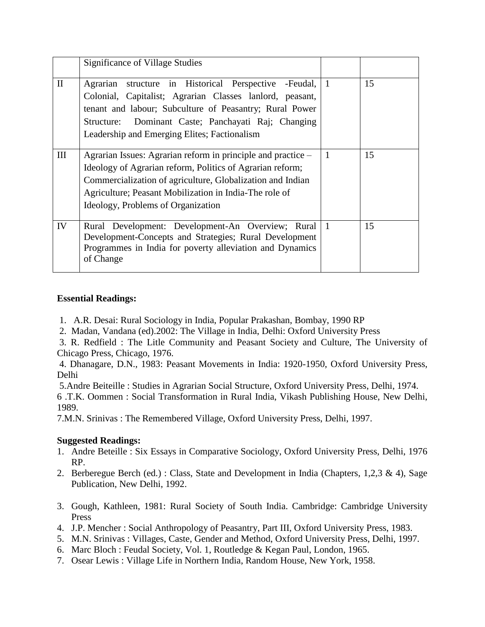|              | <b>Significance of Village Studies</b>                                                                                                                                                                                                                                                  |                |    |
|--------------|-----------------------------------------------------------------------------------------------------------------------------------------------------------------------------------------------------------------------------------------------------------------------------------------|----------------|----|
| $\mathbf{I}$ | Agrarian structure in Historical Perspective -Feudal,<br>Colonial, Capitalist; Agrarian Classes lanlord, peasant,<br>tenant and labour; Subculture of Peasantry; Rural Power<br>Structure: Dominant Caste; Panchayati Raj; Changing<br>Leadership and Emerging Elites; Factionalism     |                | 15 |
| III          | Agrarian Issues: Agrarian reform in principle and practice –<br>Ideology of Agrarian reform, Politics of Agrarian reform;<br>Commercialization of agriculture, Globalization and Indian<br>Agriculture; Peasant Mobilization in India-The role of<br>Ideology, Problems of Organization | $\overline{1}$ | 15 |
| IV           | Rural Development: Development-An Overview; Rural<br>Development-Concepts and Strategies; Rural Development<br>Programmes in India for poverty alleviation and Dynamics<br>of Change                                                                                                    |                | 15 |

## **Essential Readings:**

- 1. A.R. Desai: Rural Sociology in India, Popular Prakashan, Bombay, 1990 RP
- 2. Madan, Vandana (ed).2002: The Village in India, Delhi: Oxford University Press
- 3. R. Redfield : The Litle Community and Peasant Society and Culture, The University of Chicago Press, Chicago, 1976.

4. Dhanagare, D.N., 1983: Peasant Movements in India: 1920-1950, Oxford University Press, Delhi

5.Andre Beiteille : Studies in Agrarian Social Structure, Oxford University Press, Delhi, 1974.

6 .T.K. Oommen : Social Transformation in Rural India, Vikash Publishing House, New Delhi, 1989.

7.M.N. Srinivas : The Remembered Village, Oxford University Press, Delhi, 1997.

# **Suggested Readings:**

- 1. Andre Beteille : Six Essays in Comparative Sociology, Oxford University Press, Delhi, 1976 RP.
- 2. Berberegue Berch (ed.) : Class, State and Development in India (Chapters, 1,2,3 & 4), Sage Publication, New Delhi, 1992.
- 3. Gough, Kathleen, 1981: Rural Society of South India. Cambridge: Cambridge University Press
- 4. J.P. Mencher : Social Anthropology of Peasantry, Part III, Oxford University Press, 1983.
- 5. M.N. Srinivas : Villages, Caste, Gender and Method, Oxford University Press, Delhi, 1997.
- 6. Marc Bloch : Feudal Society, Vol. 1, Routledge & Kegan Paul, London, 1965.
- 7. Osear Lewis : Village Life in Northern India, Random House, New York, 1958.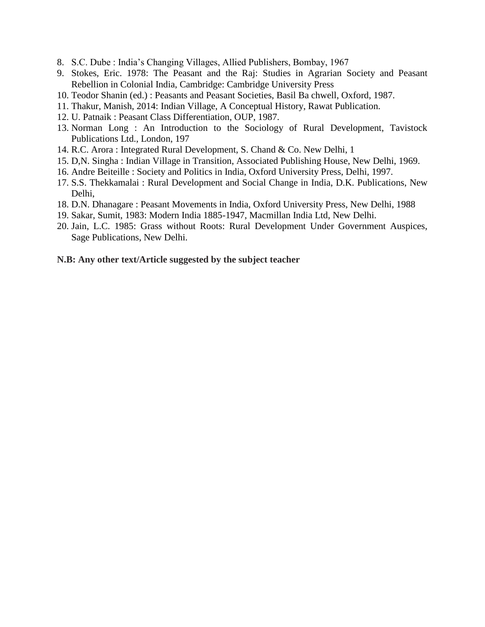- 8. S.C. Dube : India's Changing Villages, Allied Publishers, Bombay, 1967
- 9. Stokes, Eric. 1978: The Peasant and the Raj: Studies in Agrarian Society and Peasant Rebellion in Colonial India, Cambridge: Cambridge University Press
- 10. Teodor Shanin (ed.) : Peasants and Peasant Societies, Basil Ba chwell, Oxford, 1987.
- 11. Thakur, Manish, 2014: Indian Village, A Conceptual History, Rawat Publication.
- 12. U. Patnaik : Peasant Class Differentiation, OUP, 1987.
- 13. Norman Long : An Introduction to the Sociology of Rural Development, Tavistock Publications Ltd., London, 197
- 14. R.C. Arora : Integrated Rural Development, S. Chand & Co. New Delhi, 1
- 15. D,N. Singha : Indian Village in Transition, Associated Publishing House, New Delhi, 1969.
- 16. Andre Beiteille : Society and Politics in India, Oxford University Press, Delhi, 1997.
- 17. S.S. Thekkamalai : Rural Development and Social Change in India, D.K. Publications, New Delhi,
- 18. D.N. Dhanagare : Peasant Movements in India, Oxford University Press, New Delhi, 1988
- 19. Sakar, Sumit, 1983: Modern India 1885-1947, Macmillan India Ltd, New Delhi.
- 20. Jain, L.C. 1985: Grass without Roots: Rural Development Under Government Auspices, Sage Publications, New Delhi.

#### **N.B: Any other text/Article suggested by the subject teacher**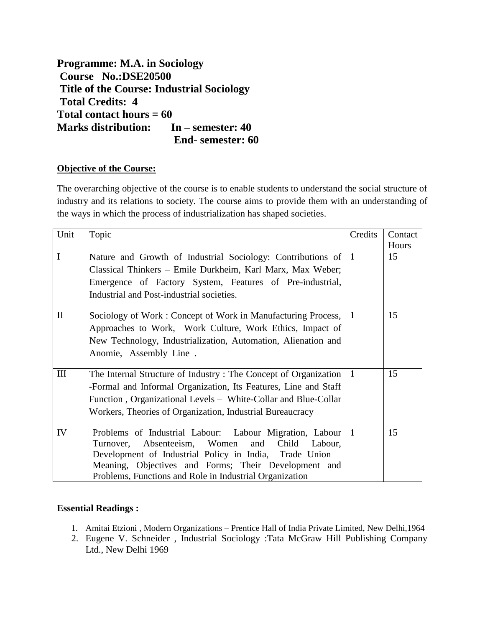**Programme: M.A. in Sociology Course No.:DSE20500 Title of the Course: Industrial Sociology Total Credits: 4 Total contact hours = 60 Marks distribution: In – semester: 40 End- semester: 60**

## **Objective of the Course:**

The overarching objective of the course is to enable students to understand the social structure of industry and its relations to society. The course aims to provide them with an understanding of the ways in which the process of industrialization has shaped societies.

| Unit         | Topic                                                           | Credits      | Contact |
|--------------|-----------------------------------------------------------------|--------------|---------|
|              |                                                                 |              | Hours   |
| $\mathbf I$  | Nature and Growth of Industrial Sociology: Contributions of   1 |              | 15      |
|              | Classical Thinkers – Emile Durkheim, Karl Marx, Max Weber;      |              |         |
|              | Emergence of Factory System, Features of Pre-industrial,        |              |         |
|              | Industrial and Post-industrial societies.                       |              |         |
| $\mathbf{I}$ | Sociology of Work: Concept of Work in Manufacturing Process,    | $\mathbf{1}$ | 15      |
|              | Approaches to Work, Work Culture, Work Ethics, Impact of        |              |         |
|              | New Technology, Industrialization, Automation, Alienation and   |              |         |
|              | Anomie, Assembly Line.                                          |              |         |
|              |                                                                 |              |         |
| Ш            | The Internal Structure of Industry: The Concept of Organization | $\mathbf{1}$ | 15      |
|              | -Formal and Informal Organization, Its Features, Line and Staff |              |         |
|              | Function, Organizational Levels – White-Collar and Blue-Collar  |              |         |
|              | Workers, Theories of Organization, Industrial Bureaucracy       |              |         |
|              |                                                                 |              |         |
| IV           | Problems of Industrial Labour: Labour Migration, Labour   1     |              | 15      |
|              | and Child Labour,<br>Absenteeism, Women<br>Turnover,            |              |         |
|              | Development of Industrial Policy in India, Trade Union -        |              |         |
|              | Meaning, Objectives and Forms; Their Development and            |              |         |
|              | Problems, Functions and Role in Industrial Organization         |              |         |

## **Essential Readings :**

- 1. Amitai Etzioni , Modern Organizations Prentice Hall of India Private Limited, New Delhi,1964
- 2. Eugene V. Schneider , Industrial Sociology :Tata McGraw Hill Publishing Company Ltd., New Delhi 1969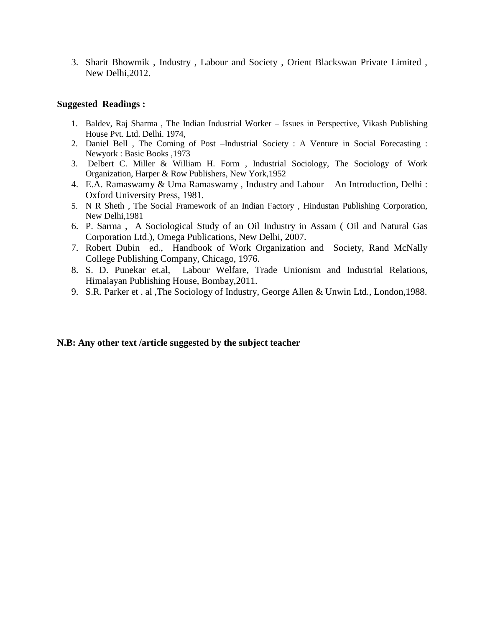3. Sharit Bhowmik , Industry , Labour and Society , Orient Blackswan Private Limited , New Delhi,2012.

#### **Suggested Readings :**

- 1. Baldev, Raj Sharma , The Indian Industrial Worker Issues in Perspective, Vikash Publishing House Pvt. Ltd. Delhi. 1974,
- 2. Daniel Bell , The Coming of Post –Industrial Society : A Venture in Social Forecasting : Newyork : Basic Books ,1973
- 3. Delbert C. Miller & William H. Form , Industrial Sociology, The Sociology of Work Organization, Harper & Row Publishers, New York,1952
- 4. E.A. Ramaswamy & Uma Ramaswamy , Industry and Labour An Introduction, Delhi : Oxford University Press, 1981.
- 5. N R Sheth , The Social Framework of an Indian Factory , Hindustan Publishing Corporation, New Delhi,1981
- 6. P. Sarma , A Sociological Study of an Oil Industry in Assam ( Oil and Natural Gas Corporation Ltd.), Omega Publications, New Delhi, 2007.
- 7. Robert Dubin ed., Handbook of Work Organization and Society, Rand McNally College Publishing Company, Chicago, 1976.
- 8. S. D. Punekar et.al, Labour Welfare, Trade Unionism and Industrial Relations, Himalayan Publishing House, Bombay,2011.
- 9. S.R. Parker et . al ,The Sociology of Industry, George Allen & Unwin Ltd., London,1988.

#### **N.B: Any other text /article suggested by the subject teacher**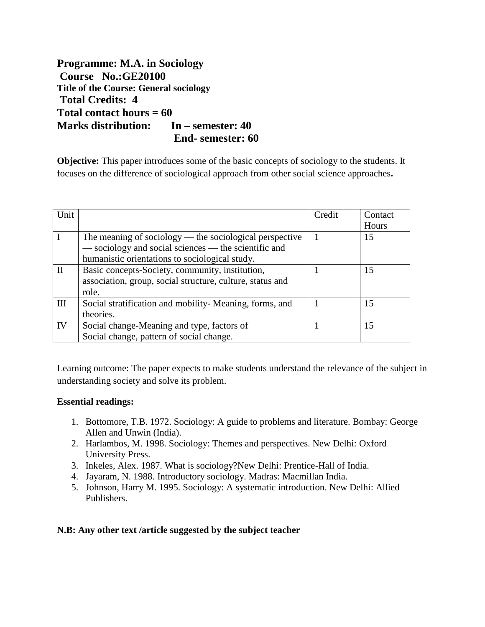**Programme: M.A. in Sociology Course No.:GE20100 Title of the Course: General sociology Total Credits: 4 Total contact hours = 60 Marks distribution: In – semester: 40 End- semester: 60**

**Objective:** This paper introduces some of the basic concepts of sociology to the students. It focuses on the difference of sociological approach from other social science approaches**.**

| Unit |                                                           | Credit | Contact |
|------|-----------------------------------------------------------|--------|---------|
|      |                                                           |        | Hours   |
|      | The meaning of sociology — the sociological perspective   |        | 15      |
|      | — sociology and social sciences — the scientific and      |        |         |
|      | humanistic orientations to sociological study.            |        |         |
| П    | Basic concepts-Society, community, institution,           |        | 15      |
|      | association, group, social structure, culture, status and |        |         |
|      | role.                                                     |        |         |
| Ш    | Social stratification and mobility- Meaning, forms, and   |        | 15      |
|      | theories.                                                 |        |         |
| IV   | Social change-Meaning and type, factors of                |        | 15      |
|      | Social change, pattern of social change.                  |        |         |

Learning outcome: The paper expects to make students understand the relevance of the subject in understanding society and solve its problem.

# **Essential readings:**

- 1. Bottomore, T.B. 1972. Sociology: A guide to problems and literature. Bombay: George Allen and Unwin (India).
- 2. Harlambos, M. 1998. Sociology: Themes and perspectives. New Delhi: Oxford University Press.
- 3. Inkeles, Alex. 1987. What is sociology?New Delhi: Prentice-Hall of India.
- 4. Jayaram, N. 1988. Introductory sociology. Madras: Macmillan India.
- 5. Johnson, Harry M. 1995. Sociology: A systematic introduction. New Delhi: Allied Publishers.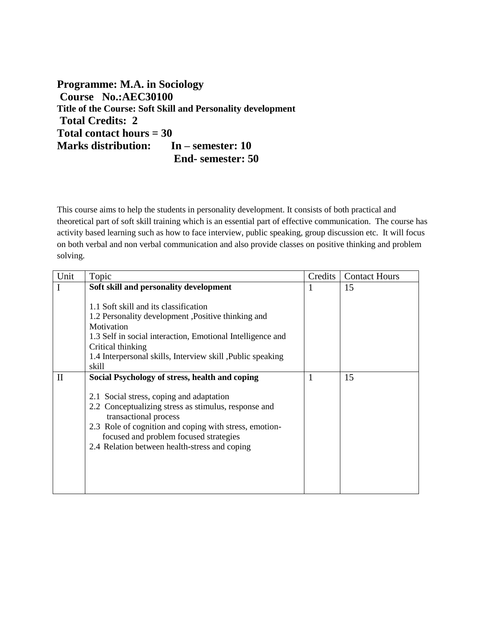**Programme: M.A. in Sociology Course No.:AEC30100 Title of the Course: Soft Skill and Personality development Total Credits: 2 Total contact hours = 30 Marks distribution: In – semester: 10 End- semester: 50**

This course aims to help the students in personality development. It consists of both practical and theoretical part of soft skill training which is an essential part of effective communication. The course has activity based learning such as how to face interview, public speaking, group discussion etc. It will focus on both verbal and non verbal communication and also provide classes on positive thinking and problem solving.

| Unit         | Topic                                                      | Credits | <b>Contact Hours</b> |
|--------------|------------------------------------------------------------|---------|----------------------|
| I            | Soft skill and personality development                     | 1       | 15                   |
|              |                                                            |         |                      |
|              | 1.1 Soft skill and its classification                      |         |                      |
|              | 1.2 Personality development , Positive thinking and        |         |                      |
|              | Motivation                                                 |         |                      |
|              | 1.3 Self in social interaction, Emotional Intelligence and |         |                      |
|              | Critical thinking                                          |         |                      |
|              | 1.4 Interpersonal skills, Interview skill, Public speaking |         |                      |
|              | skill                                                      |         |                      |
| $\mathbf{I}$ | Social Psychology of stress, health and coping             | 1       | 15                   |
|              |                                                            |         |                      |
|              | 2.1 Social stress, coping and adaptation                   |         |                      |
|              | 2.2 Conceptualizing stress as stimulus, response and       |         |                      |
|              | transactional process                                      |         |                      |
|              | 2.3 Role of cognition and coping with stress, emotion-     |         |                      |
|              | focused and problem focused strategies                     |         |                      |
|              | 2.4 Relation between health-stress and coping              |         |                      |
|              |                                                            |         |                      |
|              |                                                            |         |                      |
|              |                                                            |         |                      |
|              |                                                            |         |                      |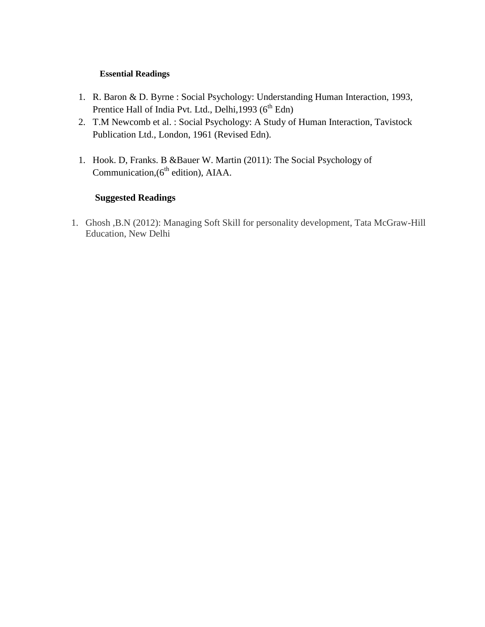# **Essential Readings**

- 1. R. Baron & D. Byrne : Social Psychology: Understanding Human Interaction, 1993, Prentice Hall of India Pvt. Ltd., Delhi,  $1993 (6<sup>th</sup> Edn)$
- 2. T.M Newcomb et al. : Social Psychology: A Study of Human Interaction, Tavistock Publication Ltd., London, 1961 (Revised Edn).
- 1. Hook. D, Franks. B &Bauer W. Martin (2011): The Social Psychology of Communication,(6<sup>th</sup> edition), AIAA.

# **Suggested Readings**

1. Ghosh ,B.N (2012): Managing Soft Skill for personality development, Tata McGraw-Hill Education, New Delhi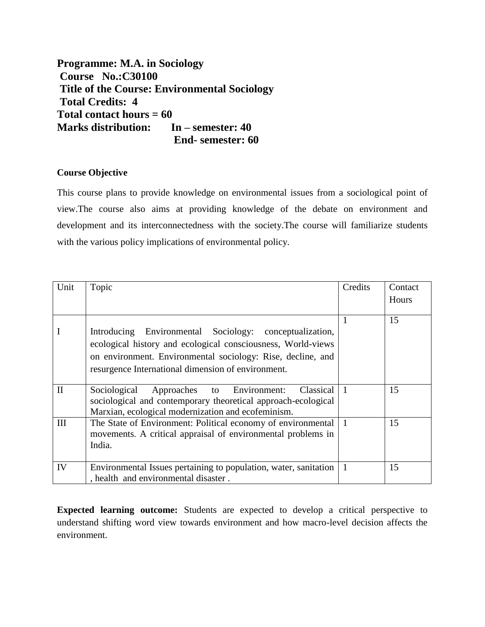**Programme: M.A. in Sociology Course No.:C30100 Title of the Course: Environmental Sociology Total Credits: 4 Total contact hours = 60 Marks distribution: In – semester: 40 End- semester: 60**

# **Course Objective**

This course plans to provide knowledge on environmental issues from a sociological point of view.The course also aims at providing knowledge of the debate on environment and development and its interconnectedness with the society.The course will familiarize students with the various policy implications of environmental policy.

| Unit         | Topic                                                            | Credits   | Contact |
|--------------|------------------------------------------------------------------|-----------|---------|
|              |                                                                  |           | Hours   |
|              |                                                                  |           |         |
|              |                                                                  |           | 15      |
|              | Introducing Environmental Sociology: conceptualization,          |           |         |
|              | ecological history and ecological consciousness, World-views     |           |         |
|              | on environment. Environmental sociology: Rise, decline, and      |           |         |
|              | resurgence International dimension of environment.               |           |         |
|              |                                                                  |           |         |
| $\mathbf{I}$ | Classical<br>Sociological Approaches to Environment:             | $\vert$ 1 | 15      |
|              | sociological and contemporary theoretical approach-ecological    |           |         |
|              | Marxian, ecological modernization and ecofeminism.               |           |         |
| III          | The State of Environment: Political economy of environmental     |           | 15      |
|              | movements. A critical appraisal of environmental problems in     |           |         |
|              | India.                                                           |           |         |
|              |                                                                  |           |         |
| IV           | Environmental Issues pertaining to population, water, sanitation |           | 15      |
|              | , health and environmental disaster.                             |           |         |

**Expected learning outcome:** Students are expected to develop a critical perspective to understand shifting word view towards environment and how macro-level decision affects the environment.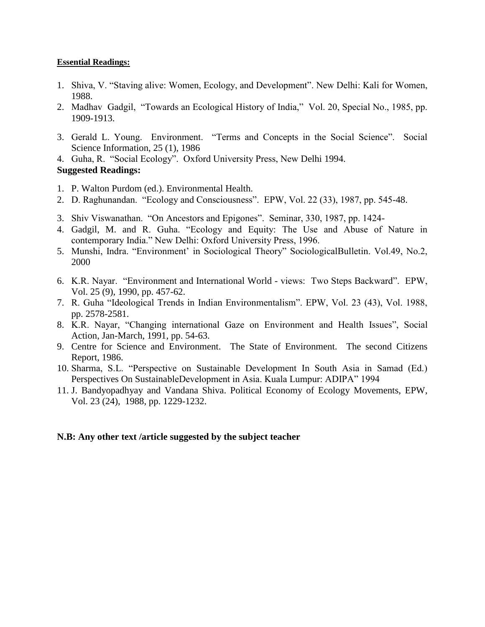### **Essential Readings:**

- 1. Shiva, V. "Staving alive: Women, Ecology, and Development". New Delhi: Kali for Women, 1988.
- 2. Madhav Gadgil, "Towards an Ecological History of India," Vol. 20, Special No., 1985, pp. 1909-1913.
- 3. Gerald L. Young. Environment. "Terms and Concepts in the Social Science". Social Science Information, 25 (1), 1986
- 4. Guha, R. "Social Ecology". Oxford University Press, New Delhi 1994.

# **Suggested Readings:**

- 1. P. Walton Purdom (ed.). Environmental Health.
- 2. D. Raghunandan. "Ecology and Consciousness". EPW, Vol. 22 (33), 1987, pp. 545-48.
- 3. Shiv Viswanathan. "On Ancestors and Epigones". Seminar, 330, 1987, pp. 1424-
- 4. Gadgil, M. and R. Guha. "Ecology and Equity: The Use and Abuse of Nature in contemporary India." New Delhi: Oxford University Press, 1996.
- 5. Munshi, Indra. "Environment' in Sociological Theory" SociologicalBulletin. Vol.49, No.2, 2000
- 6. K.R. Nayar. "Environment and International World views: Two Steps Backward". EPW, Vol. 25 (9), 1990, pp. 457-62.
- 7. R. Guha "Ideological Trends in Indian Environmentalism". EPW, Vol. 23 (43), Vol. 1988, pp. 2578-2581.
- 8. K.R. Nayar, "Changing international Gaze on Environment and Health Issues", Social Action, Jan-March, 1991, pp. 54-63.
- 9. Centre for Science and Environment. The State of Environment. The second Citizens Report, 1986.
- 10. Sharma, S.L. "Perspective on Sustainable Development In South Asia in Samad (Ed.) Perspectives On SustainableDevelopment in Asia. Kuala Lumpur: ADIPA" 1994
- 11. J. Bandyopadhyay and Vandana Shiva. Political Economy of Ecology Movements, EPW, Vol. 23 (24), 1988, pp. 1229-1232.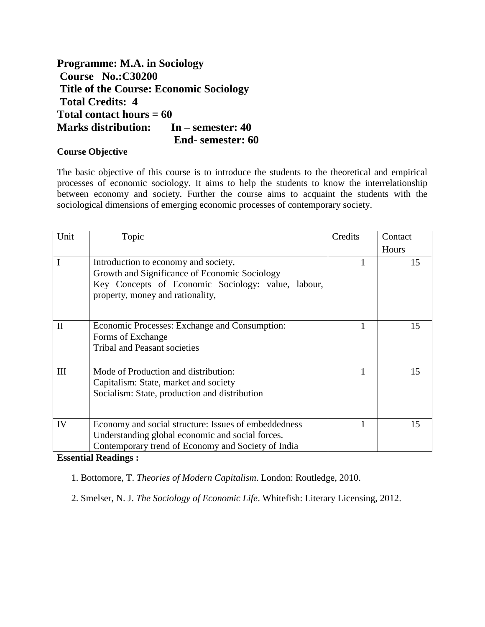**Programme: M.A. in Sociology Course No.:C30200 Title of the Course: Economic Sociology Total Credits: 4 Total contact hours = 60 Marks distribution: In – semester: 40 End- semester: 60**

# **Course Objective**

The basic objective of this course is to introduce the students to the theoretical and empirical processes of economic sociology. It aims to help the students to know the interrelationship between economy and society. Further the course aims to acquaint the students with the sociological dimensions of emerging economic processes of contemporary society.

| Unit         | Topic                                                                                                                                                                           | Credits | Contact |
|--------------|---------------------------------------------------------------------------------------------------------------------------------------------------------------------------------|---------|---------|
|              |                                                                                                                                                                                 |         | Hours   |
| I            | Introduction to economy and society,<br>Growth and Significance of Economic Sociology<br>Key Concepts of Economic Sociology: value, labour,<br>property, money and rationality, |         | 15      |
| $\mathbf{I}$ | Economic Processes: Exchange and Consumption:<br>Forms of Exchange<br><b>Tribal and Peasant societies</b>                                                                       |         | 15      |
| III          | Mode of Production and distribution:<br>Capitalism: State, market and society<br>Socialism: State, production and distribution                                                  |         | 15      |
| IV           | Economy and social structure: Issues of embeddedness<br>Understanding global economic and social forces.<br>Contemporary trend of Economy and Society of India                  |         | 15      |

**Essential Readings :**

1. Bottomore, T. *Theories of Modern Capitalism*. London: Routledge, 2010.

2. Smelser, N. J. *The Sociology of Economic Life*. Whitefish: Literary Licensing, 2012.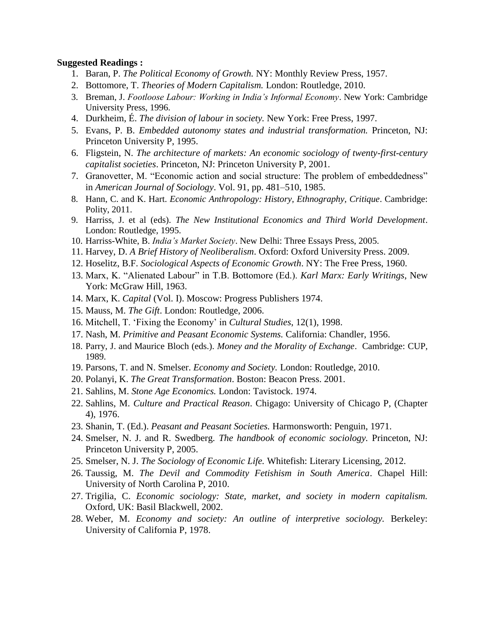### **Suggested Readings :**

- 1. Baran, P. *The Political Economy of Growth.* NY: Monthly Review Press, 1957.
- 2. Bottomore, T. *Theories of Modern Capitalism.* London: Routledge, 2010.
- 3. Breman, J. *Footloose Labour: Working in India's Informal Economy*. New York: Cambridge University Press, 1996.
- 4. Durkheim, É. *The division of labour in society.* New York: Free Press, 1997.
- 5. Evans, P. B. *Embedded autonomy states and industrial transformation.* Princeton, NJ: Princeton University P, 1995.
- 6. Fligstein, N. *The architecture of markets: An economic sociology of twenty-first-century capitalist societies*. Princeton, NJ: Princeton University P, 2001.
- 7. Granovetter, M. "Economic action and social structure: The problem of embeddedness" in *American Journal of Sociology*. Vol. 91, pp. 481–510, 1985.
- 8. Hann, C. and K. Hart. *Economic Anthropology: History, Ethnography, Critique*. Cambridge: Polity, 2011.
- 9. Harriss, J. et al (eds). *The New Institutional Economics and Third World Development*. London: Routledge, 1995.
- 10. Harriss-White, B. *India's Market Society*. New Delhi: Three Essays Press, 2005.
- 11. Harvey, D. *A Brief History of Neoliberalism*. Oxford: Oxford University Press. 2009.
- 12. Hoselitz, B.F. *Sociological Aspects of Economic Growth*. NY: The Free Press, 1960.
- 13. Marx, K. "Alienated Labour" in T.B. Bottomore (Ed.). *Karl Marx: Early Writings*, New York: McGraw Hill, 1963.
- 14. Marx, K. *Capital* (Vol. I). Moscow: Progress Publishers 1974.
- 15. Mauss, M. *The Gift*. London: Routledge, 2006.
- 16. Mitchell, T. 'Fixing the Economy' in *Cultural Studies*, 12(1), 1998.
- 17. Nash, M. *Primitive and Peasant Economic Systems.* California: Chandler, 1956.
- 18. Parry, J. and Maurice Bloch (eds.). *Money and the Morality of Exchange*. Cambridge: CUP, 1989.
- 19. Parsons, T. and N. Smelser. *Economy and Society.* London: Routledge, 2010.
- 20. Polanyi, K. *The Great Transformation*. Boston: Beacon Press. 2001.
- 21. Sahlins, M. *Stone Age Economics.* London: Tavistock. 1974.
- 22. Sahlins, M. *Culture and Practical Reason*. Chigago: University of Chicago P, (Chapter 4), 1976.
- 23. Shanin, T. (Ed.). *Peasant and Peasant Societies.* Harmonsworth: Penguin, 1971.
- 24. Smelser, N. J. and R. Swedberg. *The handbook of economic sociology.* Princeton, NJ: Princeton University P, 2005.
- 25. Smelser, N. J. *The Sociology of Economic Life.* Whitefish: Literary Licensing, 2012.
- 26. Taussig, M. *The Devil and Commodity Fetishism in South America*. Chapel Hill: University of North Carolina P, 2010.
- 27. Trigilia, C. *Economic sociology: State, market, and society in modern capitalism.*  Oxford, UK: Basil Blackwell, 2002.
- 28. Weber, M. *Economy and society: An outline of interpretive sociology.* Berkeley: University of California P, 1978.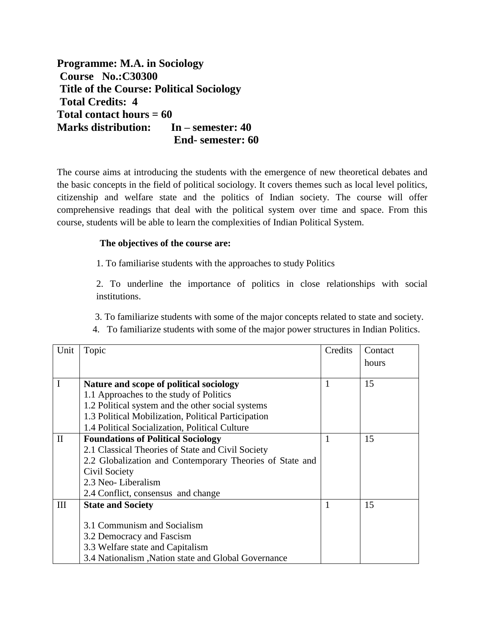**Programme: M.A. in Sociology Course No.:C30300 Title of the Course: Political Sociology Total Credits: 4 Total contact hours = 60 Marks distribution: In – semester: 40 End- semester: 60**

The course aims at introducing the students with the emergence of new theoretical debates and the basic concepts in the field of political sociology. It covers themes such as local level politics, citizenship and welfare state and the politics of Indian society. The course will offer comprehensive readings that deal with the political system over time and space. From this course, students will be able to learn the complexities of Indian Political System.

# **The objectives of the course are:**

1. To familiarise students with the approaches to study Politics

2. To underline the importance of politics in close relationships with social institutions.

3. To familiarize students with some of the major concepts related to state and society.

4. To familiarize students with some of the major power structures in Indian Politics.

| Unit         | Topic                                                    | Credits | Contact |
|--------------|----------------------------------------------------------|---------|---------|
|              |                                                          |         | hours   |
|              |                                                          |         |         |
| I            | Nature and scope of political sociology                  |         | 15      |
|              | 1.1 Approaches to the study of Politics                  |         |         |
|              | 1.2 Political system and the other social systems        |         |         |
|              | 1.3 Political Mobilization, Political Participation      |         |         |
|              | 1.4 Political Socialization, Political Culture           |         |         |
| $\mathbf{I}$ | <b>Foundations of Political Sociology</b>                | 1       | 15      |
|              | 2.1 Classical Theories of State and Civil Society        |         |         |
|              | 2.2 Globalization and Contemporary Theories of State and |         |         |
|              | Civil Society                                            |         |         |
|              | 2.3 Neo-Liberalism                                       |         |         |
|              | 2.4 Conflict, consensus and change                       |         |         |
| III          | <b>State and Society</b>                                 |         | 15      |
|              |                                                          |         |         |
|              | 3.1 Communism and Socialism                              |         |         |
|              | 3.2 Democracy and Fascism                                |         |         |
|              | 3.3 Welfare state and Capitalism                         |         |         |
|              | 3.4 Nationalism , Nation state and Global Governance     |         |         |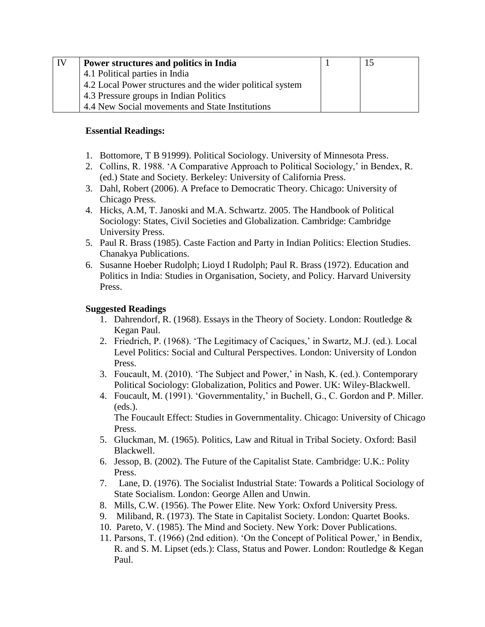| $\perp$ IV | <b>Power structures and politics in India</b>             |  |
|------------|-----------------------------------------------------------|--|
|            | 4.1 Political parties in India                            |  |
|            | 4.2 Local Power structures and the wider political system |  |
|            | 4.3 Pressure groups in Indian Politics                    |  |
|            | 4.4 New Social movements and State Institutions           |  |

# **Essential Readings:**

- 1. Bottomore, T B 91999). Political Sociology. University of Minnesota Press.
- 2. Collins, R. 1988. 'A Comparative Approach to Political Sociology,' in Bendex, R. (ed.) State and Society. Berkeley: University of California Press.
- 3. Dahl, Robert (2006). A Preface to Democratic Theory. Chicago: University of Chicago Press.
- 4. Hicks, A.M, T. Janoski and M.A. Schwartz. 2005. The Handbook of Political Sociology: States, Civil Societies and Globalization. Cambridge: Cambridge University Press.
- 5. Paul R. Brass (1985). Caste Faction and Party in Indian Politics: Election Studies. Chanakya Publications.
- 6. Susanne Hoeber Rudolph; Lioyd I Rudolph; Paul R. Brass (1972). Education and Politics in India: Studies in Organisation, Society, and Policy. Harvard University Press.

# **Suggested Readings**

- 1. Dahrendorf, R. (1968). Essays in the Theory of Society. London: Routledge & Kegan Paul.
- 2. Friedrich, P. (1968). 'The Legitimacy of Caciques,' in Swartz, M.J. (ed.). Local Level Politics: Social and Cultural Perspectives. London: University of London Press.
- 3. Foucault, M. (2010). 'The Subject and Power,' in Nash, K. (ed.). Contemporary Political Sociology: Globalization, Politics and Power. UK: Wiley-Blackwell.
- 4. Foucault, M. (1991). 'Governmentality,' in Buchell, G., C. Gordon and P. Miller.  $(eds.).$

The Foucault Effect: Studies in Governmentality. Chicago: University of Chicago Press.

- 5. Gluckman, M. (1965). Politics, Law and Ritual in Tribal Society. Oxford: Basil Blackwell.
- 6. Jessop, B. (2002). The Future of the Capitalist State. Cambridge: U.K.: Polity Press.
- 7. Lane, D. (1976). The Socialist Industrial State: Towards a Political Sociology of State Socialism. London: George Allen and Unwin.
- 8. Mills, C.W. (1956). The Power Elite. New York: Oxford University Press.
- 9. Miliband, R. (1973). The State in Capitalist Society. London: Quartet Books.
- 10. Pareto, V. (1985). The Mind and Society. New York: Dover Publications.
- 11. Parsons, T. (1966) (2nd edition). 'On the Concept of Political Power,' in Bendix, R. and S. M. Lipset (eds.): Class, Status and Power. London: Routledge & Kegan Paul.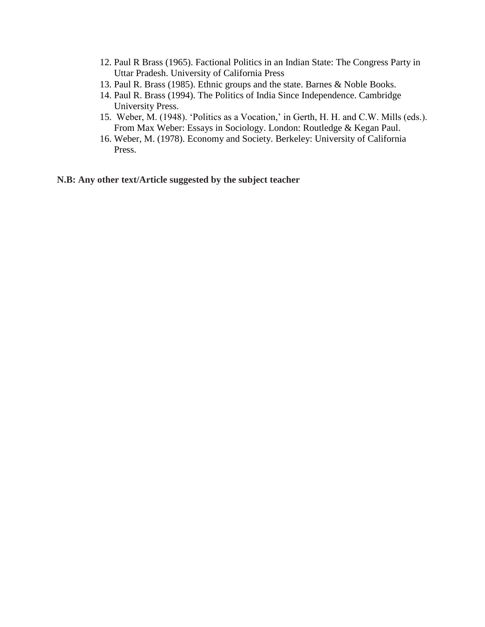- 12. Paul R Brass (1965). Factional Politics in an Indian State: The Congress Party in Uttar Pradesh. University of California Press
- 13. Paul R. Brass (1985). Ethnic groups and the state. Barnes & Noble Books.
- 14. Paul R. Brass (1994). The Politics of India Since Independence. Cambridge University Press.
- 15. Weber, M. (1948). 'Politics as a Vocation,' in Gerth, H. H. and C.W. Mills (eds.). From Max Weber: Essays in Sociology. London: Routledge & Kegan Paul.
- 16. Weber, M. (1978). Economy and Society. Berkeley: University of California Press.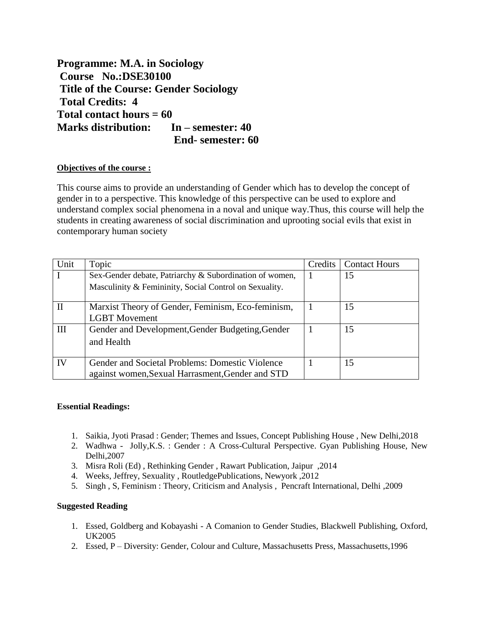**Programme: M.A. in Sociology Course No.:DSE30100 Title of the Course: Gender Sociology Total Credits: 4 Total contact hours = 60 Marks distribution: In – semester: 40 End- semester: 60**

#### **Objectives of the course :**

This course aims to provide an understanding of Gender which has to develop the concept of gender in to a perspective. This knowledge of this perspective can be used to explore and understand complex social phenomena in a noval and unique way.Thus, this course will help the students in creating awareness of social discrimination and uprooting social evils that exist in contemporary human society

| Unit         | Topic                                                   | Credits | <b>Contact Hours</b> |
|--------------|---------------------------------------------------------|---------|----------------------|
|              | Sex-Gender debate, Patriarchy & Subordination of women, |         | 15                   |
|              | Masculinity & Femininity, Social Control on Sexuality.  |         |                      |
|              |                                                         |         |                      |
| $\mathbf{H}$ | Marxist Theory of Gender, Feminism, Eco-feminism,       |         | 15                   |
|              | <b>LGBT</b> Movement                                    |         |                      |
| III          | Gender and Development, Gender Budgeting, Gender        |         | 15                   |
|              | and Health                                              |         |                      |
|              |                                                         |         |                      |
| IV           | Gender and Societal Problems: Domestic Violence         |         | 15                   |
|              | against women, Sexual Harrasment, Gender and STD        |         |                      |

#### **Essential Readings:**

- 1. Saikia, Jyoti Prasad : Gender; Themes and Issues, Concept Publishing House , New Delhi,2018
- 2. Wadhwa Jolly,K.S. : Gender : A Cross-Cultural Perspective. Gyan Publishing House, New Delhi,2007
- 3. Misra Roli (Ed) , Rethinking Gender , Rawart Publication, Jaipur ,2014
- 4. Weeks, Jeffrey, Sexuality , RoutledgePublications, Newyork ,2012
- 5. Singh , S, Feminism : Theory, Criticism and Analysis , Pencraft International, Delhi ,2009

#### **Suggested Reading**

- 1. Essed, Goldberg and Kobayashi A Comanion to Gender Studies, Blackwell Publishing, Oxford, UK2005
- 2. Essed, P Diversity: Gender, Colour and Culture, Massachusetts Press, Massachusetts,1996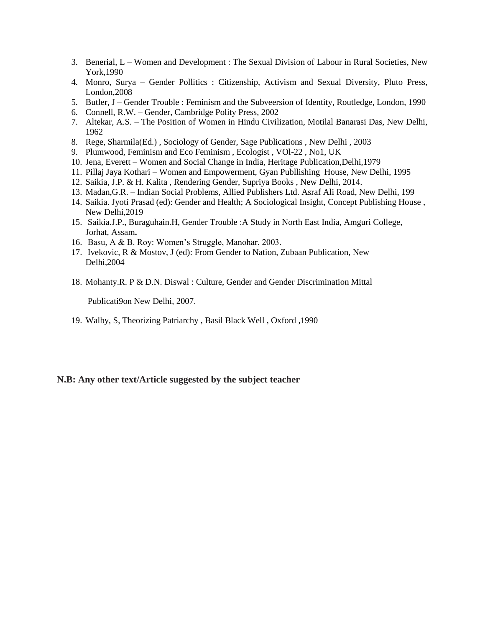- 3. Benerial, L Women and Development : The Sexual Division of Labour in Rural Societies, New York,1990
- 4. Monro, Surya Gender Pollitics : Citizenship, Activism and Sexual Diversity, Pluto Press, London,2008
- 5. Butler, J Gender Trouble : Feminism and the Subveersion of Identity, Routledge, London, 1990
- 6. Connell, R.W. Gender, Cambridge Polity Press, 2002
- 7. Altekar, A.S. The Position of Women in Hindu Civilization, Motilal Banarasi Das, New Delhi, 1962
- 8. Rege, Sharmila(Ed.) , Sociology of Gender, Sage Publications , New Delhi , 2003
- 9. Plumwood, Feminism and Eco Feminism , Ecologist , VOl-22 , No1, UK
- 10. Jena, Everett Women and Social Change in India, Heritage Publication,Delhi,1979
- 11. Pillaj Jaya Kothari Women and Empowerment, Gyan Publlishing House, New Delhi, 1995
- 12. Saikia, J.P. & H. Kalita , Rendering Gender, Supriya Books , New Delhi, 2014.
- 13. Madan,G.R. Indian Social Problems, Allied Publishers Ltd. Asraf Ali Road, New Delhi, 199
- 14. Saikia. Jyoti Prasad (ed): Gender and Health; A Sociological Insight, Concept Publishing House , New Delhi,2019
- 15. Saikia.J.P., Buraguhain.H, Gender Trouble :A Study in North East India, Amguri College, Jorhat, Assam**.**
- 16. Basu, A & B. Roy: Women's Struggle, Manohar, 2003.
- 17. Ivekovic, R & Mostov, J (ed): From Gender to Nation, Zubaan Publication, New Delhi,2004
- 18. Mohanty.R. P & D.N. Diswal : Culture, Gender and Gender Discrimination Mittal

Publicati9on New Delhi, 2007.

19. Walby, S, Theorizing Patriarchy , Basil Black Well , Oxford ,1990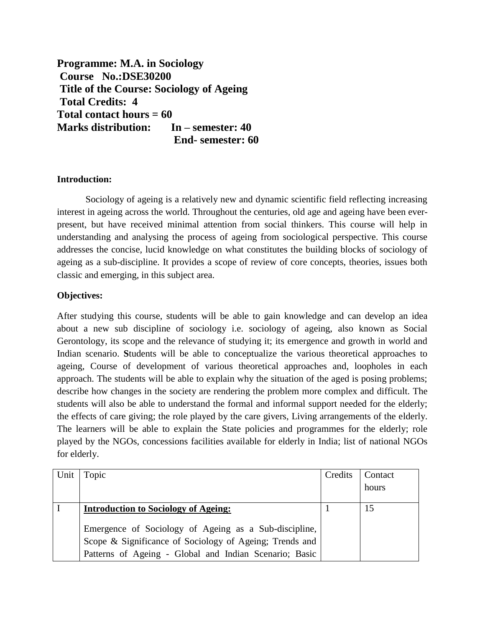**Programme: M.A. in Sociology Course No.:DSE30200 Title of the Course: Sociology of Ageing Total Credits: 4 Total contact hours = 60 Marks distribution: In – semester: 40 End- semester: 60**

# **Introduction:**

Sociology of ageing is a relatively new and dynamic scientific field reflecting increasing interest in ageing across the world. Throughout the centuries, old age and ageing have been everpresent, but have received minimal attention from social thinkers. This course will help in understanding and analysing the process of ageing from sociological perspective. This course addresses the concise, lucid knowledge on what constitutes the building blocks of sociology of ageing as a sub-discipline. It provides a scope of review of core concepts, theories, issues both classic and emerging, in this subject area.

# **Objectives:**

After studying this course, students will be able to gain knowledge and can develop an idea about a new sub discipline of sociology i.e. sociology of ageing, also known as Social Gerontology, its scope and the relevance of studying it; its emergence and growth in world and Indian scenario. **S**tudents will be able to conceptualize the various theoretical approaches to ageing, Course of development of various theoretical approaches and, loopholes in each approach. The students will be able to explain why the situation of the aged is posing problems; describe how changes in the society are rendering the problem more complex and difficult. The students will also be able to understand the formal and informal support needed for the elderly; the effects of care giving; the role played by the care givers, Living arrangements of the elderly. The learners will be able to explain the State policies and programmes for the elderly; role played by the NGOs, concessions facilities available for elderly in India; list of national NGOs for elderly.

| Unit | Topic                                                   | Credits | Contact |
|------|---------------------------------------------------------|---------|---------|
|      |                                                         |         | hours   |
|      |                                                         |         |         |
|      | <b>Introduction to Sociology of Ageing:</b>             |         | 15      |
|      |                                                         |         |         |
|      | Emergence of Sociology of Ageing as a Sub-discipline,   |         |         |
|      | Scope & Significance of Sociology of Ageing; Trends and |         |         |
|      | Patterns of Ageing - Global and Indian Scenario; Basic  |         |         |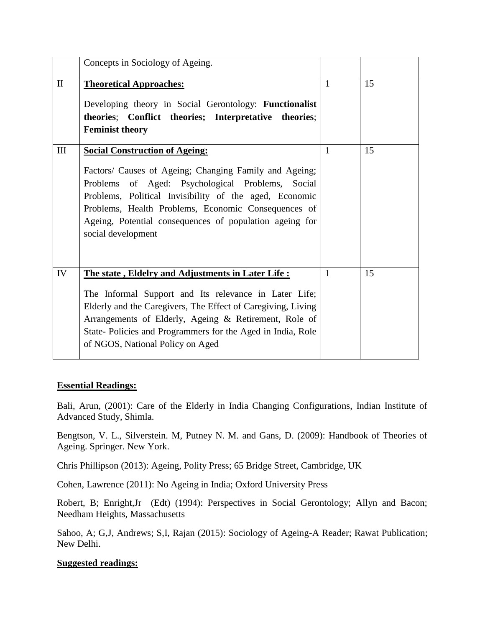|              | Concepts in Sociology of Ageing.                                                                                                                                                                                                                                                                                                                      |              |    |
|--------------|-------------------------------------------------------------------------------------------------------------------------------------------------------------------------------------------------------------------------------------------------------------------------------------------------------------------------------------------------------|--------------|----|
| $\mathbf{I}$ | <b>Theoretical Approaches:</b><br>Developing theory in Social Gerontology: Functionalist<br>theories; Conflict theories; Interpretative theories;<br><b>Feminist theory</b>                                                                                                                                                                           | $\mathbf{1}$ | 15 |
| III          | <b>Social Construction of Ageing:</b><br>Factors/ Causes of Ageing; Changing Family and Ageing;<br>Problems of Aged: Psychological Problems, Social<br>Problems, Political Invisibility of the aged, Economic<br>Problems, Health Problems, Economic Consequences of<br>Ageing, Potential consequences of population ageing for<br>social development | $\mathbf{1}$ | 15 |
| IV           | The state, Eldelry and Adjustments in Later Life:<br>The Informal Support and Its relevance in Later Life;<br>Elderly and the Caregivers, The Effect of Caregiving, Living<br>Arrangements of Elderly, Ageing & Retirement, Role of<br>State-Policies and Programmers for the Aged in India, Role<br>of NGOS, National Policy on Aged                 | 1            | 15 |

## **Essential Readings:**

Bali, Arun, (2001): Care of the Elderly in India Changing Configurations, Indian Institute of Advanced Study, Shimla.

Bengtson, V. L., Silverstein. M, Putney N. M. and Gans, D. (2009): Handbook of Theories of Ageing. Springer. New York.

Chris Phillipson (2013): Ageing, Polity Press; 65 Bridge Street, Cambridge, UK

Cohen, Lawrence (2011): No Ageing in India; Oxford University Press

Robert, B; Enright,Jr (Edt) (1994): Perspectives in Social Gerontology; Allyn and Bacon; Needham Heights, Massachusetts

Sahoo, A; G,J, Andrews; S,I, Rajan (2015): Sociology of Ageing-A Reader; Rawat Publication; New Delhi.

## **Suggested readings:**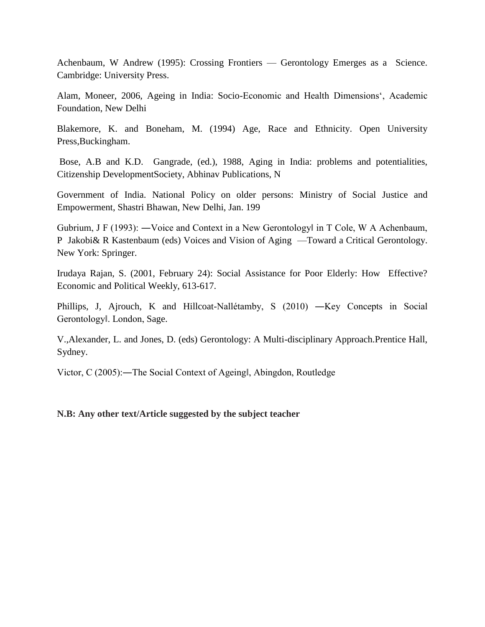Achenbaum, W Andrew (1995): Crossing Frontiers — Gerontology Emerges as a Science. Cambridge: University Press.

Alam, Moneer, 2006, Ageing in India: Socio-Economic and Health Dimensions', Academic Foundation, New Delhi

Blakemore, K. and Boneham, M. (1994) Age, Race and Ethnicity. Open University Press,Buckingham.

Bose, A.B and K.D. Gangrade, (ed.), 1988, Aging in India: problems and potentialities, Citizenship DevelopmentSociety, Abhinav Publications, N

Government of India. National Policy on older persons: Ministry of Social Justice and Empowerment, Shastri Bhawan, New Delhi, Jan. 199

Gubrium, J F (1993): ―Voice and Context in a New Gerontology‖ in T Cole, W A Achenbaum, P Jakobi& R Kastenbaum (eds) Voices and Vision of Aging —Toward a Critical Gerontology. New York: Springer.

Irudaya Rajan, S. (2001, February 24): Social Assistance for Poor Elderly: How Effective? Economic and Political Weekly, 613-617.

Phillips, J, Ajrouch, K and Hillcoat-Nallétamby, S (2010) ―Key Concepts in Social Gerontology‖. London, Sage.

V.,Alexander, L. and Jones, D. (eds) Gerontology: A Multi-disciplinary Approach.Prentice Hall, Sydney.

Victor, C (2005):―The Social Context of Ageing‖, Abingdon, Routledge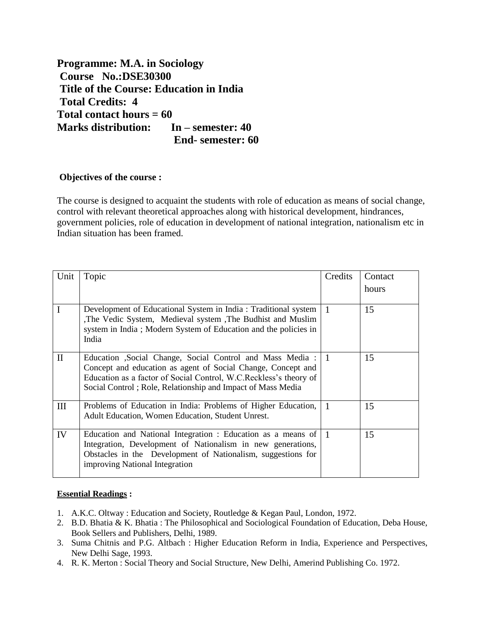**Programme: M.A. in Sociology Course No.:DSE30300 Title of the Course: Education in India Total Credits: 4 Total contact hours = 60 Marks distribution: In – semester: 40 End- semester: 60**

## **Objectives of the course :**

The course is designed to acquaint the students with role of education as means of social change, control with relevant theoretical approaches along with historical development, hindrances, government policies, role of education in development of national integration, nationalism etc in Indian situation has been framed.

| Unit         | Topic                                                                                                                                                                                                                                                            | Credits        | Contact<br>hours |
|--------------|------------------------------------------------------------------------------------------------------------------------------------------------------------------------------------------------------------------------------------------------------------------|----------------|------------------|
|              |                                                                                                                                                                                                                                                                  |                |                  |
| I            | Development of Educational System in India: Traditional system<br>The Vedic System, Medieval system, The Budhist and Muslim<br>system in India; Modern System of Education and the policies in<br>India                                                          | $\blacksquare$ | 15               |
| $\mathbf{I}$ | Education , Social Change, Social Control and Mass Media : 1<br>Concept and education as agent of Social Change, Concept and<br>Education as a factor of Social Control, W.C.Reckless's theory of<br>Social Control; Role, Relationship and Impact of Mass Media |                | 15               |
| III          | Problems of Education in India: Problems of Higher Education,<br>Adult Education, Women Education, Student Unrest.                                                                                                                                               | $\vert$ 1      | 15               |
| IV           | Education and National Integration : Education as a means of $\vert$ 1<br>Integration, Development of Nationalism in new generations,<br>Obstacles in the Development of Nationalism, suggestions for<br>improving National Integration                          |                | 15               |

## **Essential Readings :**

- 1. A.K.C. Oltway : Education and Society, Routledge & Kegan Paul, London, 1972.
- 2. B.D. Bhatia & K. Bhatia : The Philosophical and Sociological Foundation of Education, Deba House, Book Sellers and Publishers, Delhi, 1989.
- 3. Suma Chitnis and P.G. Altbach : Higher Education Reform in India, Experience and Perspectives, New Delhi Sage, 1993.
- 4. R. K. Merton : Social Theory and Social Structure, New Delhi, Amerind Publishing Co. 1972.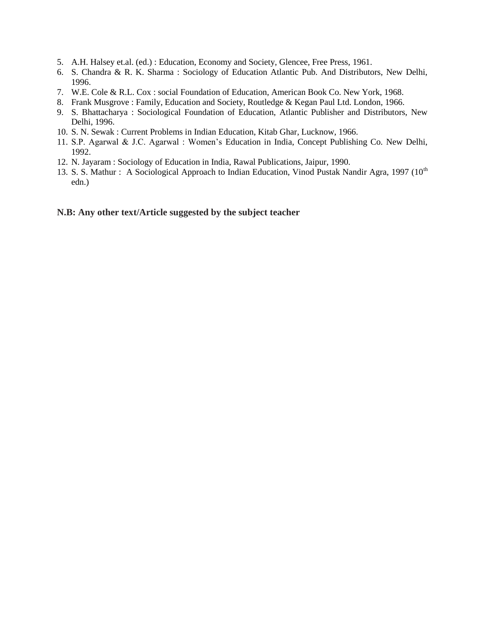- 5. A.H. Halsey et.al. (ed.) : Education, Economy and Society, Glencee, Free Press, 1961.
- 6. S. Chandra & R. K. Sharma : Sociology of Education Atlantic Pub. And Distributors, New Delhi, 1996.
- 7. W.E. Cole & R.L. Cox : social Foundation of Education, American Book Co. New York, 1968.
- 8. Frank Musgrove : Family, Education and Society, Routledge & Kegan Paul Ltd. London, 1966.
- 9. S. Bhattacharya : Sociological Foundation of Education, Atlantic Publisher and Distributors, New Delhi, 1996.
- 10. S. N. Sewak : Current Problems in Indian Education, Kitab Ghar, Lucknow, 1966.
- 11. S.P. Agarwal & J.C. Agarwal : Women's Education in India, Concept Publishing Co. New Delhi, 1992.
- 12. N. Jayaram : Sociology of Education in India, Rawal Publications, Jaipur, 1990.
- 13. S. S. Mathur: A Sociological Approach to Indian Education, Vinod Pustak Nandir Agra, 1997 (10<sup>th</sup> edn.)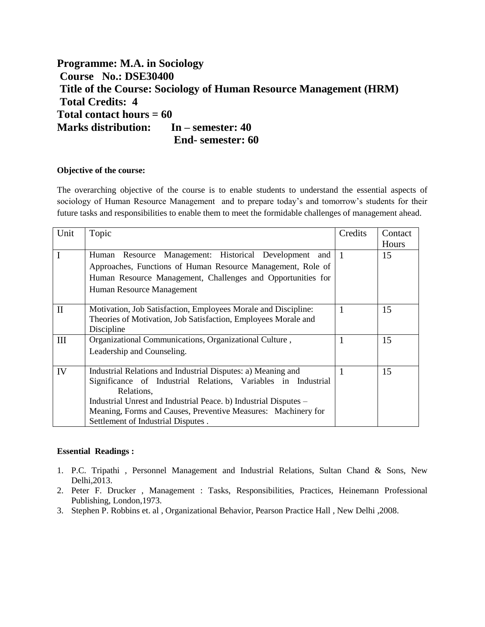# **Programme: M.A. in Sociology Course No.: DSE30400 Title of the Course: Sociology of Human Resource Management (HRM) Total Credits: 4 Total contact hours = 60 Marks distribution: In – semester: 40 End- semester: 60**

#### **Objective of the course:**

The overarching objective of the course is to enable students to understand the essential aspects of sociology of Human Resource Management and to prepare today's and tomorrow's students for their future tasks and responsibilities to enable them to meet the formidable challenges of management ahead.

| Unit  | Topic                                                                                                                                                                                                                                                                                                                  | Credits      | Contact<br>Hours |
|-------|------------------------------------------------------------------------------------------------------------------------------------------------------------------------------------------------------------------------------------------------------------------------------------------------------------------------|--------------|------------------|
| I     | Resource Management: Historical Development and 1<br>Human<br>Approaches, Functions of Human Resource Management, Role of<br>Human Resource Management, Challenges and Opportunities for<br>Human Resource Management                                                                                                  |              | 15               |
| $\Pi$ | Motivation, Job Satisfaction, Employees Morale and Discipline:<br>Theories of Motivation, Job Satisfaction, Employees Morale and<br>Discipline                                                                                                                                                                         | $\mathbf{1}$ | 15               |
| III   | Organizational Communications, Organizational Culture,<br>Leadership and Counseling.                                                                                                                                                                                                                                   |              | 15               |
| IV    | Industrial Relations and Industrial Disputes: a) Meaning and<br>Significance of Industrial Relations, Variables in Industrial<br>Relations,<br>Industrial Unrest and Industrial Peace. b) Industrial Disputes -<br>Meaning, Forms and Causes, Preventive Measures: Machinery for<br>Settlement of Industrial Disputes. | 1            | 15               |

#### **Essential Readings :**

- 1. P.C. Tripathi , Personnel Management and Industrial Relations, Sultan Chand & Sons, New Delhi,2013.
- 2. Peter F. Drucker , Management : Tasks, Responsibilities, Practices, Heinemann Professional Publishing, London,1973.
- 3. Stephen P. Robbins et. al , Organizational Behavior, Pearson Practice Hall , New Delhi ,2008.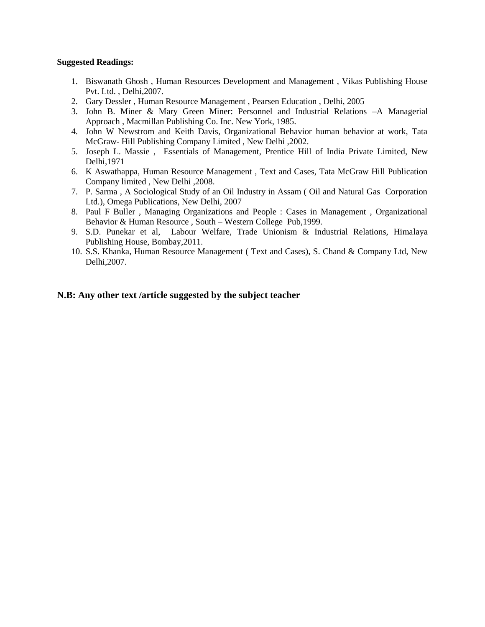#### **Suggested Readings:**

- 1. Biswanath Ghosh , Human Resources Development and Management , Vikas Publishing House Pvt. Ltd. , Delhi,2007.
- 2. Gary Dessler , Human Resource Management , Pearsen Education , Delhi, 2005
- 3. John B. Miner & Mary Green Miner: Personnel and Industrial Relations –A Managerial Approach , Macmillan Publishing Co. Inc. New York, 1985.
- 4. John W Newstrom and Keith Davis, Organizational Behavior human behavior at work, Tata McGraw- Hill Publishing Company Limited , New Delhi ,2002.
- 5. Joseph L. Massie , Essentials of Management, Prentice Hill of India Private Limited, New Delhi,1971
- 6. K Aswathappa, Human Resource Management , Text and Cases, Tata McGraw Hill Publication Company limited , New Delhi ,2008.
- 7. P. Sarma , A Sociological Study of an Oil Industry in Assam ( Oil and Natural Gas Corporation Ltd.), Omega Publications, New Delhi, 2007
- 8. Paul F Buller , Managing Organizations and People : Cases in Management , Organizational Behavior & Human Resource , South – Western College Pub,1999.
- 9. S.D. Punekar et al, Labour Welfare, Trade Unionism & Industrial Relations, Himalaya Publishing House, Bombay,2011.
- 10. S.S. Khanka, Human Resource Management ( Text and Cases), S. Chand & Company Ltd, New Delhi,2007.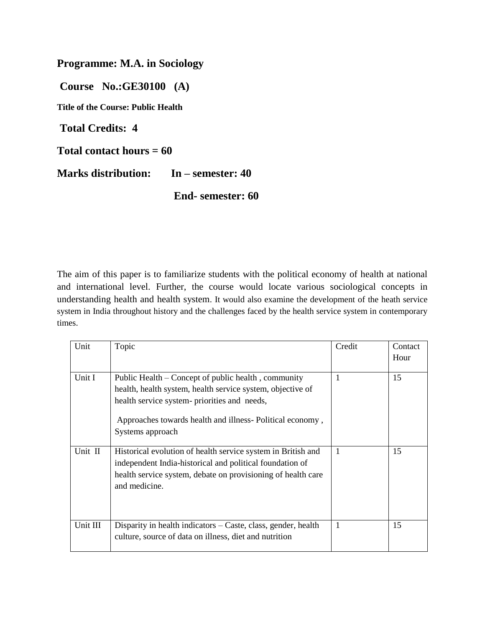**Programme: M.A. in Sociology** 

**Course No.:GE30100 (A)** 

**Title of the Course: Public Health** 

**Total Credits: 4** 

**Total contact hours = 60** 

**Marks distribution: In – semester: 40** 

**End- semester: 60**

The aim of this paper is to familiarize students with the political economy of health at national and international level. Further, the course would locate various sociological concepts in understanding health and health system. It would also examine the development of the heath service system in India throughout history and the challenges faced by the health service system in contemporary times.

| Unit     | Topic                                                                                                                                                                                                                                             | Credit       | Contact |
|----------|---------------------------------------------------------------------------------------------------------------------------------------------------------------------------------------------------------------------------------------------------|--------------|---------|
|          |                                                                                                                                                                                                                                                   |              | Hour    |
| Unit I   | Public Health – Concept of public health, community<br>health, health system, health service system, objective of<br>health service system- priorities and needs,<br>Approaches towards health and illness-Political economy,<br>Systems approach | $\mathbf{1}$ | 15      |
| Unit II  | Historical evolution of health service system in British and<br>independent India-historical and political foundation of<br>health service system, debate on provisioning of health care<br>and medicine.                                         | -1           | 15      |
| Unit III | Disparity in health indicators – Caste, class, gender, health<br>culture, source of data on illness, diet and nutrition                                                                                                                           | -1           | 15      |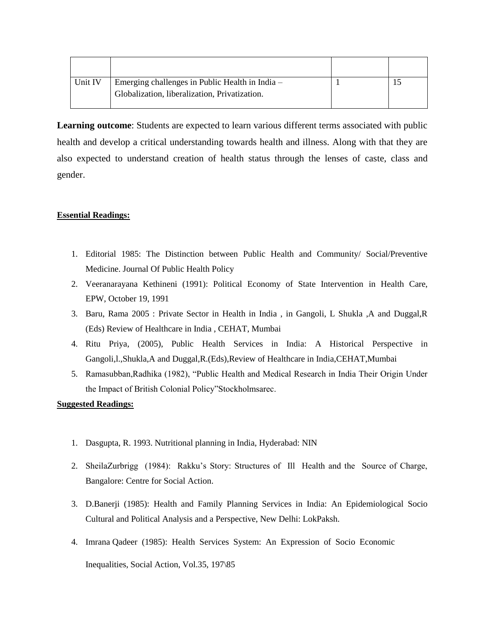| Unit IV | Emerging challenges in Public Health in India – |  |
|---------|-------------------------------------------------|--|
|         | Globalization, liberalization, Privatization.   |  |
|         |                                                 |  |

**Learning outcome**: Students are expected to learn various different terms associated with public health and develop a critical understanding towards health and illness. Along with that they are also expected to understand creation of health status through the lenses of caste, class and gender.

## **Essential Readings:**

- 1. Editorial 1985: The Distinction between Public Health and Community/ Social/Preventive Medicine. Journal Of Public Health Policy
- 2. Veeranarayana Kethineni (1991): Political Economy of State Intervention in Health Care, EPW, October 19, 1991
- 3. Baru, Rama 2005 : Private Sector in Health in India , in Gangoli, L Shukla ,A and Duggal,R (Eds) Review of Healthcare in India , CEHAT, Mumbai
- 4. Ritu Priya, (2005), Public Health Services in India: A Historical Perspective in Gangoli,l.,Shukla,A and Duggal,R.(Eds),Review of Healthcare in India,CEHAT,Mumbai
- 5. Ramasubban,Radhika (1982), "Public Health and Medical Research in India Their Origin Under the Impact of British Colonial Policy"Stockholmsarec.

## **Suggested Readings:**

- 1. Dasgupta, R. 1993. Nutritional planning in India, Hyderabad: NIN
- 2. SheilaZurbrigg (1984): Rakku's Story: Structures of Ill Health and the Source of Charge, Bangalore: Centre for Social Action.
- 3. D.Banerji (1985): Health and Family Planning Services in India: An Epidemiological Socio Cultural and Political Analysis and a Perspective, New Delhi: LokPaksh.
- 4. Imrana Qadeer (1985): Health Services System: An Expression of Socio Economic Inequalities, Social Action, Vol.35, 197\85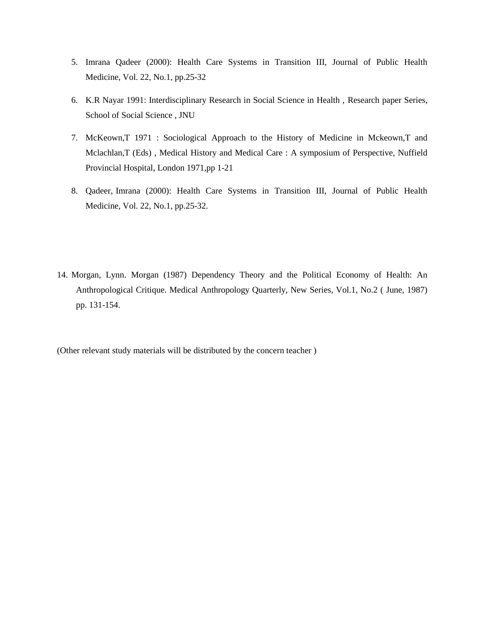- 5. Imrana Qadeer (2000): Health Care Systems in Transition III, Journal of Public Health Medicine, Vol. 22, No.1, pp.25-32
- 6. K.R Nayar 1991: Interdisciplinary Research in Social Science in Health , Research paper Series, School of Social Science , JNU
- 7. McKeown,T 1971 : Sociological Approach to the History of Medicine in Mckeown,T and Mclachlan,T (Eds) , Medical History and Medical Care : A symposium of Perspective, Nuffield Provincial Hospital, London 1971,pp 1-21
- 8. Qadeer, Imrana (2000): Health Care Systems in Transition III, Journal of Public Health Medicine, Vol. 22, No.1, pp.25-32.
- 14. Morgan, Lynn. Morgan (1987) Dependency Theory and the Political Economy of Health: An Anthropological Critique. Medical Anthropology Quarterly, New Series, Vol.1, No.2 ( June, 1987) pp. 131-154.

(Other relevant study materials will be distributed by the concern teacher )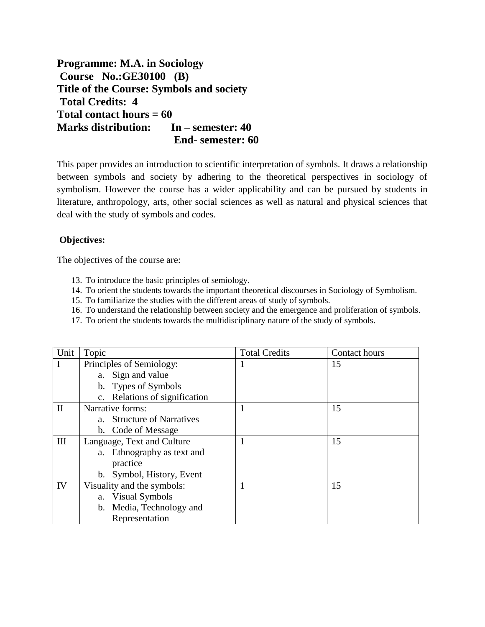**Programme: M.A. in Sociology Course No.:GE30100 (B) Title of the Course: Symbols and society Total Credits: 4 Total contact hours = 60 Marks distribution: In – semester: 40 End- semester: 60**

This paper provides an introduction to scientific interpretation of symbols. It draws a relationship between symbols and society by adhering to the theoretical perspectives in sociology of symbolism. However the course has a wider applicability and can be pursued by students in literature, anthropology, arts, other social sciences as well as natural and physical sciences that deal with the study of symbols and codes.

## **Objectives:**

The objectives of the course are:

- 13. To introduce the basic principles of semiology.
- 14. To orient the students towards the important theoretical discourses in Sociology of Symbolism.
- 15. To familiarize the studies with the different areas of study of symbols.
- 16. To understand the relationship between society and the emergence and proliferation of symbols.
- 17. To orient the students towards the multidisciplinary nature of the study of symbols.

| Unit         | Topic                         | <b>Total Credits</b> | Contact hours |
|--------------|-------------------------------|----------------------|---------------|
|              | Principles of Semiology:      |                      | 15            |
|              | a. Sign and value             |                      |               |
|              | b. Types of Symbols           |                      |               |
|              | c. Relations of signification |                      |               |
| $\mathbf{I}$ | Narrative forms:              |                      | 15            |
|              | a. Structure of Narratives    |                      |               |
|              | b. Code of Message            |                      |               |
| Ш            | Language, Text and Culture    |                      | 15            |
|              | a. Ethnography as text and    |                      |               |
|              | practice                      |                      |               |
|              | b. Symbol, History, Event     |                      |               |
| IV           | Visuality and the symbols:    |                      | 15            |
|              | a. Visual Symbols             |                      |               |
|              | b. Media, Technology and      |                      |               |
|              | Representation                |                      |               |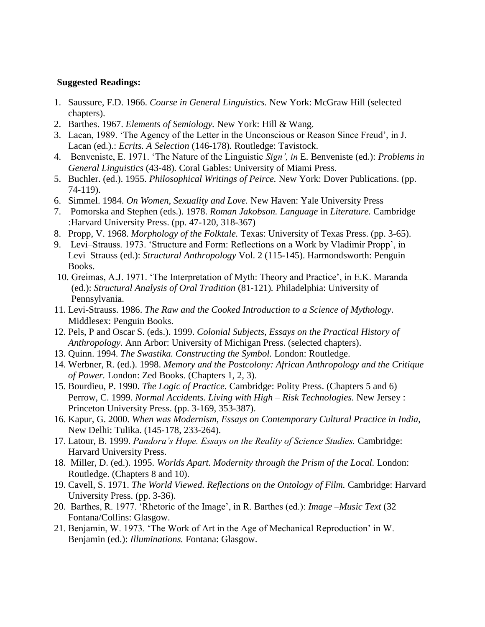#### **Suggested Readings:**

- 1. Saussure, F.D. 1966. *Course in General Linguistics.* New York: McGraw Hill (selected chapters).
- 2. Barthes. 1967. *Elements of Semiology.* New York: Hill & Wang.
- 3. Lacan, 1989. 'The Agency of the Letter in the Unconscious or Reason Since Freud', in J. Lacan (ed.).: *Ecrits. A Selection* (146-178)*.* Routledge: Tavistock.
- 4. Benveniste, E. 1971. 'The Nature of the Linguistic *Sign', in* E. Benveniste (ed.): *Problems in General Linguistics* (43-48)*.* Coral Gables: University of Miami Press.
- 5. Buchler. (ed.). 1955. *Philosophical Writings of Peirce.* New York: Dover Publications. (pp. 74-119).
- 6. Simmel. 1984. *On Women, Sexuality and Love.* New Haven: Yale University Press
- 7. Pomorska and Stephen (eds.). 1978. *Roman Jakobson. Language* in *Literature.* Cambridge :Harvard University Press. (pp. 47-120, 318-367)
- 8. Propp, V. 1968. *Morphology of the Folktale.* Texas: University of Texas Press. (pp. 3-65).
- 9. Levi–Strauss. 1973. 'Structure and Form: Reflections on a Work by Vladimir Propp', in Levi–Strauss (ed.): *Structural Anthropology* Vol. 2 (115-145). Harmondsworth: Penguin Books.
- 10. Greimas, A.J. 1971. 'The Interpretation of Myth: Theory and Practice', in E.K. Maranda (ed.): *Structural Analysis of Oral Tradition* (81-121)*.* Philadelphia: University of Pennsylvania.
- 11. Levi-Strauss. 1986. *The Raw and the Cooked Introduction to a Science of Mythology*. Middlesex: Penguin Books.
- 12. Pels, P and Oscar S. (eds.). 1999. *Colonial Subjects, Essays on the Practical History of Anthropology.* Ann Arbor: University of Michigan Press. (selected chapters).
- 13. Quinn. 1994. *The Swastika. Constructing the Symbol.* London: Routledge.
- 14. Werbner, R. (ed.). 1998. *Memory and the Postcolony: African Anthropology and the Critique of Power.* London: Zed Books. (Chapters 1, 2, 3).
- 15. Bourdieu, P. 1990. *The Logic of Practice.* Cambridge: Polity Press. (Chapters 5 and 6) Perrow, C. 1999. *Normal Accidents. Living with High – Risk Technologies.* New Jersey : Princeton University Press. (pp. 3-169, 353-387).
- 16. Kapur, G. 2000. *When was Modernism, Essays on Contemporary Cultural Practice in India*, New Delhi: Tulika. (145-178, 233-264).
- 17. Latour, B. 1999. *Pandora's Hope. Essays on the Reality of Science Studies.* Cambridge: Harvard University Press.
- 18. Miller, D. (ed.). 1995. *Worlds Apart. Modernity through the Prism of the Local.* London: Routledge. (Chapters 8 and 10).
- 19. Cavell, S. 1971. *The World Viewed. Reflections on the Ontology of Film.* Cambridge: Harvard University Press. (pp. 3-36).
- 20. Barthes, R. 1977. 'Rhetoric of the Image', in R. Barthes (ed.): *Image* –*Music Text* (32 Fontana/Collins: Glasgow.
- 21. Benjamin, W. 1973. 'The Work of Art in the Age of Mechanical Reproduction' in W. Benjamin (ed.): *Illuminations.* Fontana: Glasgow.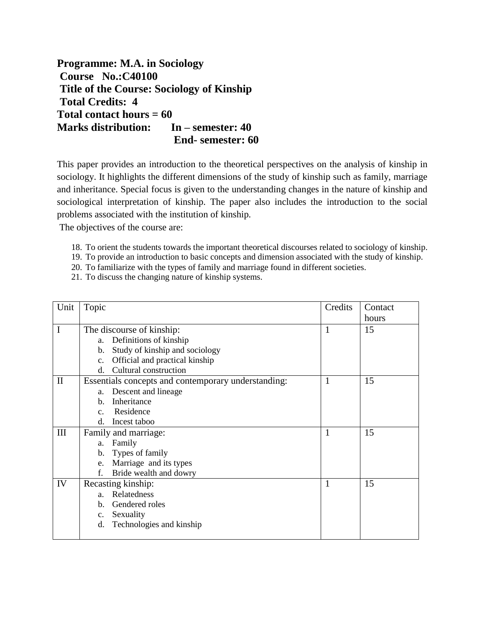**Programme: M.A. in Sociology Course No.:C40100 Title of the Course: Sociology of Kinship Total Credits: 4 Total contact hours = 60 Marks distribution: In – semester: 40 End- semester: 60**

This paper provides an introduction to the theoretical perspectives on the analysis of kinship in sociology. It highlights the different dimensions of the study of kinship such as family, marriage and inheritance. Special focus is given to the understanding changes in the nature of kinship and sociological interpretation of kinship. The paper also includes the introduction to the social problems associated with the institution of kinship.

The objectives of the course are:

- 18. To orient the students towards the important theoretical discourses related to sociology of kinship.
- 19. To provide an introduction to basic concepts and dimension associated with the study of kinship.
- 20. To familiarize with the types of family and marriage found in different societies.
- 21. To discuss the changing nature of kinship systems.

| Unit         | Topic                                               | Credits | Contact |
|--------------|-----------------------------------------------------|---------|---------|
|              |                                                     |         | hours   |
| I            | The discourse of kinship:                           | 1       | 15      |
|              | a. Definitions of kinship                           |         |         |
|              | Study of kinship and sociology<br>$\mathbf{b}$ .    |         |         |
|              | Official and practical kinship<br>C <sub>1</sub>    |         |         |
|              | Cultural construction<br>$d_{\cdot}$                |         |         |
| $\mathbf{I}$ | Essentials concepts and contemporary understanding: | 1       | 15      |
|              | Descent and lineage<br>a.                           |         |         |
|              | Inheritance<br>$h_{\cdot}$                          |         |         |
|              | Residence<br>$C_{\cdot}$                            |         |         |
|              | Incest taboo<br>d.                                  |         |         |
| III          | Family and marriage:                                | 1       | 15      |
|              | Family<br>a.                                        |         |         |
|              | Types of family<br>$\mathbf{b}$ .                   |         |         |
|              | Marriage and its types<br>e.                        |         |         |
|              | Bride wealth and dowry<br>f.                        |         |         |
| IV           | Recasting kinship:                                  | 1       | 15      |
|              | Relatedness<br>a.                                   |         |         |
|              | b. Gendered roles                                   |         |         |
|              | c. Sexuality                                        |         |         |
|              | Technologies and kinship<br>d.                      |         |         |
|              |                                                     |         |         |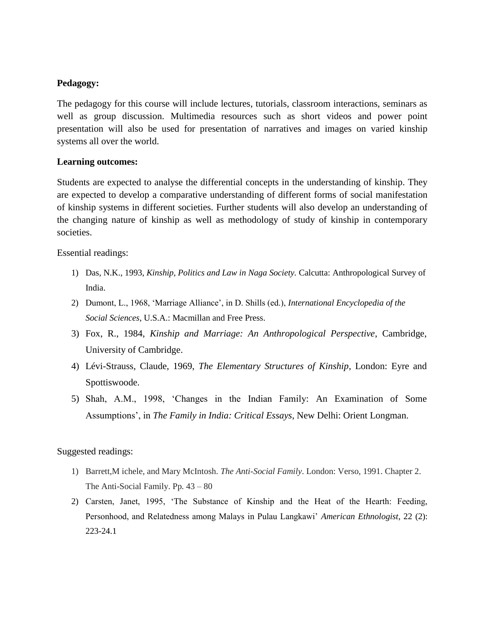# **Pedagogy:**

The pedagogy for this course will include lectures, tutorials, classroom interactions, seminars as well as group discussion. Multimedia resources such as short videos and power point presentation will also be used for presentation of narratives and images on varied kinship systems all over the world.

## **Learning outcomes:**

Students are expected to analyse the differential concepts in the understanding of kinship. They are expected to develop a comparative understanding of different forms of social manifestation of kinship systems in different societies. Further students will also develop an understanding of the changing nature of kinship as well as methodology of study of kinship in contemporary societies.

Essential readings:

- 1) Das, N.K., 1993, *Kinship, Politics and Law in Naga Society.* Calcutta: Anthropological Survey of India.
- 2) Dumont, L., 1968, 'Marriage Alliance', in D. Shills (ed.), *International Encyclopedia of the Social Sciences*, U.S.A.: Macmillan and Free Press.
- 3) Fox, R., 1984, *Kinship and Marriage: An Anthropological Perspective*, Cambridge, University of Cambridge.
- 4) Lévi-Strauss, Claude, 1969, *The Elementary Structures of Kinship*, London: Eyre and Spottiswoode.
- 5) Shah, A.M., 1998, 'Changes in the Indian Family: An Examination of Some Assumptions', in *The Family in India: Critical Essays*, New Delhi: Orient Longman.

Suggested readings:

- 1) Barrett,M ichele, and Mary McIntosh. *The Anti-Social Family*. London: Verso, 1991. Chapter 2. The Anti-Social Family. Pp. 43 – 80
- 2) Carsten, Janet, 1995, 'The Substance of Kinship and the Heat of the Hearth: Feeding, Personhood, and Relatedness among Malays in Pulau Langkawi' *American Ethnologist*, 22 (2): 223-24.1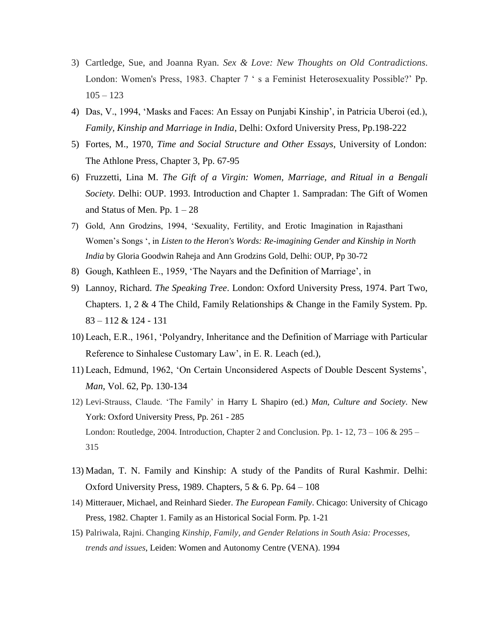- 3) Cartledge, Sue, and Joanna Ryan. *Sex & Love: New Thoughts on Old Contradictions*. London: Women's Press, 1983. Chapter 7 ' s a Feminist Heterosexuality Possible?' Pp.  $105 - 123$
- 4) Das, V., 1994, 'Masks and Faces: An Essay on Punjabi Kinship', in Patricia Uberoi (ed.), *Family, Kinship and Marriage in India*, Delhi: Oxford University Press, Pp.198-222
- 5) Fortes, M., 1970, *Time and Social Structure and Other Essays*, University of London: The Athlone Press, Chapter 3, Pp. 67-95
- 6) Fruzzetti, Lina M. *The Gift of a Virgin: Women, Marriage, and Ritual in a Bengali Society.* Delhi: OUP. 1993. Introduction and Chapter 1. Sampradan: The Gift of Women and Status of Men. Pp.  $1 - 28$
- 7) Gold, Ann Grodzins, 1994, 'Sexuality, Fertility, and Erotic Imagination in Rajasthani Women's Songs ', in *Listen to the Heron's Words: Re-imagining Gender and Kinship in North India* by Gloria Goodwin Raheja and Ann Grodzins Gold, Delhi: OUP, Pp 30-72
- 8) Gough, Kathleen E., 1959, 'The Nayars and the Definition of Marriage', in
- 9) Lannoy, Richard. *The Speaking Tree*. London: Oxford University Press, 1974. Part Two, Chapters. 1, 2 & 4 The Child, Family Relationships & Change in the Family System. Pp. 83 – 112 & 124 - 131
- 10) Leach, E.R., 1961, 'Polyandry, Inheritance and the Definition of Marriage with Particular Reference to Sinhalese Customary Law', in E. R. Leach (ed.),
- 11) Leach, Edmund, 1962, 'On Certain Unconsidered Aspects of Double Descent Systems', *Man*, Vol. 62, Pp. 130-134
- 12) Levi-Strauss, Claude. 'The Family' in Harry L Shapiro (ed.) *Man, Culture and Society*. New York: Oxford University Press, Pp. 261 - 285 London: Routledge, 2004. Introduction, Chapter 2 and Conclusion. Pp. 1-12,  $73 - 106 \& 295 -$ 315
- 13) Madan, T. N. Family and Kinship: A study of the Pandits of Rural Kashmir. Delhi: Oxford University Press, 1989. Chapters,  $5 & 6$ . Pp. 64 – 108
- 14) Mitterauer, Michael, and Reinhard Sieder. *The European Family*. Chicago: University of Chicago Press, 1982. Chapter 1. Family as an Historical Social Form. Pp. 1-21
- 15) Palriwala, Rajni. Changing *Kinship, Family, and Gender Relations in South Asia: Processes, trends and issues*, Leiden: Women and Autonomy Centre (VENA). 1994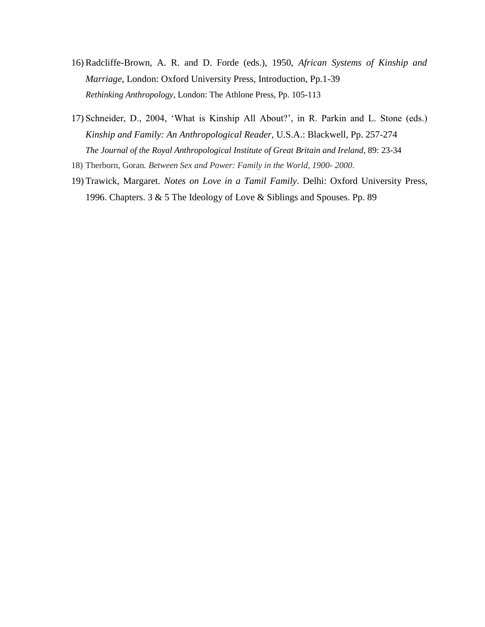- 16)Radcliffe-Brown, A. R. and D. Forde (eds.), 1950, *African Systems of Kinship and Marriage*, London: Oxford University Press, Introduction, Pp.1-39 *Rethinking Anthropology*, London: The Athlone Press, Pp. 105-113
- 17) Schneider, D., 2004, 'What is Kinship All About?', in R. Parkin and L. Stone (eds.) *Kinship and Family: An Anthropological Reader*, U.S.A.: Blackwell, Pp. 257-274 *The Journal of the Royal Anthropological Institute of Great Britain and Ireland*, 89: 23-34
- 18) Therborn, Goran*. Between Sex and Power: Family in the World, 1900- 2000*.
- 19) Trawick, Margaret. *Notes on Love in a Tamil Family*. Delhi: Oxford University Press, 1996. Chapters. 3 & 5 The Ideology of Love & Siblings and Spouses. Pp. 89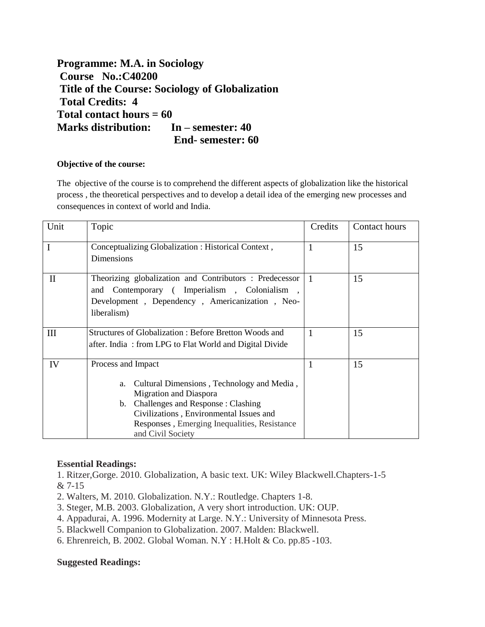**Programme: M.A. in Sociology Course No.:C40200 Title of the Course: Sociology of Globalization Total Credits: 4 Total contact hours = 60 Marks distribution: In – semester: 40 End- semester: 60**

### **Objective of the course:**

The objective of the course is to comprehend the different aspects of globalization like the historical process , the theoretical perspectives and to develop a detail idea of the emerging new processes and consequences in context of world and India.

| Unit     | Topic                                                                                                                                                                                                                                                       | Credits   | Contact hours |
|----------|-------------------------------------------------------------------------------------------------------------------------------------------------------------------------------------------------------------------------------------------------------------|-----------|---------------|
| I        | Conceptualizing Globalization : Historical Context,<br>Dimensions                                                                                                                                                                                           |           | 15            |
| $\rm II$ | Theorizing globalization and Contributors : Predecessor<br>and Contemporary (Imperialism, Colonialism,<br>Development, Dependency, Americanization, Neo-<br>liberalism)                                                                                     | $\cdot$ 1 | 15            |
| Ш        | Structures of Globalization: Before Bretton Woods and<br>after. India: from LPG to Flat World and Digital Divide                                                                                                                                            |           | 15            |
| IV       | Process and Impact<br>Cultural Dimensions, Technology and Media,<br>a.<br>Migration and Diaspora<br>Challenges and Response: Clashing<br>b.<br>Civilizations, Environmental Issues and<br>Responses, Emerging Inequalities, Resistance<br>and Civil Society |           | 15            |

## **Essential Readings:**

1. Ritzer,Gorge. 2010. Globalization, A basic text. UK: Wiley Blackwell.Chapters-1-5 & 7-15

- 2. Walters, M. 2010. Globalization. N.Y.: Routledge. Chapters 1-8.
- 3. Steger, M.B. 2003. Globalization, A very short introduction. UK: OUP.
- 4. Appadurai, A. 1996. Modernity at Large. N.Y.: University of Minnesota Press.
- 5. Blackwell Companion to Globalization. 2007. Malden: Blackwell.
- 6. Ehrenreich, B. 2002. Global Woman. N.Y : H.Holt & Co. pp.85 -103.

## **Suggested Readings:**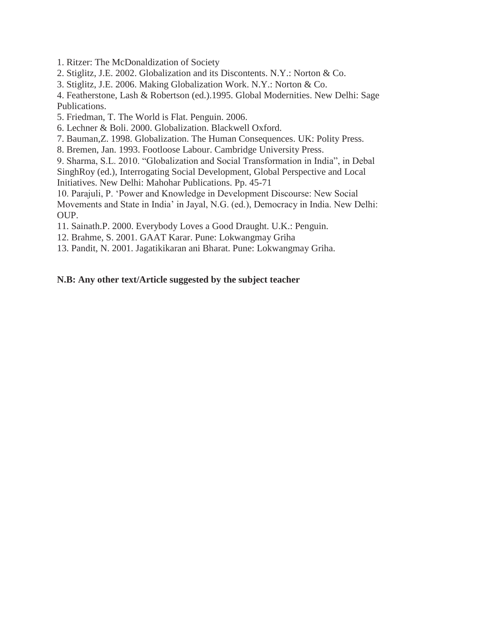- 1. Ritzer: The McDonaldization of Society
- 2. Stiglitz, J.E. 2002. Globalization and its Discontents. N.Y.: Norton & Co.
- 3. Stiglitz, J.E. 2006. Making Globalization Work. N.Y.: Norton & Co.

4. Featherstone, Lash & Robertson (ed.).1995. Global Modernities. New Delhi: Sage Publications.

5. Friedman, T. The World is Flat. Penguin. 2006.

- 6. Lechner & Boli. 2000. Globalization. Blackwell Oxford.
- 7. Bauman,Z. 1998. Globalization. The Human Consequences. UK: Polity Press.
- 8. Bremen, Jan. 1993. Footloose Labour. Cambridge University Press.

9. Sharma, S.L. 2010. "Globalization and Social Transformation in India", in Debal

SinghRoy (ed.), Interrogating Social Development, Global Perspective and Local Initiatives. New Delhi: Mahohar Publications. Pp. 45-71

10. Parajuli, P. 'Power and Knowledge in Development Discourse: New Social Movements and State in India' in Jayal, N.G. (ed.), Democracy in India. New Delhi: OUP.

11. Sainath.P. 2000. Everybody Loves a Good Draught. U.K.: Penguin.

12. Brahme, S. 2001. GAAT Karar. Pune: Lokwangmay Griha

13. Pandit, N. 2001. Jagatikikaran ani Bharat. Pune: Lokwangmay Griha.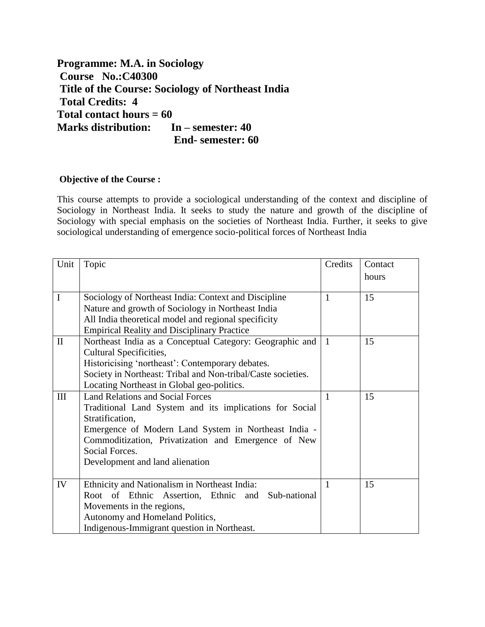**Programme: M.A. in Sociology Course No.:C40300 Title of the Course: Sociology of Northeast India Total Credits: 4 Total contact hours = 60 Marks distribution: In – semester: 40 End- semester: 60**

# **Objective of the Course :**

This course attempts to provide a sociological understanding of the context and discipline of Sociology in Northeast India. It seeks to study the nature and growth of the discipline of Sociology with special emphasis on the societies of Northeast India. Further, it seeks to give sociological understanding of emergence socio-political forces of Northeast India

| Unit         | Topic                                                        | Credits      | Contact |
|--------------|--------------------------------------------------------------|--------------|---------|
|              |                                                              |              | hours   |
|              |                                                              |              |         |
| $\mathbf I$  | Sociology of Northeast India: Context and Discipline         | $\mathbf{1}$ | 15      |
|              | Nature and growth of Sociology in Northeast India            |              |         |
|              | All India theoretical model and regional specificity         |              |         |
|              | <b>Empirical Reality and Disciplinary Practice</b>           |              |         |
| $\mathbf{I}$ | Northeast India as a Conceptual Category: Geographic and     | $\mathbf{1}$ | 15      |
|              | Cultural Specificities,                                      |              |         |
|              | Historicising 'northeast': Contemporary debates.             |              |         |
|              | Society in Northeast: Tribal and Non-tribal/Caste societies. |              |         |
|              | Locating Northeast in Global geo-politics.                   |              |         |
| III          | <b>Land Relations and Social Forces</b>                      | $\mathbf{1}$ | 15      |
|              | Traditional Land System and its implications for Social      |              |         |
|              | Stratification,                                              |              |         |
|              | Emergence of Modern Land System in Northeast India -         |              |         |
|              | Commoditization, Privatization and Emergence of New          |              |         |
|              | Social Forces.                                               |              |         |
|              | Development and land alienation                              |              |         |
|              |                                                              |              |         |
| IV           | Ethnicity and Nationalism in Northeast India:                | 1            | 15      |
|              | Root of Ethnic<br>Assertion, Ethnic and<br>Sub-national      |              |         |
|              | Movements in the regions,                                    |              |         |
|              | Autonomy and Homeland Politics,                              |              |         |
|              | Indigenous-Immigrant question in Northeast.                  |              |         |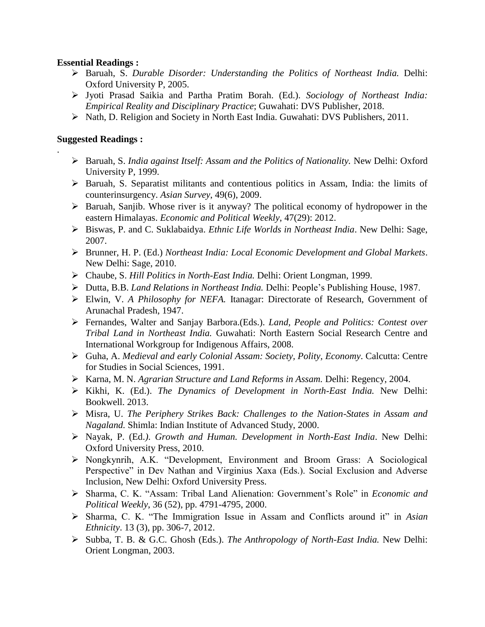# **Essential Readings :**

- Baruah, S. *Durable Disorder: Understanding the Politics of Northeast India.* Delhi: Oxford University P, 2005.
- Jyoti Prasad Saikia and Partha Pratim Borah. (Ed.). *Sociology of Northeast India: Empirical Reality and Disciplinary Practice*; Guwahati: DVS Publisher, 2018.
- Nath, D. Religion and Society in North East India. Guwahati: DVS Publishers, 2011.

# **Suggested Readings :**

.

- Baruah, S. *India against Itself: Assam and the Politics of Nationality.* New Delhi: Oxford University P, 1999.
- $\triangleright$  Baruah, S. Separatist militants and contentious politics in Assam, India: the limits of counterinsurgency. *Asian Survey*, 49(6), 2009.
- $\triangleright$  Baruah, Sanjib. Whose river is it anyway? The political economy of hydropower in the eastern Himalayas. *Economic and Political Weekly*, 47(29): 2012.
- Biswas, P. and C. Suklabaidya. *Ethnic Life Worlds in Northeast India*. New Delhi: Sage, 2007.
- Brunner, H. P. (Ed.) *Northeast India: Local Economic Development and Global Markets*. New Delhi: Sage, 2010.
- Chaube, S. *Hill Politics in North-East India.* Delhi: Orient Longman, 1999.
- Dutta, B.B. *Land Relations in Northeast India.* Delhi: People's Publishing House, 1987.
- Elwin, V. *A Philosophy for NEFA.* Itanagar: Directorate of Research, Government of Arunachal Pradesh, 1947.
- Fernandes, Walter and Sanjay Barbora.(Eds.). *Land, People and Politics: Contest over Tribal Land in Northeast India.* Guwahati: North Eastern Social Research Centre and International Workgroup for Indigenous Affairs, 2008.
- Guha, A. *Medieval and early Colonial Assam: Society, Polity, Economy*. Calcutta: Centre for Studies in Social Sciences, 1991.
- Karna, M. N. *Agrarian Structure and Land Reforms in Assam.* Delhi: Regency, 2004.
- Kikhi, K. (Ed.). *The Dynamics of Development in North-East India.* New Delhi: Bookwell. 2013.
- Misra, U. *The Periphery Strikes Back: Challenges to the Nation-States in Assam and Nagaland.* Shimla: Indian Institute of Advanced Study, 2000.
- Nayak, P. (Ed.*)*. *Growth and Human. Development in North-East India*. New Delhi: Oxford University Press, 2010.
- Nongkynrih, A.K. "Development, Environment and Broom Grass: A Sociological Perspective" in Dev Nathan and Virginius Xaxa (Eds.). Social Exclusion and Adverse Inclusion, New Delhi: Oxford University Press.
- Sharma, C. K. "Assam: Tribal Land Alienation: Government's Role" in *Economic and Political Weekly*, 36 (52), pp. 4791-4795, 2000.
- Sharma, C. K. "The Immigration Issue in Assam and Conflicts around it" in *Asian Ethnicity*. 13 (3), pp. 306-7, 2012.
- Subba, T. B. & G.C. Ghosh (Eds.). *The Anthropology of North-East India.* New Delhi: Orient Longman, 2003.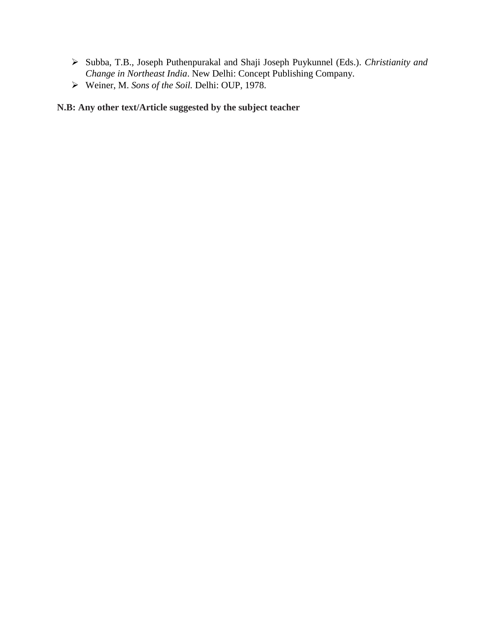- Subba, T.B., Joseph Puthenpurakal and Shaji Joseph Puykunnel (Eds.). *Christianity and Change in Northeast India*. New Delhi: Concept Publishing Company.
- Weiner, M. *Sons of the Soil.* Delhi: OUP, 1978.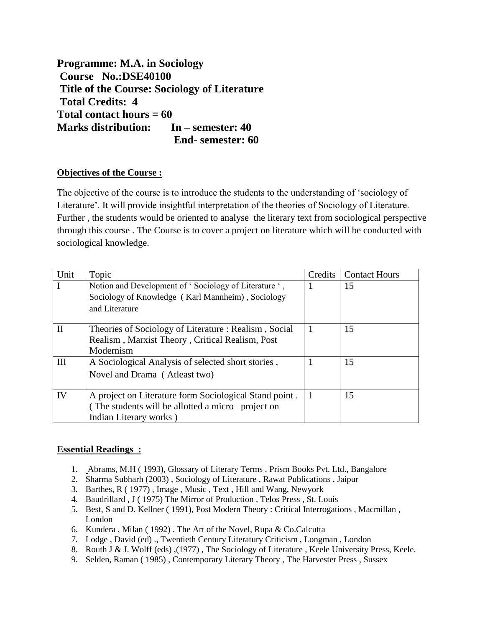**Programme: M.A. in Sociology Course No.:DSE40100 Title of the Course: Sociology of Literature Total Credits: 4 Total contact hours = 60 Marks distribution: In – semester: 40 End- semester: 60**

# **Objectives of the Course :**

The objective of the course is to introduce the students to the understanding of 'sociology of Literature'. It will provide insightful interpretation of the theories of Sociology of Literature. Further , the students would be oriented to analyse the literary text from sociological perspective through this course . The Course is to cover a project on literature which will be conducted with sociological knowledge.

| Unit         | Topic                                                  | Credits | <b>Contact Hours</b> |
|--------------|--------------------------------------------------------|---------|----------------------|
| $\mathbf I$  | Notion and Development of 'Sociology of Literature ',  |         | 15                   |
|              | Sociology of Knowledge (Karl Mannheim), Sociology      |         |                      |
|              | and Literature                                         |         |                      |
| $\mathbf{I}$ |                                                        |         |                      |
|              | Theories of Sociology of Literature : Realism, Social  |         | 15                   |
|              | Realism, Marxist Theory, Critical Realism, Post        |         |                      |
|              | Modernism                                              |         |                      |
| III          | A Sociological Analysis of selected short stories,     |         | 15                   |
|              | Novel and Drama (Atleast two)                          |         |                      |
|              |                                                        |         |                      |
| IV           | A project on Literature form Sociological Stand point. |         | 15                   |
|              | (The students will be allotted a micro –project on     |         |                      |
|              | Indian Literary works)                                 |         |                      |

# **Essential Readings :**

- 1. Abrams, M.H ( 1993), Glossary of Literary Terms , Prism Books Pvt. Ltd., Bangalore
- 2. Sharma Subharh (2003) , Sociology of Literature , Rawat Publications , Jaipur
- 3. Barthes, R ( 1977) , Image , Music , Text , Hill and Wang, Newyork
- 4. Baudrillard , J ( 1975) The Mirror of Production , Telos Press , St. Louis
- 5. Best, S and D. Kellner ( 1991), Post Modern Theory : Critical Interrogations , Macmillan , London
- 6. Kundera , Milan ( 1992) . The Art of the Novel, Rupa & Co.Calcutta
- 7. Lodge , David (ed) ., Twentieth Century Literatury Criticism , Longman , London
- 8. Routh J & J. Wolff (eds) ,(1977) , The Sociology of Literature , Keele University Press, Keele.
- 9. Selden, Raman ( 1985) , Contemporary Literary Theory , The Harvester Press , Sussex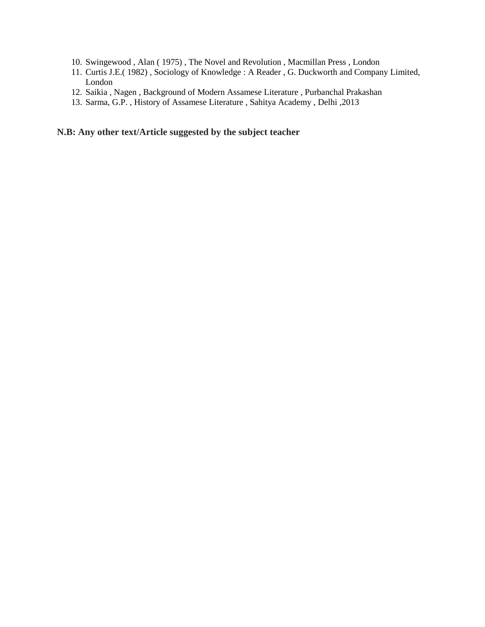- 10. Swingewood , Alan ( 1975) , The Novel and Revolution , Macmillan Press , London
- 11. Curtis J.E.( 1982) , Sociology of Knowledge : A Reader , G. Duckworth and Company Limited, London
- 12. Saikia , Nagen , Background of Modern Assamese Literature , Purbanchal Prakashan
- 13. Sarma, G.P. , History of Assamese Literature , Sahitya Academy , Delhi ,2013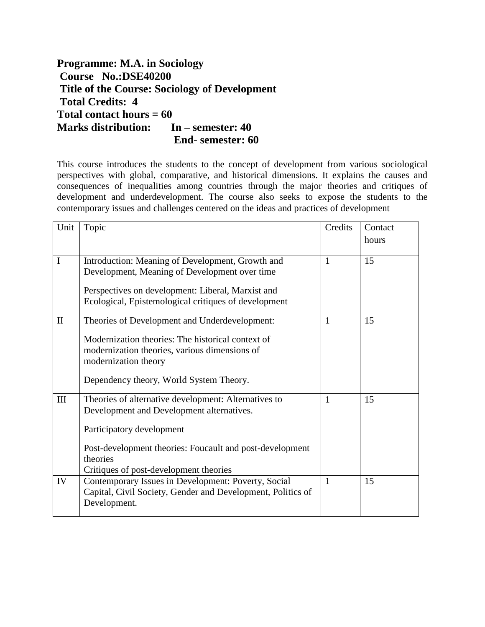**Programme: M.A. in Sociology Course No.:DSE40200 Title of the Course: Sociology of Development Total Credits: 4 Total contact hours = 60 Marks distribution: In – semester: 40 End- semester: 60**

This course introduces the students to the concept of development from various sociological perspectives with global, comparative, and historical dimensions. It explains the causes and consequences of inequalities among countries through the major theories and critiques of development and underdevelopment. The course also seeks to expose the students to the contemporary issues and challenges centered on the ideas and practices of development

| Unit         | Topic                                                                       | Credits      | Contact |
|--------------|-----------------------------------------------------------------------------|--------------|---------|
|              |                                                                             |              | hours   |
| I            | Introduction: Meaning of Development, Growth and                            | 1            | 15      |
|              | Development, Meaning of Development over time                               |              |         |
|              | Perspectives on development: Liberal, Marxist and                           |              |         |
|              | Ecological, Epistemological critiques of development                        |              |         |
| $\mathbf{I}$ | Theories of Development and Underdevelopment:                               | 1            | 15      |
|              | Modernization theories: The historical context of                           |              |         |
|              | modernization theories, various dimensions of                               |              |         |
|              | modernization theory                                                        |              |         |
|              | Dependency theory, World System Theory.                                     |              |         |
| III          | Theories of alternative development: Alternatives to                        | 1            | 15      |
|              | Development and Development alternatives.                                   |              |         |
|              | Participatory development                                                   |              |         |
|              | Post-development theories: Foucault and post-development                    |              |         |
|              | theories                                                                    |              |         |
|              | Critiques of post-development theories                                      |              |         |
| IV           | Contemporary Issues in Development: Poverty, Social                         | $\mathbf{1}$ | 15      |
|              | Capital, Civil Society, Gender and Development, Politics of<br>Development. |              |         |
|              |                                                                             |              |         |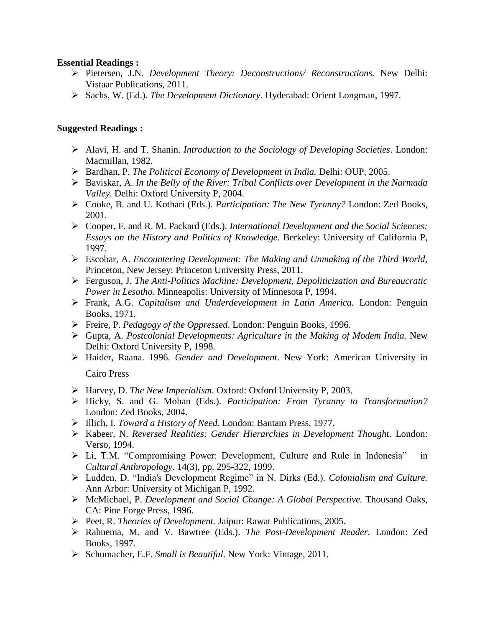### **Essential Readings :**

- Pietersen, J.N. *Development Theory: Deconstructions/ Reconstructions.* New Delhi: Vistaar Publications, 2011.
- Sachs, W. (Ed.). *The Development Dictionary*. Hyderabad: Orient Longman, 1997.

### **Suggested Readings :**

- Alavi, H. and T. Shanin. *Introduction to the Sociology of Developing Societies*. London: Macmillan, 1982.
- Bardhan, P. *The Political Economy of Development in India.* Delhi: OUP, 2005.
- Baviskar, A. *In the Belly of the River: Tribal Conflicts over Development in the Narmada Valley.* Delhi: Oxford University P, 2004.
- Cooke, B. and U. Kothari (Eds.). *Participation: The New Tyranny?* London: Zed Books, 2001.
- Cooper, F. and R. M. Packard (Eds.). *International Development and the Social Sciences: Essays on the History and Politics of Knowledge.* Berkeley: University of California P, 1997.
- Escobar, A. *Encountering Development: The Making and Unmaking of the Third World,* Princeton, New Jersey: Princeton University Press, 2011.
- Ferguson, J. *The Anti-Politics Machine: Development, Depoliticization and Bureaucratic Power in Lesotho*. Minneapolis: University of Minnesota P, 1994.
- Frank, A.G. *Capitalism and Underdevelopment in Latin America.* London: Penguin Books, 1971.
- Freire, P. *Pedagogy of the Oppressed*. London: Penguin Books, 1996.
- Gupta, A. *Postcolonial Developments: Agriculture in the Making of Modem India.* New Delhi: Oxford University P, 1998.
- Haider, Raana. 1996. *Gender and Development*. New York: American University in

Cairo Press

- Harvey, D. *The New Imperialism*. Oxford: Oxford University P, 2003.
- Hicky, S. and G. Mohan (Eds.). *Participation: From Tyranny to Transformation?* London: Zed Books, 2004.
- Illich, I. *Toward a History of Need.* London: Bantam Press, 1977.
- Kabeer, N. *Reversed Realities: Gender Hierarchies in Development Thought.* London: Verso, 1994.
- Li, T.M. "Compromising Power: Development, Culture and Rule in Indonesia" in *Cultural Anthropology*. 14(3), pp. 295-322, 1999.
- Ludden, D. "India's Development Regime" in N. Dirks (Ed.). *Colonialism and Culture.* Ann Arbor: University of Michigan P, 1992.
- McMichael, P. *Development and Social Change: A Global Perspective.* Thousand Oaks, CA: Pine Forge Press, 1996.
- Peet, R. *Theories of Development.* Jaipur: Rawat Publications, 2005.
- Rahnema, M. and V. Bawtree (Eds.). *The Post-Development Reader.* London: Zed Books, 1997.
- Schumacher, E.F. *Small is Beautiful*. New York: Vintage, 2011.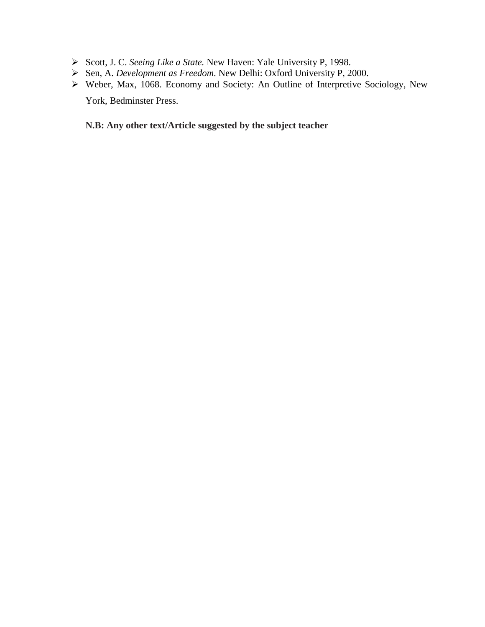- Scott, J. C. *Seeing Like a State.* New Haven: Yale University P, 1998.
- Sen, A. *Development as Freedom*. New Delhi: Oxford University P, 2000.
- Weber, Max, 1068. Economy and Society: An Outline of Interpretive Sociology, New York, Bedminster Press.

# **N.B: Any other text/Article suggested by the subject teacher**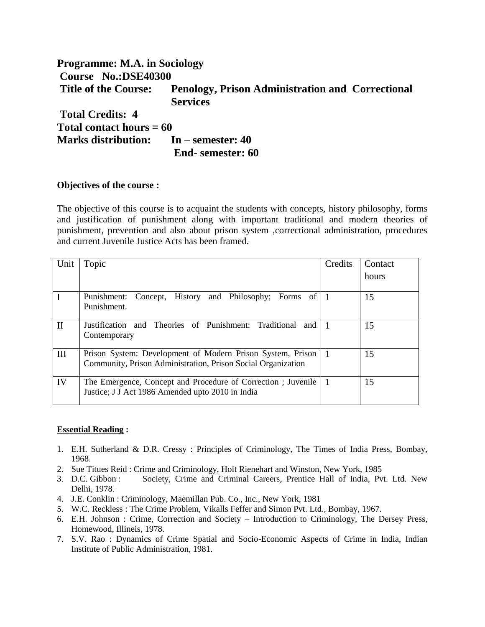# **Programme: M.A. in Sociology Course No.:DSE40300 Title of the Course: Penology, Prison Administration and Correctional Services Total Credits: 4 Total contact hours = 60 Marks distribution: In – semester: 40 End- semester: 60**

#### **Objectives of the course :**

The objective of this course is to acquaint the students with concepts, history philosophy, forms and justification of punishment along with important traditional and modern theories of punishment, prevention and also about prison system ,correctional administration, procedures and current Juvenile Justice Acts has been framed.

| Unit         | Topic                                                                                                                      | Credits | Contact |
|--------------|----------------------------------------------------------------------------------------------------------------------------|---------|---------|
|              |                                                                                                                            |         | hours   |
| $\mathbf{I}$ | Concept, History and Philosophy; Forms of 1<br>Punishment:<br>Punishment.                                                  |         | 15      |
| $\mathbf{I}$ | Justification and Theories of Punishment: Traditional<br>and<br>Contemporary                                               |         | 15      |
| III          | Prison System: Development of Modern Prison System, Prison<br>Community, Prison Administration, Prison Social Organization |         | 15      |
| IV           | The Emergence, Concept and Procedure of Correction; Juvenile<br>Justice; J J Act 1986 Amended upto 2010 in India           |         | 15      |

#### **Essential Reading :**

- 1. E.H. Sutherland & D.R. Cressy : Principles of Criminology, The Times of India Press, Bombay, 1968.
- 2. Sue Titues Reid : Crime and Criminology, Holt Rienehart and Winston, New York, 1985
- 3. D.C. Gibbon : Society, Crime and Criminal Careers, Prentice Hall of India, Pvt. Ltd. New Delhi, 1978.
- 4. J.E. Conklin : Criminology, Maemillan Pub. Co., Inc., New York, 1981
- 5. W.C. Reckless : The Crime Problem, Vikalls Feffer and Simon Pvt. Ltd., Bombay, 1967.
- 6. E.H. Johnson : Crime, Correction and Society Introduction to Criminology, The Dersey Press, Homewood, Illineis, 1978.
- 7. S.V. Rao : Dynamics of Crime Spatial and Socio-Economic Aspects of Crime in India, Indian Institute of Public Administration, 1981.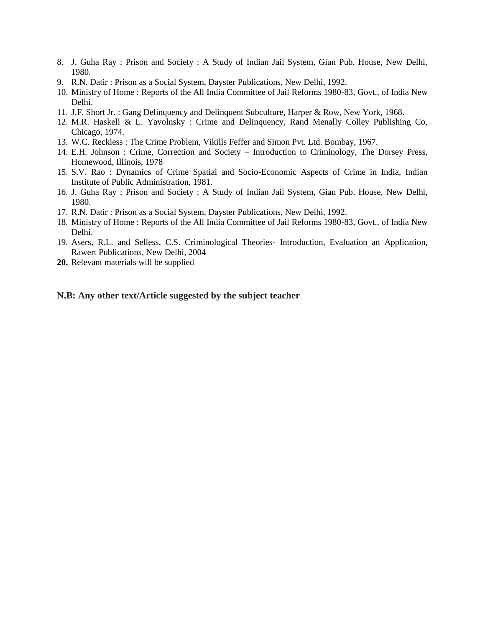- 8. J. Guha Ray : Prison and Society : A Study of Indian Jail System, Gian Pub. House, New Delhi, 1980.
- 9. R.N. Datir : Prison as a Social System, Dayster Publications, New Delhi, 1992.
- 10. Ministry of Home : Reports of the All India Committee of Jail Reforms 1980-83, Govt., of India New Delhi.
- 11. J.F. Short Jr. : Gang Delinquency and Delinquent Subculture, Harper & Row, New York, 1968.
- 12. M.R. Haskell & L. Yavolnsky : Crime and Delinquency, Rand Menally Colley Publishing Co, Chicago, 1974.
- 13. W.C. Reckless : The Crime Problem, Vikills Feffer and Simon Pvt. Ltd. Bombay, 1967.
- 14. E.H. Johnson : Crime, Correction and Society Introduction to Criminology, The Dorsey Press, Homewood, Illinois, 1978
- 15. S.V. Rao : Dynamics of Crime Spatial and Socio-Economic Aspects of Crime in India, Indian Institute of Public Administration, 1981.
- 16. J. Guha Ray : Prison and Society : A Study of Indian Jail System, Gian Pub. House, New Delhi, 1980.
- 17. R.N. Datir : Prison as a Social System, Dayster Publications, New Delhi, 1992.
- 18. Ministry of Home : Reports of the All India Committee of Jail Reforms 1980-83, Govt., of India New Delhi.
- 19. Asers, R.L. and Selless, C.S. Criminological Theories- Introduction, Evaluation an Application, Rawert Publications, New Delhi, 2004
- **20.** Relevant materials will be supplied

#### **N.B: Any other text/Article suggested by the subject teacher**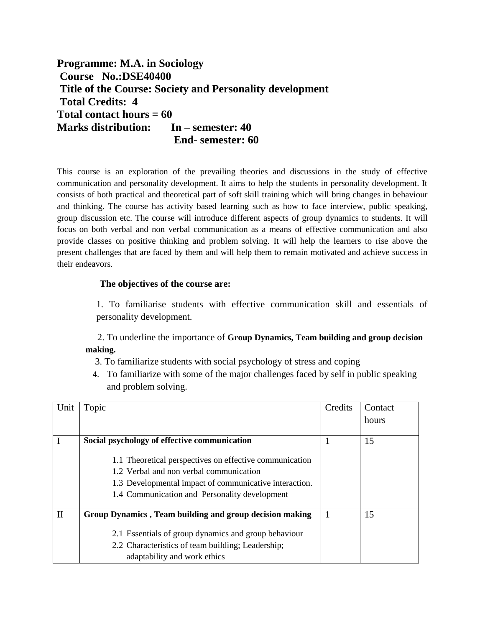**Programme: M.A. in Sociology Course No.:DSE40400 Title of the Course: Society and Personality development Total Credits: 4 Total contact hours = 60 Marks distribution: In – semester: 40 End- semester: 60**

This course is an exploration of the prevailing theories and discussions in the study of effective communication and personality development. It aims to help the students in personality development. It consists of both practical and theoretical part of soft skill training which will bring changes in behaviour and thinking. The course has activity based learning such as how to face interview, public speaking, group discussion etc. The course will introduce different aspects of group dynamics to students. It will focus on both verbal and non verbal communication as a means of effective communication and also provide classes on positive thinking and problem solving. It will help the learners to rise above the present challenges that are faced by them and will help them to remain motivated and achieve success in their endeavors.

#### **The objectives of the course are:**

1. To familiarise students with effective communication skill and essentials of personality development.

 2. To underline the importance of **Group Dynamics, Team building and group decision making.**

- 3. To familiarize students with social psychology of stress and coping
- 4. To familiarize with some of the major challenges faced by self in public speaking and problem solving.

| Unit         | Topic                                                   | Credits | Contact |
|--------------|---------------------------------------------------------|---------|---------|
|              |                                                         |         | hours   |
|              |                                                         |         |         |
|              | Social psychology of effective communication            |         | 15      |
|              |                                                         |         |         |
|              | 1.1 Theoretical perspectives on effective communication |         |         |
|              | 1.2 Verbal and non verbal communication                 |         |         |
|              | 1.3 Developmental impact of communicative interaction.  |         |         |
|              | 1.4 Communication and Personality development           |         |         |
|              |                                                         |         |         |
| $\mathbf{I}$ | Group Dynamics, Team building and group decision making |         | 15      |
|              |                                                         |         |         |
|              | 2.1 Essentials of group dynamics and group behaviour    |         |         |
|              | 2.2 Characteristics of team building; Leadership;       |         |         |
|              | adaptability and work ethics                            |         |         |